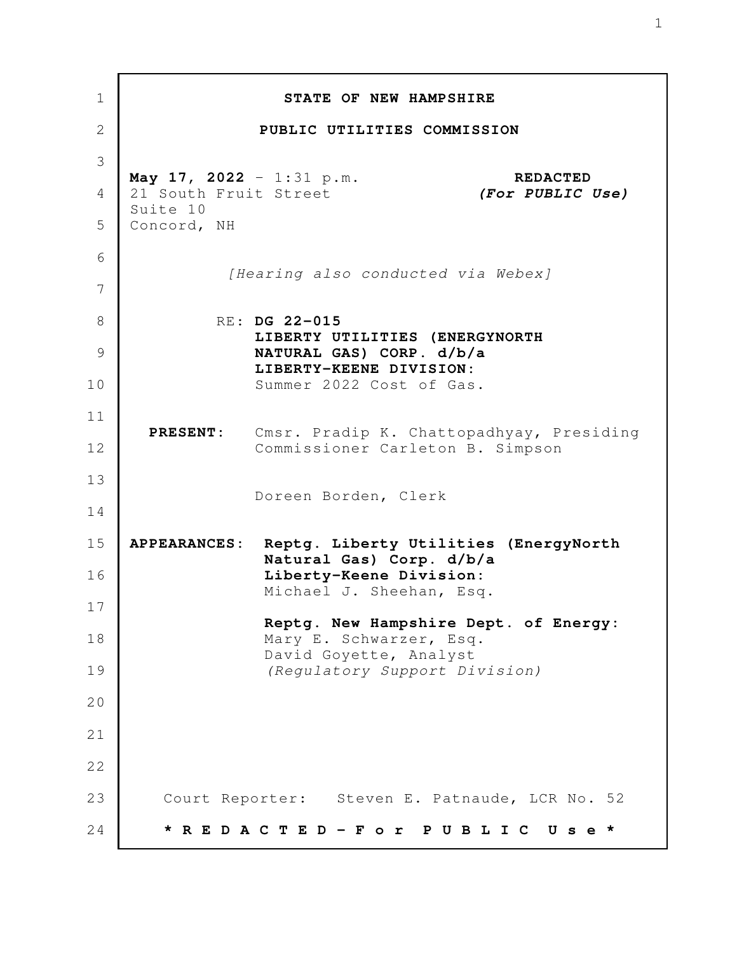| $\mathbf 1$  |                                                   | STATE OF NEW HAMPSHIRE                                                                |
|--------------|---------------------------------------------------|---------------------------------------------------------------------------------------|
| $\mathbf{2}$ |                                                   | PUBLIC UTILITIES COMMISSION                                                           |
| 3            |                                                   |                                                                                       |
| 4            | May 17, 2022 - 1:31 p.m.<br>21 South Fruit Street | <b>REDACTED</b><br>(For PUBLIC Use)                                                   |
| 5            | Suite 10<br>Concord, NH                           |                                                                                       |
| 6            |                                                   |                                                                                       |
| 7            |                                                   | [Hearing also conducted via Webex]                                                    |
| 8            |                                                   | RE: DG 22-015                                                                         |
| 9            |                                                   | LIBERTY UTILITIES (ENERGYNORTH<br>NATURAL GAS) CORP. d/b/a<br>LIBERTY-KEENE DIVISION: |
| 10           |                                                   | Summer 2022 Cost of Gas.                                                              |
| 11           | <b>PRESENT:</b>                                   |                                                                                       |
| 12           |                                                   | Cmsr. Pradip K. Chattopadhyay, Presiding<br>Commissioner Carleton B. Simpson          |
| 13           |                                                   | Doreen Borden, Clerk                                                                  |
| 14           |                                                   |                                                                                       |
| 15           | <b>APPEARANCES:</b>                               | Reptg. Liberty Utilities (EnergyNorth<br>Natural Gas) Corp. d/b/a                     |
| 16           |                                                   | Liberty-Keene Division:<br>Michael J. Sheehan, Esq.                                   |
| 17           |                                                   | Reptg. New Hampshire Dept. of Energy:                                                 |
| 18           |                                                   | Mary E. Schwarzer, Esq.<br>David Goyette, Analyst                                     |
| 19           |                                                   | (Regulatory Support Division)                                                         |
| 20           |                                                   |                                                                                       |
| 21           |                                                   |                                                                                       |
| 22           |                                                   |                                                                                       |
| 23           |                                                   | Court Reporter: Steven E. Patnaude, LCR No. 52                                        |
| 24           |                                                   | REDACTED-For<br>PUBLIC<br>Use                                                         |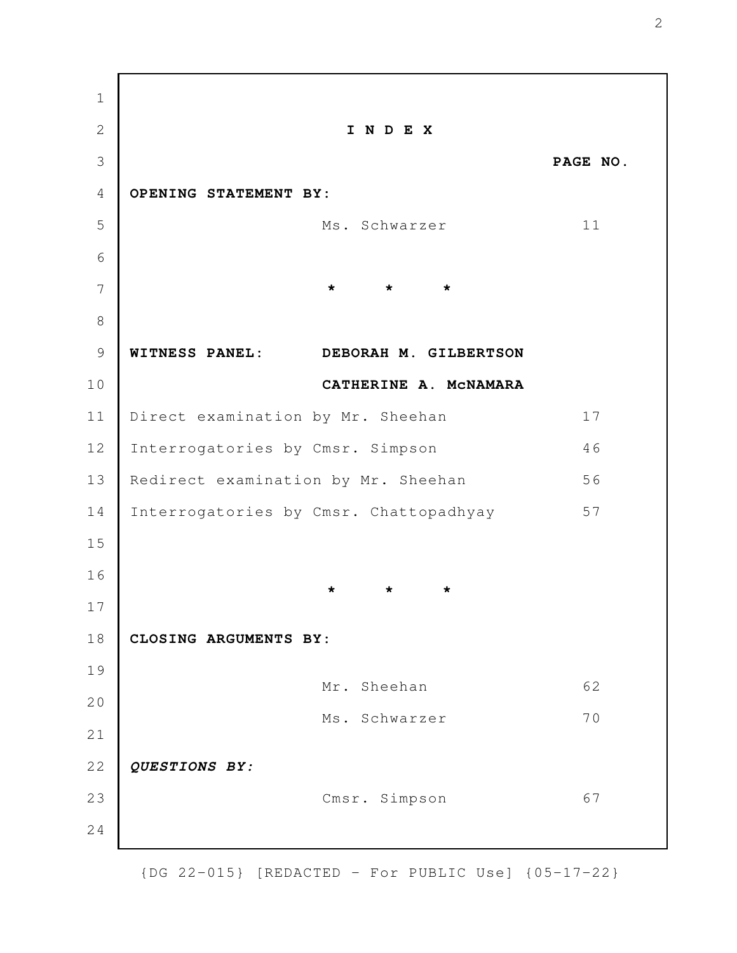**I N D E X PAGE NO. OPENING STATEMENT BY:** Ms. Schwarzer 11 **\* \* \* WITNESS PANEL: DEBORAH M. GILBERTSON CATHERINE A. McNAMARA** Direct examination by Mr. Sheehan 17 Interrogatories by Cmsr. Simpson 46 Redirect examination by Mr. Sheehan 56 Interrogatories by Cmsr. Chattopadhyay 57 **\* \* \* CLOSING ARGUMENTS BY:** Mr. Sheehan 62 Ms. Schwarzer 70 *QUESTIONS BY:* Cmsr. Simpson 67 1 2 3 4 5 6 7 8 9 10 11 12 13 14 15 16 17 18 19 20 21 22 23 24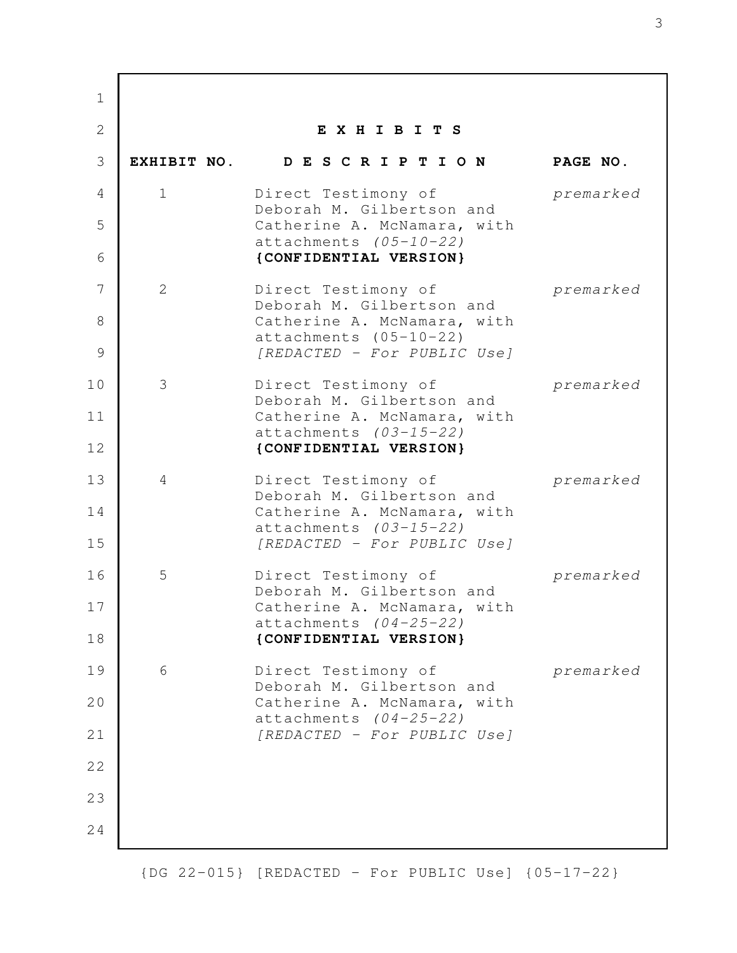| $\mathbf{1}$ |                |                                                         |           |
|--------------|----------------|---------------------------------------------------------|-----------|
| $\mathbf{2}$ |                | EXHIBITS                                                |           |
| 3            |                | EXHIBIT NO. DESCRIPTION                                 | PAGE NO.  |
| 4            | $\mathbf 1$    | Direct Testimony of<br>Deborah M. Gilbertson and        | premarked |
| 5            |                | Catherine A. McNamara, with<br>attachments $(05-10-22)$ |           |
| 6            |                | {CONFIDENTIAL VERSION}                                  |           |
| 7            | $\overline{2}$ | Direct Testimony of<br>Deborah M. Gilbertson and        | premarked |
| 8            |                | Catherine A. McNamara, with<br>attachments (05-10-22)   |           |
| 9            |                | [REDACTED - For PUBLIC Use]                             |           |
| 10           | 3              | Direct Testimony of<br>Deborah M. Gilbertson and        | premarked |
| 11           |                | Catherine A. McNamara, with<br>attachments (03-15-22)   |           |
| 12           |                | {CONFIDENTIAL VERSION}                                  |           |
| 13           | 4              | Direct Testimony of<br>Deborah M. Gilbertson and        | premarked |
| 14           |                | Catherine A. McNamara, with<br>attachments $(03-15-22)$ |           |
| 15           |                | [REDACTED - For PUBLIC Use]                             |           |
| 16           | 5              | Direct Testimony of<br>Deborah M. Gilbertson and        | premarked |
| 17           |                | Catherine A. McNamara, with<br>$attachments (04-25-22)$ |           |
| 18           |                | {CONFIDENTIAL VERSION}                                  |           |
| 19           | 6              | Direct Testimony of<br>Deborah M. Gilbertson and        | premarked |
| 20           |                | Catherine A. McNamara, with<br>attachments $(04-25-22)$ |           |
| 21           |                | [REDACTED - For PUBLIC Use]                             |           |
| 22           |                |                                                         |           |
| 23           |                |                                                         |           |
| 24           |                |                                                         |           |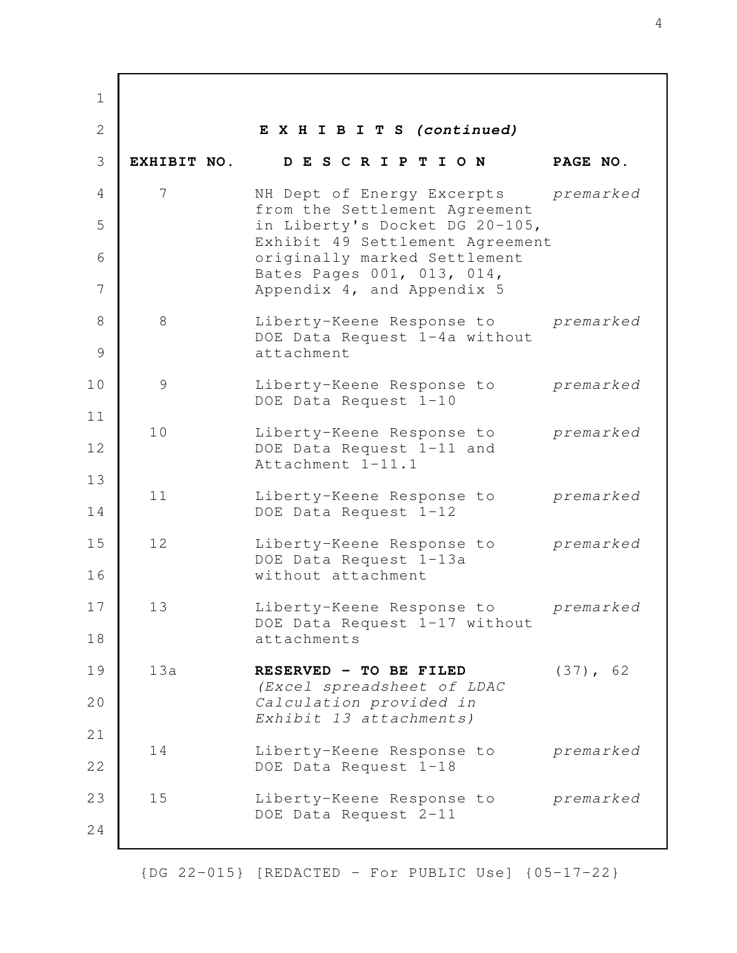**E X H I B I T S** *(continued)* **EXHIBIT NO. D E S C R I P T I O N PAGE NO.** 7 NH Dept of Energy Excerpts *premarked* from the Settlement Agreement in Liberty's Docket DG 20-105, Exhibit 49 Settlement Agreement originally marked Settlement Bates Pages 001, 013, 014, Appendix 4, and Appendix 5 8 Liberty-Keene Response to *premarked* DOE Data Request 1-4a without attachment 9 Liberty-Keene Response to *premarked* DOE Data Request 1-10 10 Liberty-Keene Response to *premarked* DOE Data Request 1-11 and Attachment 1-11.1 11 Liberty-Keene Response to *premarked* DOE Data Request 1-12 12 Liberty-Keene Response to *premarked* DOE Data Request 1-13a without attachment 13 Liberty-Keene Response to *premarked* DOE Data Request 1-17 without attachments 13a **RESERVED - TO BE FILED** (37), 62 *(Excel spreadsheet of LDAC Calculation provided in Exhibit 13 attachments)* 14 Liberty-Keene Response to *premarked* DOE Data Request 1-18 15 Liberty-Keene Response to *premarked* DOE Data Request 2-11 1 2 3 4 5 6 7 8 9 10 11 12 13 14 15 16 17 18 19 20 21 22 23 24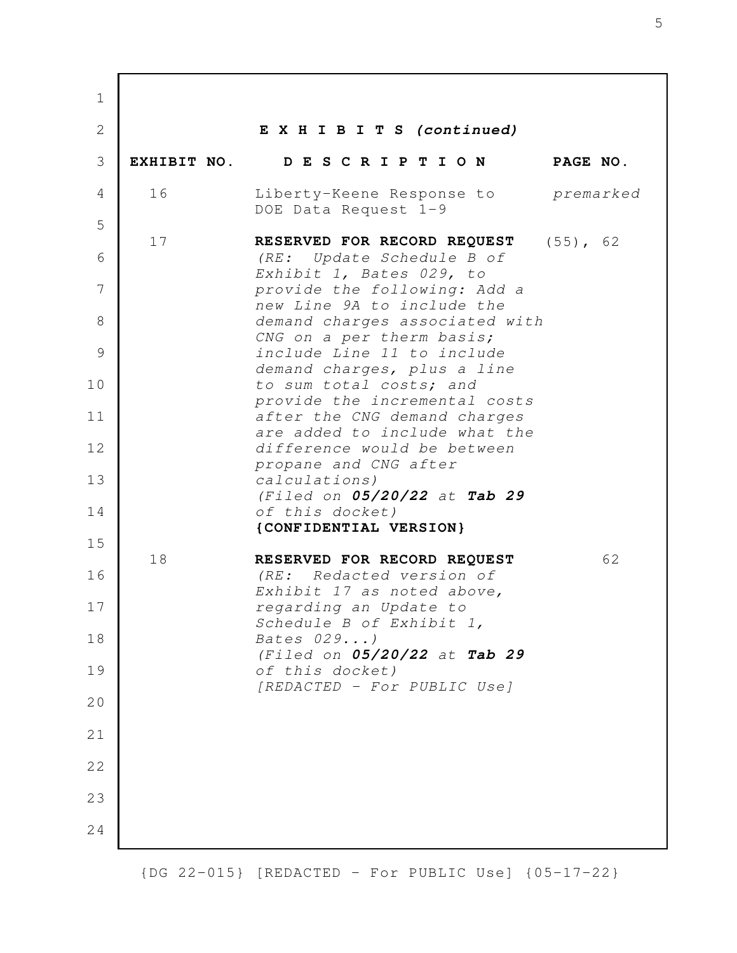**E X H I B I T S** *(continued)* **EXHIBIT NO. D E S C R I P T I O N PAGE NO.** 16 Liberty-Keene Response to *premarked* DOE Data Request 1-9 17 **RESERVED FOR RECORD REQUEST** (55), 62 *(RE: Update Schedule B of Exhibit 1, Bates 029, to provide the following: Add a new Line 9A to include the demand charges associated with CNG on a per therm basis; include Line 11 to include demand charges, plus a line to sum total costs; and provide the incremental costs after the CNG demand charges are added to include what the difference would be between propane and CNG after calculations) (Filed on 05/20/22 at Tab 29 of this docket)* **{CONFIDENTIAL VERSION}** 18 **RESERVED FOR RECORD REQUEST** 62 *(RE: Redacted version of Exhibit 17 as noted above, regarding an Update to Schedule B of Exhibit 1, Bates 029...) (Filed on 05/20/22 at Tab 29 of this docket) [REDACTED - For PUBLIC Use]* 1 2 3 4 5 6 7 8 9 10 11 12 13 14 15 16 17 18 19 20 21 22 23 24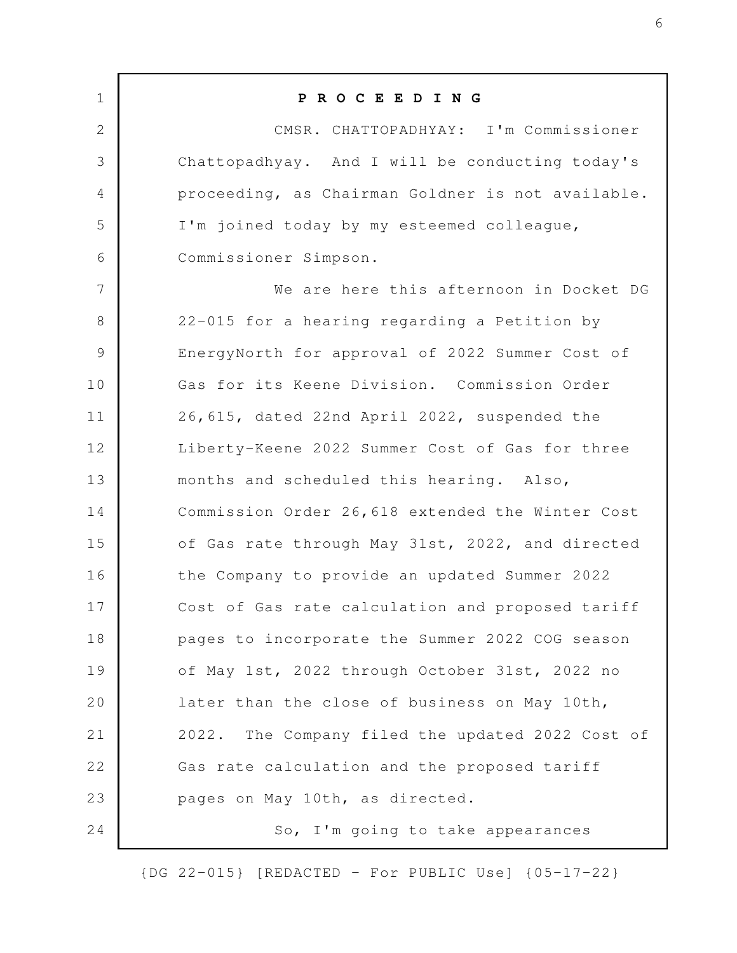**P R O C E E D I N G** CMSR. CHATTOPADHYAY: I'm Commissioner Chattopadhyay. And I will be conducting today's proceeding, as Chairman Goldner is not available. I'm joined today by my esteemed colleague, Commissioner Simpson. We are here this afternoon in Docket DG 22-015 for a hearing regarding a Petition by EnergyNorth for approval of 2022 Summer Cost of Gas for its Keene Division. Commission Order 26,615, dated 22nd April 2022, suspended the Liberty-Keene 2022 Summer Cost of Gas for three months and scheduled this hearing. Also, Commission Order 26,618 extended the Winter Cost of Gas rate through May 31st, 2022, and directed the Company to provide an updated Summer 2022 Cost of Gas rate calculation and proposed tariff pages to incorporate the Summer 2022 COG season of May 1st, 2022 through October 31st, 2022 no later than the close of business on May 10th, 2022. The Company filed the updated 2022 Cost of Gas rate calculation and the proposed tariff pages on May 10th, as directed. So, I'm going to take appearances 1 2 3 4 5 6 7 8 9 10 11 12 13 14 15 16 17 18 19 20 21 22 23 24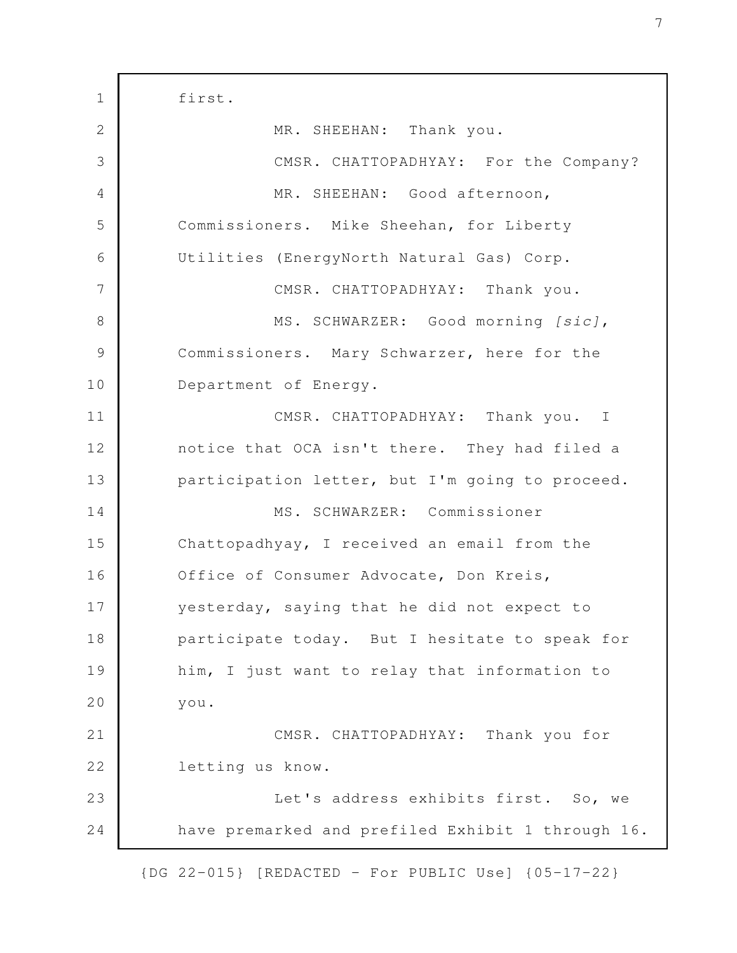first. MR. SHEEHAN: Thank you. CMSR. CHATTOPADHYAY: For the Company? MR. SHEEHAN: Good afternoon, Commissioners. Mike Sheehan, for Liberty Utilities (EnergyNorth Natural Gas) Corp. CMSR. CHATTOPADHYAY: Thank you. MS. SCHWARZER: Good morning *[sic]*, Commissioners. Mary Schwarzer, here for the Department of Energy. CMSR. CHATTOPADHYAY: Thank you. I notice that OCA isn't there. They had filed a participation letter, but I'm going to proceed. MS. SCHWARZER: Commissioner Chattopadhyay, I received an email from the Office of Consumer Advocate, Don Kreis, yesterday, saying that he did not expect to participate today. But I hesitate to speak for him, I just want to relay that information to you. CMSR. CHATTOPADHYAY: Thank you for letting us know. Let's address exhibits first. So, we have premarked and prefiled Exhibit 1 through 16. 1 2 3 4 5 6 7 8 9 10 11 12 13 14 15 16 17 18 19 20 21 22 23 24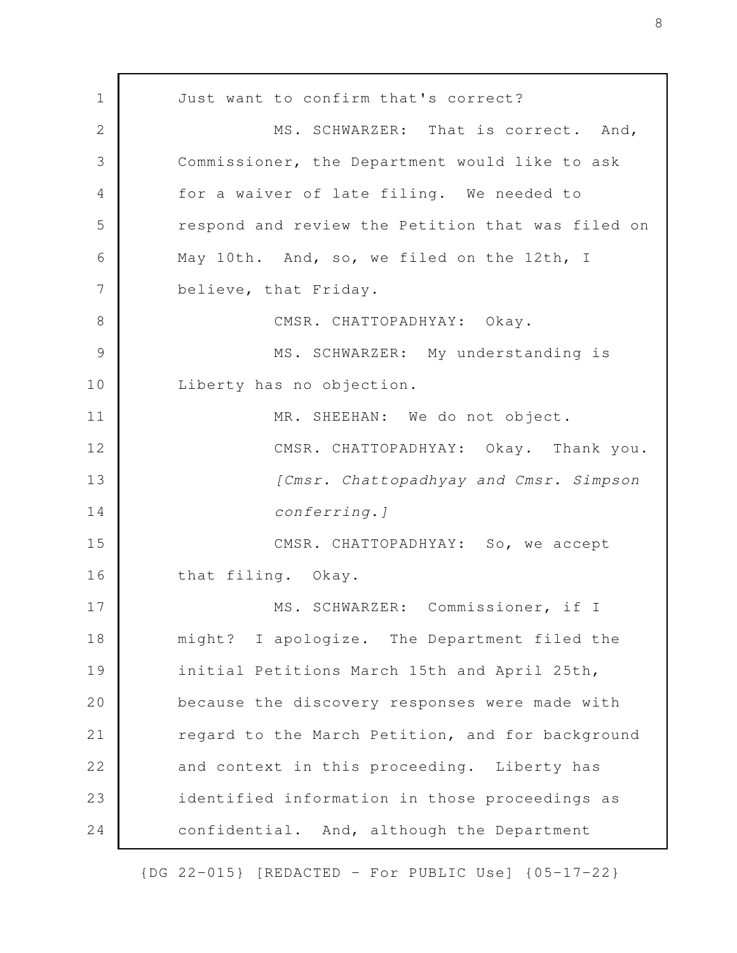Just want to confirm that's correct? MS. SCHWARZER: That is correct. And, Commissioner, the Department would like to ask for a waiver of late filing. We needed to respond and review the Petition that was filed on May 10th. And, so, we filed on the 12th, I believe, that Friday. CMSR. CHATTOPADHYAY: Okay. MS. SCHWARZER: My understanding is Liberty has no objection. MR. SHEEHAN: We do not object. CMSR. CHATTOPADHYAY: Okay. Thank you. *[Cmsr. Chattopadhyay and Cmsr. Simpson conferring.]* CMSR. CHATTOPADHYAY: So, we accept that filing. Okay. MS. SCHWARZER: Commissioner, if I might? I apologize. The Department filed the initial Petitions March 15th and April 25th, because the discovery responses were made with regard to the March Petition, and for background and context in this proceeding. Liberty has identified information in those proceedings as confidential. And, although the Department 1 2 3 4 5 6 7 8 9 10 11 12 13 14 15 16 17 18 19 20 21 22 23 24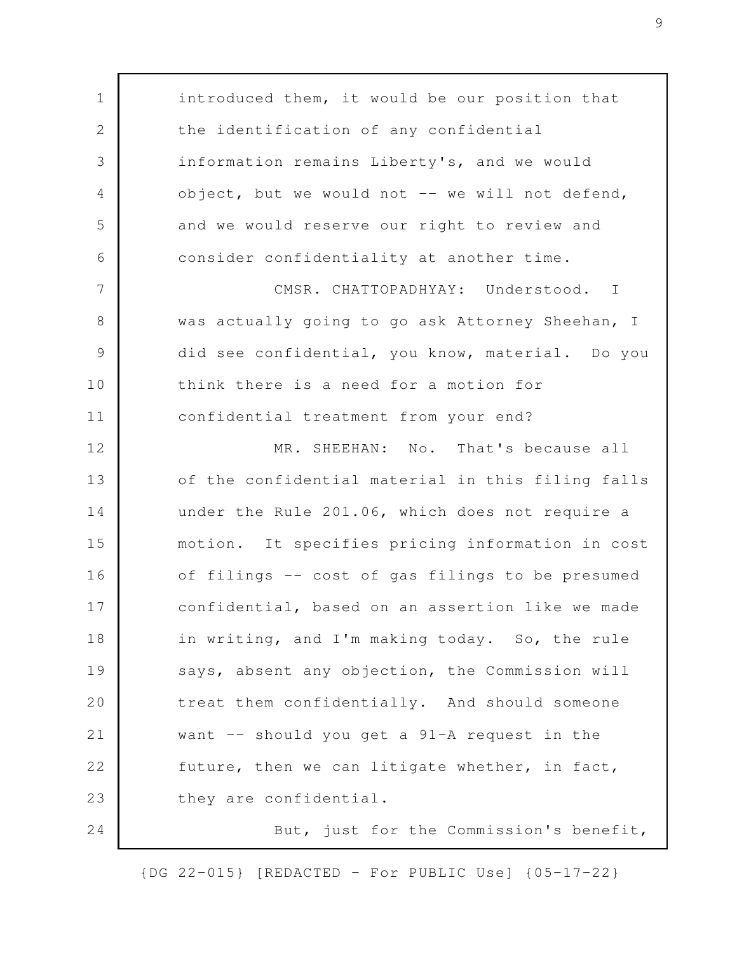introduced them, it would be our position that the identification of any confidential information remains Liberty's, and we would  $object, but we would not -- we will not defend,$ and we would reserve our right to review and consider confidentiality at another time. CMSR. CHATTOPADHYAY: Understood. I was actually going to go ask Attorney Sheehan, I did see confidential, you know, material. Do you think there is a need for a motion for confidential treatment from your end? MR. SHEEHAN: No. That's because all of the confidential material in this filing falls under the Rule 201.06, which does not require a motion. It specifies pricing information in cost of filings -- cost of gas filings to be presumed confidential, based on an assertion like we made in writing, and I'm making today. So, the rule says, absent any objection, the Commission will treat them confidentially. And should someone want -- should you get a 91-A request in the future, then we can litigate whether, in fact, they are confidential. But, just for the Commission's benefit, 1 2 3 4 5 6 7 8 9 10 11 12 13 14 15 16 17 18 19 20 21 22 23 24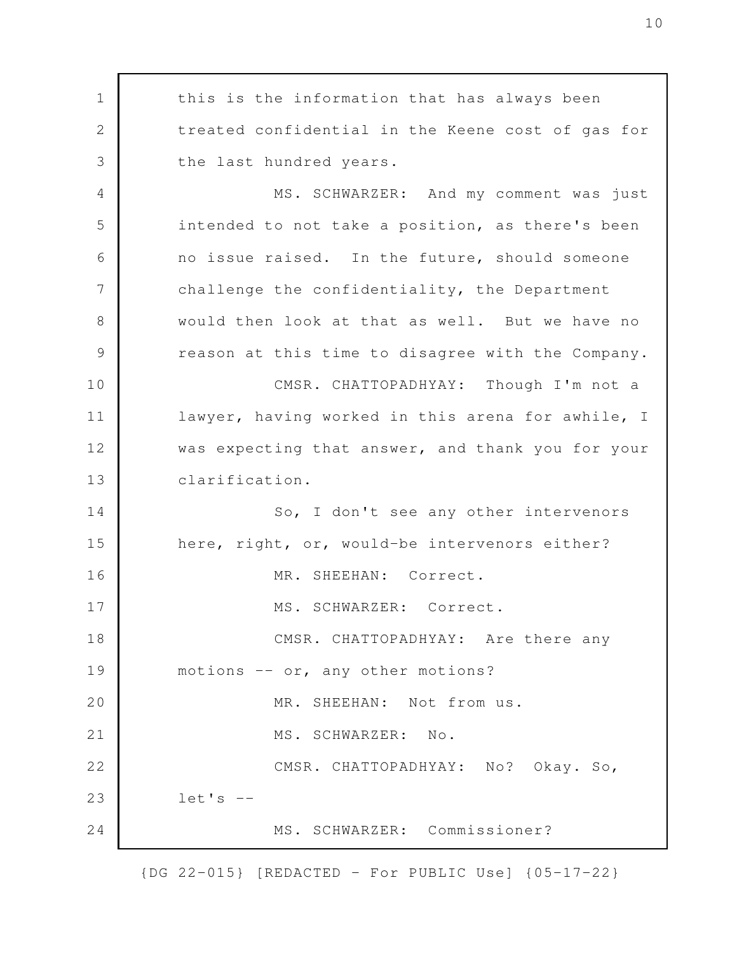this is the information that has always been treated confidential in the Keene cost of gas for the last hundred years. MS. SCHWARZER: And my comment was just intended to not take a position, as there's been no issue raised. In the future, should someone challenge the confidentiality, the Department would then look at that as well. But we have no reason at this time to disagree with the Company. CMSR. CHATTOPADHYAY: Though I'm not a lawyer, having worked in this arena for awhile, I was expecting that answer, and thank you for your clarification. So, I don't see any other intervenors here, right, or, would-be intervenors either? MR. SHEEHAN: Correct. MS. SCHWARZER: Correct. CMSR. CHATTOPADHYAY: Are there any motions -- or, any other motions? MR. SHEEHAN: Not from us. MS. SCHWARZER: No. CMSR. CHATTOPADHYAY: No? Okay. So,  $let's --$ MS. SCHWARZER: Commissioner? 1 2 3 4 5 6 7 8 9 10 11 12 13 14 15 16 17 18 19 20 21 22 23 24

{DG 22-015} [REDACTED - For PUBLIC Use] {05-17-22}

10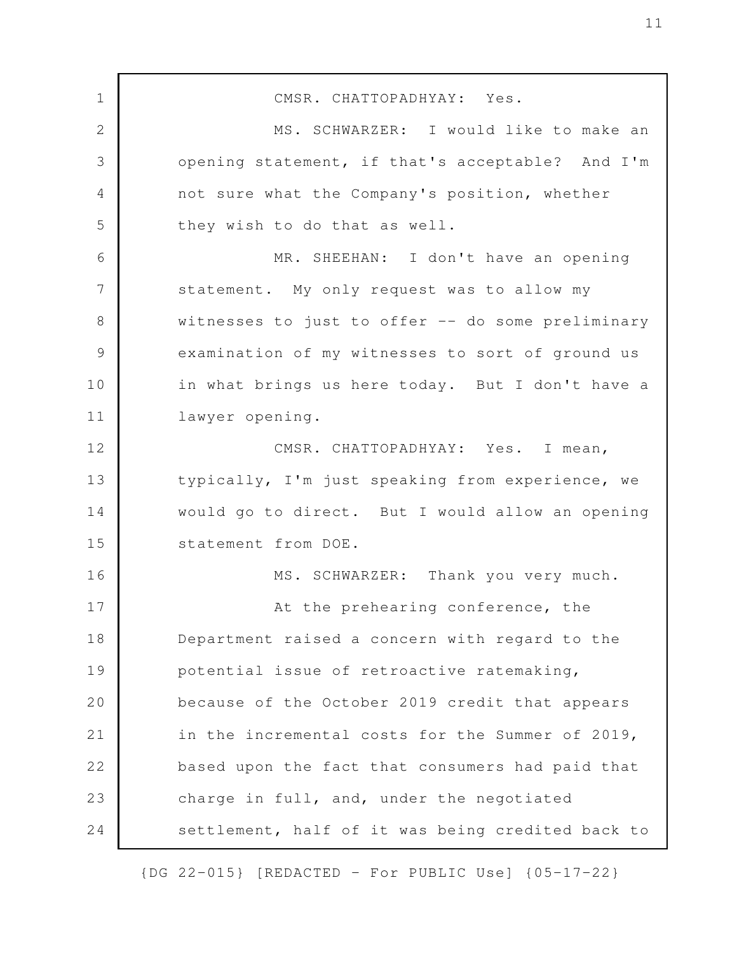CMSR. CHATTOPADHYAY: Yes. MS. SCHWARZER: I would like to make an opening statement, if that's acceptable? And I'm not sure what the Company's position, whether they wish to do that as well. MR. SHEEHAN: I don't have an opening statement. My only request was to allow my witnesses to just to offer -- do some preliminary examination of my witnesses to sort of ground us in what brings us here today. But I don't have a lawyer opening. CMSR. CHATTOPADHYAY: Yes. I mean, typically, I'm just speaking from experience, we would go to direct. But I would allow an opening statement from DOE. MS. SCHWARZER: Thank you very much. At the prehearing conference, the Department raised a concern with regard to the potential issue of retroactive ratemaking, because of the October 2019 credit that appears in the incremental costs for the Summer of 2019, based upon the fact that consumers had paid that charge in full, and, under the negotiated settlement, half of it was being credited back to 1 2 3 4 5 6 7 8 9 10 11 12 13 14 15 16 17 18 19 20 21 22 23 24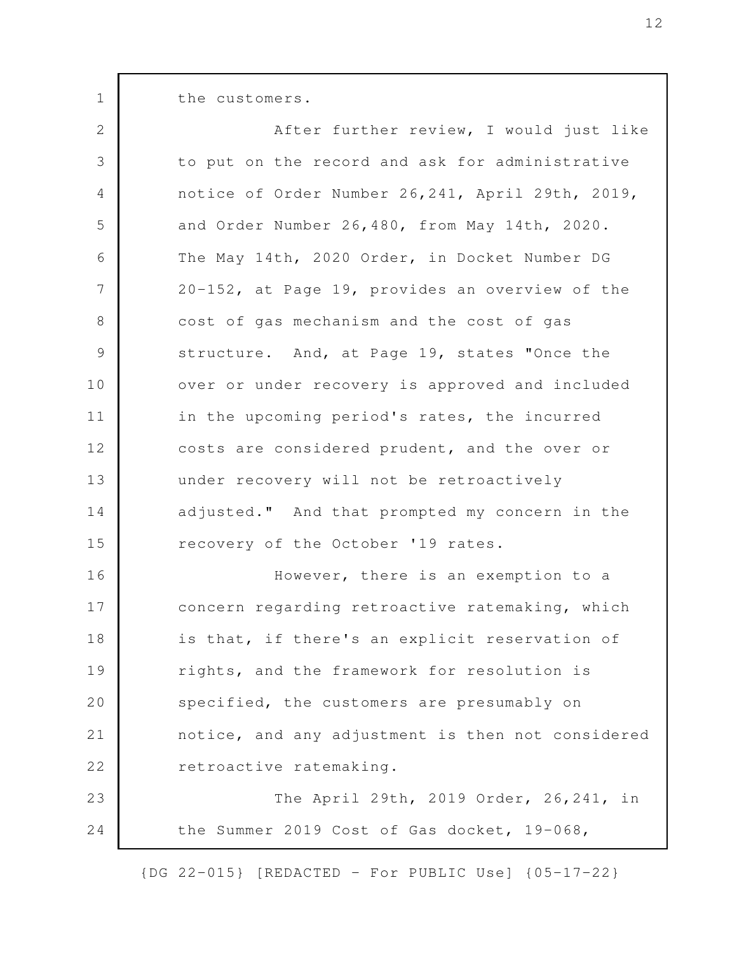the customers.

1

| $\overline{2}$ | After further review, I would just like           |
|----------------|---------------------------------------------------|
| 3              | to put on the record and ask for administrative   |
| $\overline{4}$ | notice of Order Number 26, 241, April 29th, 2019, |
| 5              | and Order Number 26,480, from May 14th, 2020.     |
| 6              | The May 14th, 2020 Order, in Docket Number DG     |
| $\overline{7}$ | 20-152, at Page 19, provides an overview of the   |
| 8              | cost of gas mechanism and the cost of gas         |
| $\mathcal{G}$  | structure. And, at Page 19, states "Once the      |
| 10             | over or under recovery is approved and included   |
| 11             | in the upcoming period's rates, the incurred      |
| 12             | costs are considered prudent, and the over or     |
| 13             | under recovery will not be retroactively          |
| 14             | adjusted." And that prompted my concern in the    |
| 15             | recovery of the October '19 rates.                |
| 16             | However, there is an exemption to a               |
| 17             | concern regarding retroactive ratemaking, which   |
| 18             | is that, if there's an explicit reservation of    |
| 19             | rights, and the framework for resolution is       |
| 20             | specified, the customers are presumably on        |
| 21             | notice, and any adjustment is then not considered |
| 22             | retroactive ratemaking.                           |
| 23             | The April 29th, 2019 Order, 26, 241, in           |
| 24             | the Summer 2019 Cost of Gas docket, 19-068,       |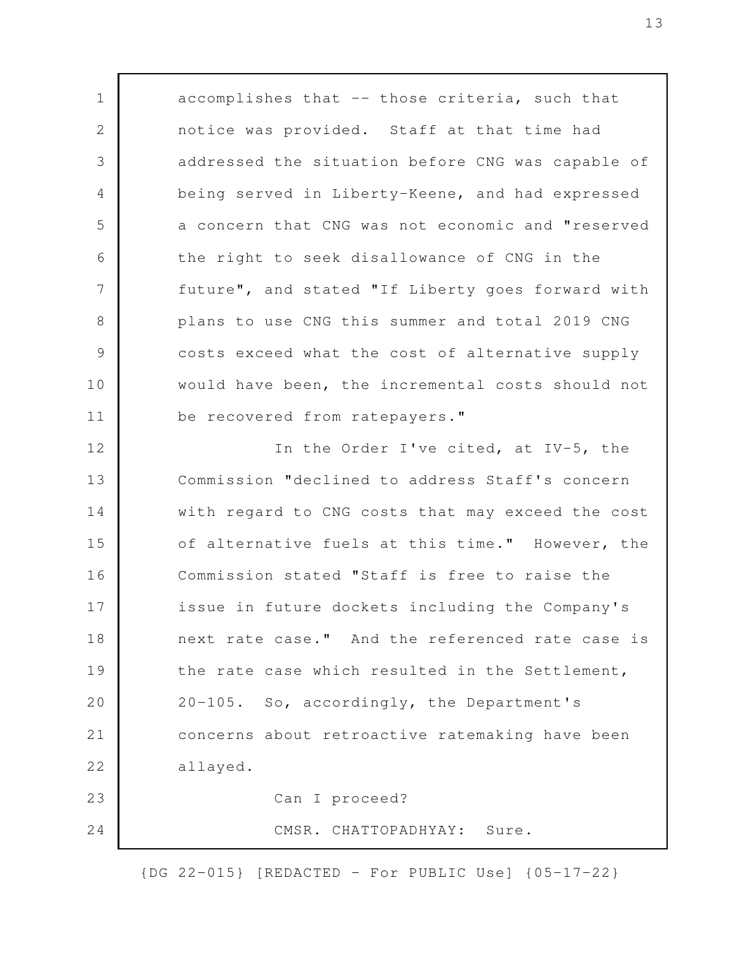accomplishes that -- those criteria, such that notice was provided. Staff at that time had addressed the situation before CNG was capable of being served in Liberty-Keene, and had expressed a concern that CNG was not economic and "reserved the right to seek disallowance of CNG in the future", and stated "If Liberty goes forward with plans to use CNG this summer and total 2019 CNG costs exceed what the cost of alternative supply would have been, the incremental costs should not be recovered from ratepayers." In the Order I've cited, at IV-5, the Commission "declined to address Staff's concern with regard to CNG costs that may exceed the cost of alternative fuels at this time." However, the Commission stated "Staff is free to raise the issue in future dockets including the Company's next rate case." And the referenced rate case is the rate case which resulted in the Settlement, 20-105. So, accordingly, the Department's concerns about retroactive ratemaking have been allayed. Can I proceed? 1 2 3 4 5 6 7 8 9 10 11 12 13 14 15 16 17 18 19 20 21 22 23 24

CMSR. CHATTOPADHYAY: Sure.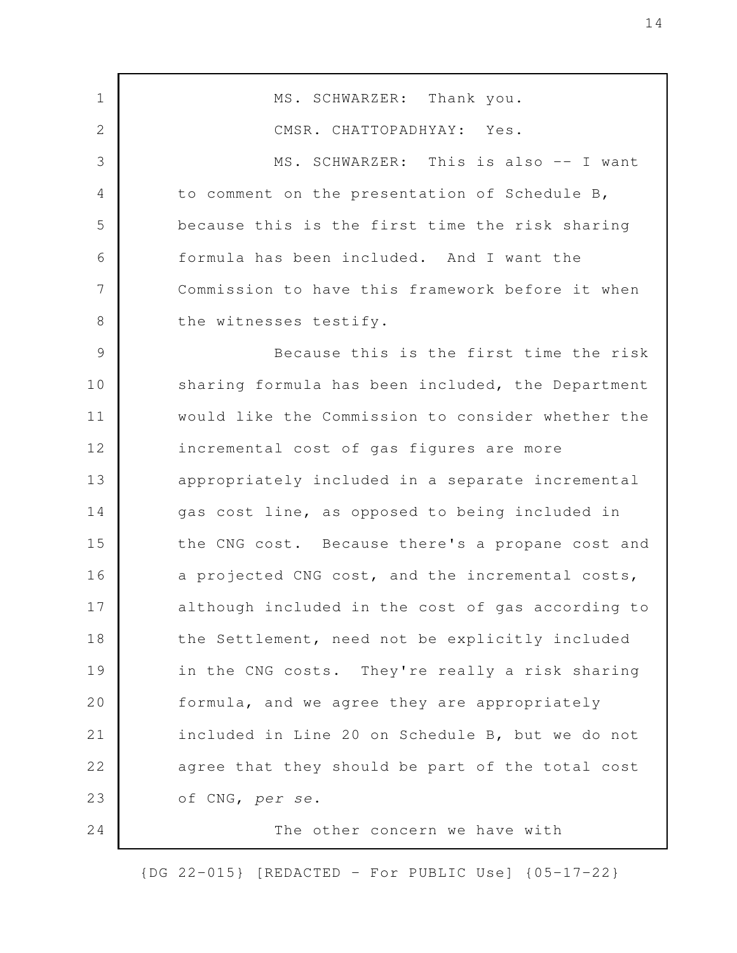MS. SCHWARZER: Thank you. CMSR. CHATTOPADHYAY: Yes. MS. SCHWARZER: This is also -- I want to comment on the presentation of Schedule B, because this is the first time the risk sharing formula has been included. And I want the Commission to have this framework before it when the witnesses testify. Because this is the first time the risk sharing formula has been included, the Department would like the Commission to consider whether the incremental cost of gas figures are more appropriately included in a separate incremental gas cost line, as opposed to being included in the CNG cost. Because there's a propane cost and a projected CNG cost, and the incremental costs, although included in the cost of gas according to the Settlement, need not be explicitly included in the CNG costs. They're really a risk sharing formula, and we agree they are appropriately included in Line 20 on Schedule B, but we do not agree that they should be part of the total cost of CNG, *per se*. The other concern we have with 1 2 3 4 5 6 7 8 9 10 11 12 13 14 15 16 17 18 19 20 21 22 23 24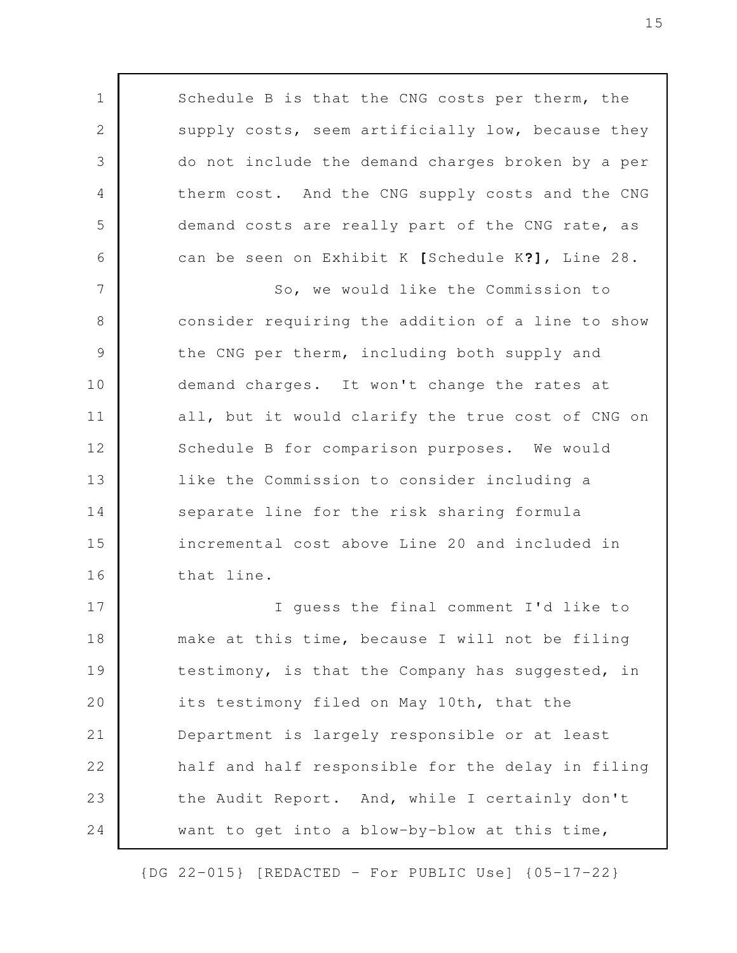Schedule B is that the CNG costs per therm, the supply costs, seem artificially low, because they do not include the demand charges broken by a per therm cost. And the CNG supply costs and the CNG demand costs are really part of the CNG rate, as can be seen on Exhibit K **[**Schedule K**?]**, Line 28. So, we would like the Commission to consider requiring the addition of a line to show the CNG per therm, including both supply and demand charges. It won't change the rates at all, but it would clarify the true cost of CNG on Schedule B for comparison purposes. We would like the Commission to consider including a separate line for the risk sharing formula incremental cost above Line 20 and included in that line. I guess the final comment I'd like to make at this time, because I will not be filing testimony, is that the Company has suggested, in its testimony filed on May 10th, that the Department is largely responsible or at least half and half responsible for the delay in filing the Audit Report. And, while I certainly don't want to get into a blow-by-blow at this time, 1 2 3 4 5 6 7 8 9 10 11 12 13 14 15 16 17 18 19 20 21 22 23 24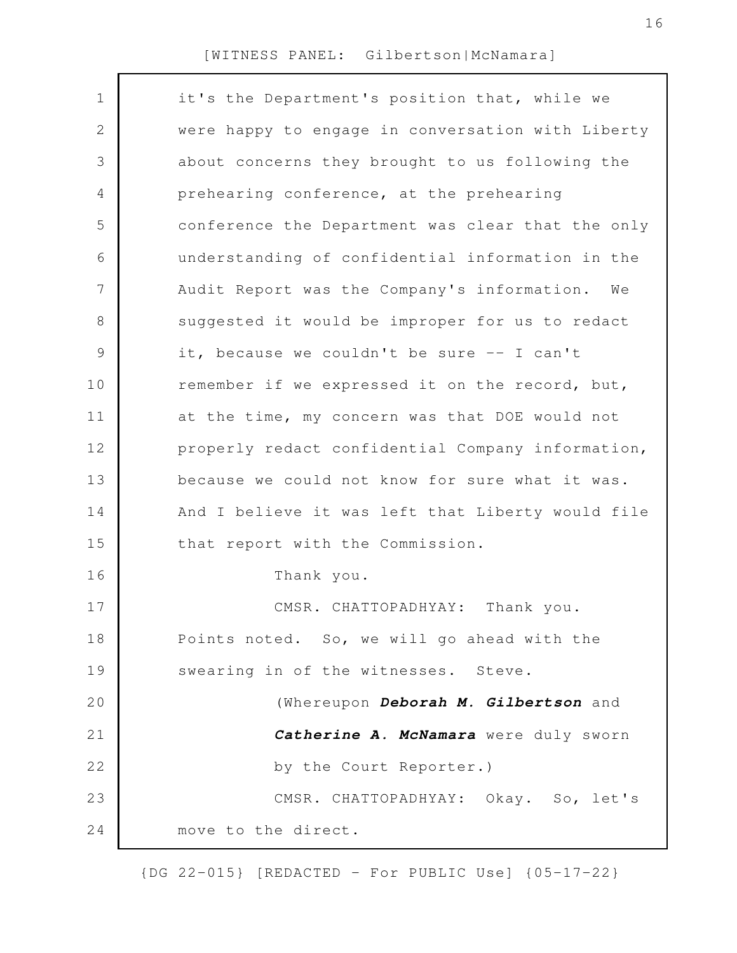| $\mathbf 1$    | it's the Department's position that, while we     |
|----------------|---------------------------------------------------|
| 2              | were happy to engage in conversation with Liberty |
| 3              | about concerns they brought to us following the   |
| 4              | prehearing conference, at the prehearing          |
| 5              | conference the Department was clear that the only |
| 6              | understanding of confidential information in the  |
| $\overline{7}$ | Audit Report was the Company's information.<br>We |
| $8\,$          | suggested it would be improper for us to redact   |
| $\mathcal{G}$  | it, because we couldn't be sure -- I can't        |
| 10             | remember if we expressed it on the record, but,   |
| 11             | at the time, my concern was that DOE would not    |
| 12             | properly redact confidential Company information, |
| 13             | because we could not know for sure what it was.   |
| 14             | And I believe it was left that Liberty would file |
| 15             | that report with the Commission.                  |
| 16             | Thank you.                                        |
| 17             | CMSR. CHATTOPADHYAY: Thank you.                   |
| 18             | Points noted. So, we will go ahead with the       |
| 19             | swearing in of the witnesses. Steve.              |
| 20             | (Whereupon Deborah M. Gilbertson and              |
| 21             | Catherine A. McNamara were duly sworn             |
| 22             | by the Court Reporter.)                           |
| 23             | CMSR. CHATTOPADHYAY: Okay. So, let's              |
| 24             | move to the direct.                               |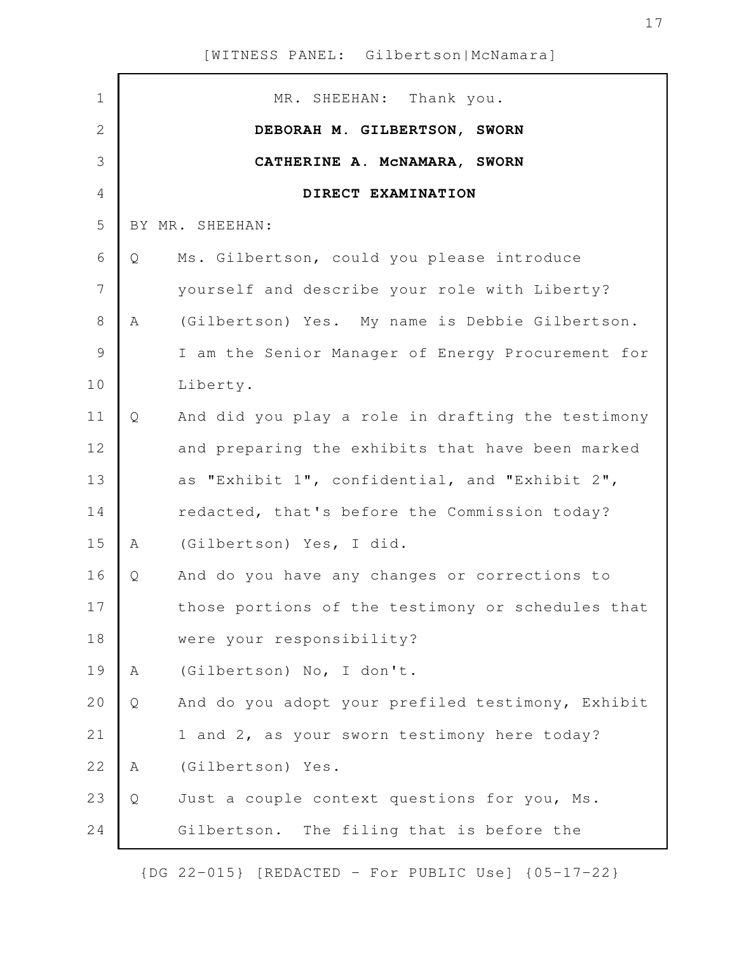| $\mathbf 1$    |   | MR. SHEEHAN: Thank you.                           |
|----------------|---|---------------------------------------------------|
| $\overline{2}$ |   | DEBORAH M. GILBERTSON, SWORN                      |
| 3              |   | CATHERINE A. MCNAMARA, SWORN                      |
| $\overline{4}$ |   | DIRECT EXAMINATION                                |
| 5              |   | BY MR. SHEEHAN:                                   |
| 6              | Q | Ms. Gilbertson, could you please introduce        |
| 7              |   | yourself and describe your role with Liberty?     |
| $8\,$          | A | (Gilbertson) Yes. My name is Debbie Gilbertson.   |
| $\mathcal{G}$  |   | I am the Senior Manager of Energy Procurement for |
| 10             |   | Liberty.                                          |
| 11             | Q | And did you play a role in drafting the testimony |
| 12             |   | and preparing the exhibits that have been marked  |
| 13             |   | as "Exhibit 1", confidential, and "Exhibit 2",    |
| 14             |   | redacted, that's before the Commission today?     |
| 15             | A | (Gilbertson) Yes, I did.                          |
| 16             | Q | And do you have any changes or corrections to     |
| 17             |   | those portions of the testimony or schedules that |
| 18             |   | were your responsibility?                         |
| 19             | A | (Gilbertson) No, I don't.                         |
| 20             | Q | And do you adopt your prefiled testimony, Exhibit |
| 21             |   | 1 and 2, as your sworn testimony here today?      |
| 22             | A | (Gilbertson) Yes.                                 |
| 23             | Q | Just a couple context questions for you, Ms.      |
| 24             |   | Gilbertson. The filing that is before the         |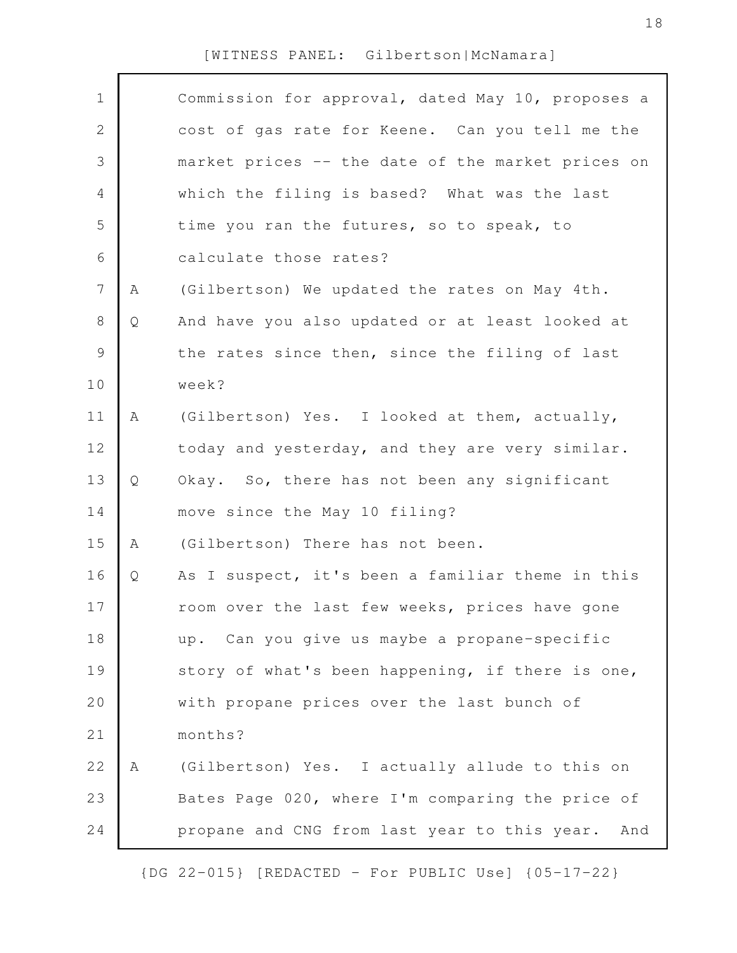| $\mathbf 1$    |   | Commission for approval, dated May 10, proposes a   |
|----------------|---|-----------------------------------------------------|
| $\mathbf{2}$   |   | cost of gas rate for Keene. Can you tell me the     |
| 3              |   | market prices -- the date of the market prices on   |
| 4              |   | which the filing is based? What was the last        |
| 5              |   | time you ran the futures, so to speak, to           |
| 6              |   | calculate those rates?                              |
| $7\phantom{.}$ | Α | (Gilbertson) We updated the rates on May 4th.       |
| $8\,$          | Q | And have you also updated or at least looked at     |
| $\mathcal{G}$  |   | the rates since then, since the filing of last      |
| 10             |   | week?                                               |
| 11             | Α | (Gilbertson) Yes. I looked at them, actually,       |
| 12             |   | today and yesterday, and they are very similar.     |
| 13             | Q | Okay. So, there has not been any significant        |
| 14             |   | move since the May 10 filing?                       |
| 15             | Α | (Gilbertson) There has not been.                    |
| 16             | Q | As I suspect, it's been a familiar theme in this    |
| 17             |   | room over the last few weeks, prices have gone      |
| 18             |   | up. Can you give us maybe a propane-specific        |
| 19             |   | story of what's been happening, if there is one,    |
| 20             |   | with propane prices over the last bunch of          |
| 21             |   | months?                                             |
| 22             | Α | (Gilbertson) Yes. I actually allude to this on      |
| 23             |   | Bates Page 020, where I'm comparing the price of    |
| 24             |   | propane and CNG from last year to this year.<br>And |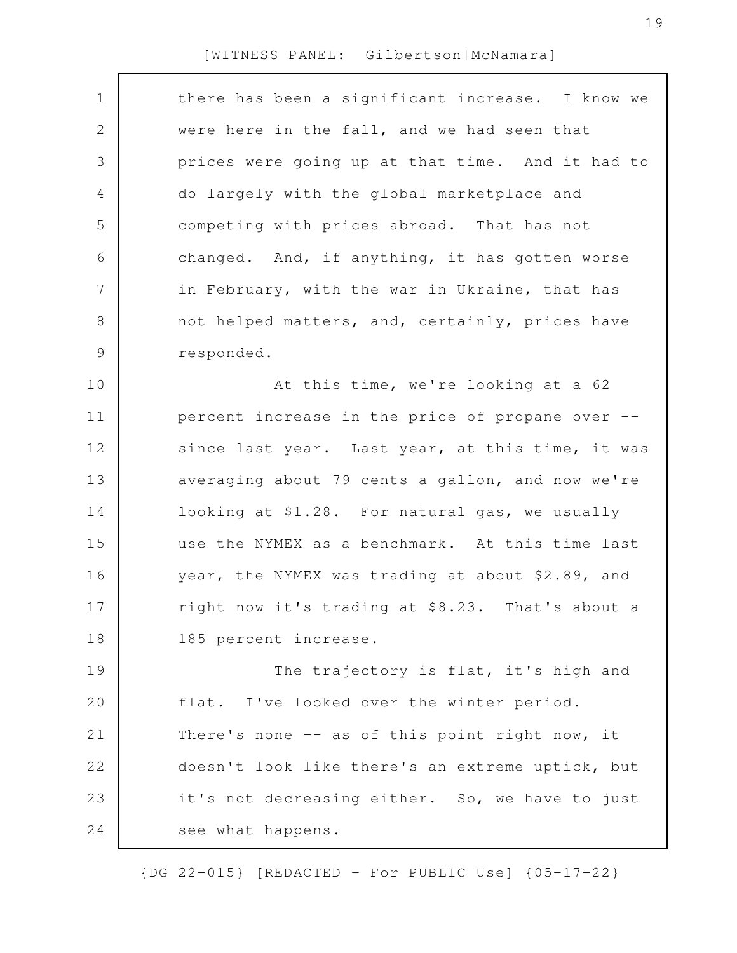$\Gamma$ 

| $\mathbf 1$   | there has been a significant increase. I know we |
|---------------|--------------------------------------------------|
| 2             | were here in the fall, and we had seen that      |
| 3             | prices were going up at that time. And it had to |
| 4             | do largely with the global marketplace and       |
| 5             | competing with prices abroad. That has not       |
| 6             | changed. And, if anything, it has gotten worse   |
| 7             | in February, with the war in Ukraine, that has   |
| 8             | not helped matters, and, certainly, prices have  |
| $\mathcal{G}$ | responded.                                       |
| 10            | At this time, we're looking at a 62              |
| 11            | percent increase in the price of propane over -- |
| 12            | since last year. Last year, at this time, it was |
| 13            | averaging about 79 cents a gallon, and now we're |
| 14            | looking at \$1.28. For natural gas, we usually   |
| 15            | use the NYMEX as a benchmark. At this time last  |
| 16            | year, the NYMEX was trading at about \$2.89, and |
| 17            | right now it's trading at \$8.23. That's about a |
| 18            | 185 percent increase.                            |
| 19            | The trajectory is flat, it's high and            |
| 20            | flat. I've looked over the winter period.        |
| 21            | There's none -- as of this point right now, it   |
| 22            | doesn't look like there's an extreme uptick, but |
| 23            | it's not decreasing either. So, we have to just  |
| 24            | see what happens.                                |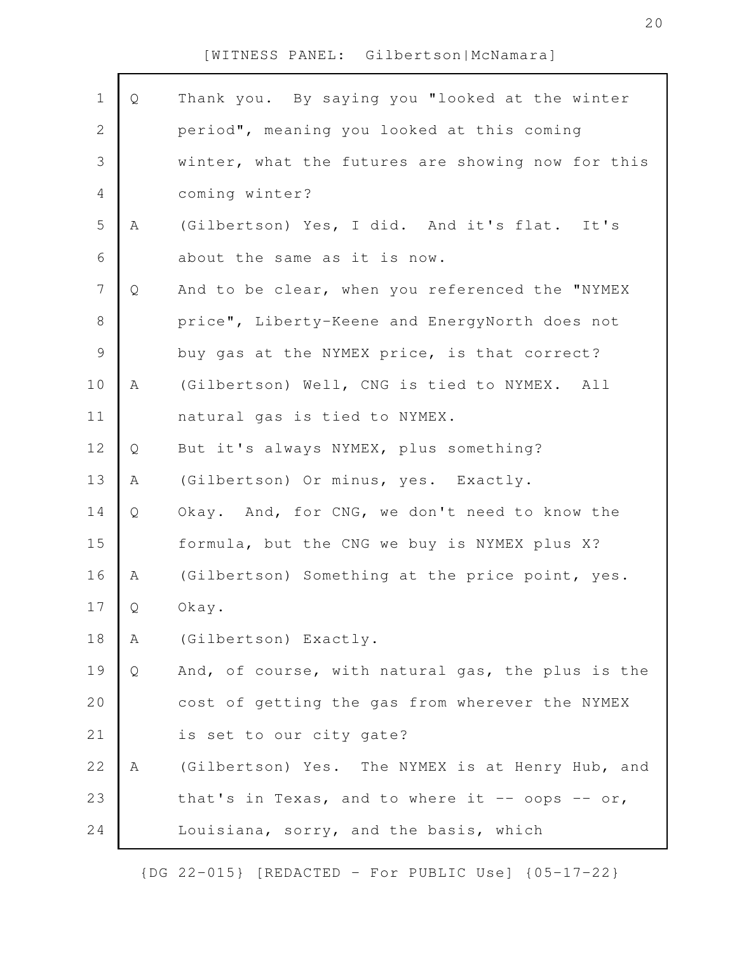| $1\,$          | Q | Thank you. By saying you "looked at the winter    |
|----------------|---|---------------------------------------------------|
| $\overline{2}$ |   | period", meaning you looked at this coming        |
| 3              |   | winter, what the futures are showing now for this |
| $\overline{4}$ |   | coming winter?                                    |
| 5              | Α | (Gilbertson) Yes, I did. And it's flat. It's      |
| 6              |   | about the same as it is now.                      |
| $\overline{7}$ | Q | And to be clear, when you referenced the "NYMEX   |
| $\,8\,$        |   | price", Liberty-Keene and EnergyNorth does not    |
| $\mathsf 9$    |   | buy gas at the NYMEX price, is that correct?      |
| 10             | A | (Gilbertson) Well, CNG is tied to NYMEX. All      |
| 11             |   | natural gas is tied to NYMEX.                     |
| 12             | Q | But it's always NYMEX, plus something?            |
| 13             | Α | (Gilbertson) Or minus, yes. Exactly.              |
| 14             | Q | Okay. And, for CNG, we don't need to know the     |
| 15             |   | formula, but the CNG we buy is NYMEX plus X?      |
| 16             | A | (Gilbertson) Something at the price point, yes.   |
| 17             | Q | Okay.                                             |
| 18             | А | (Gilbertson) Exactly.                             |
| 19             | Q | And, of course, with natural gas, the plus is the |
| 20             |   | cost of getting the gas from wherever the NYMEX   |
| 21             |   | is set to our city gate?                          |
| 22             | A | (Gilbertson) Yes. The NYMEX is at Henry Hub, and  |
| 23             |   | that's in Texas, and to where it $-$ 00ps $-$ 0r, |
| 24             |   | Louisiana, sorry, and the basis, which            |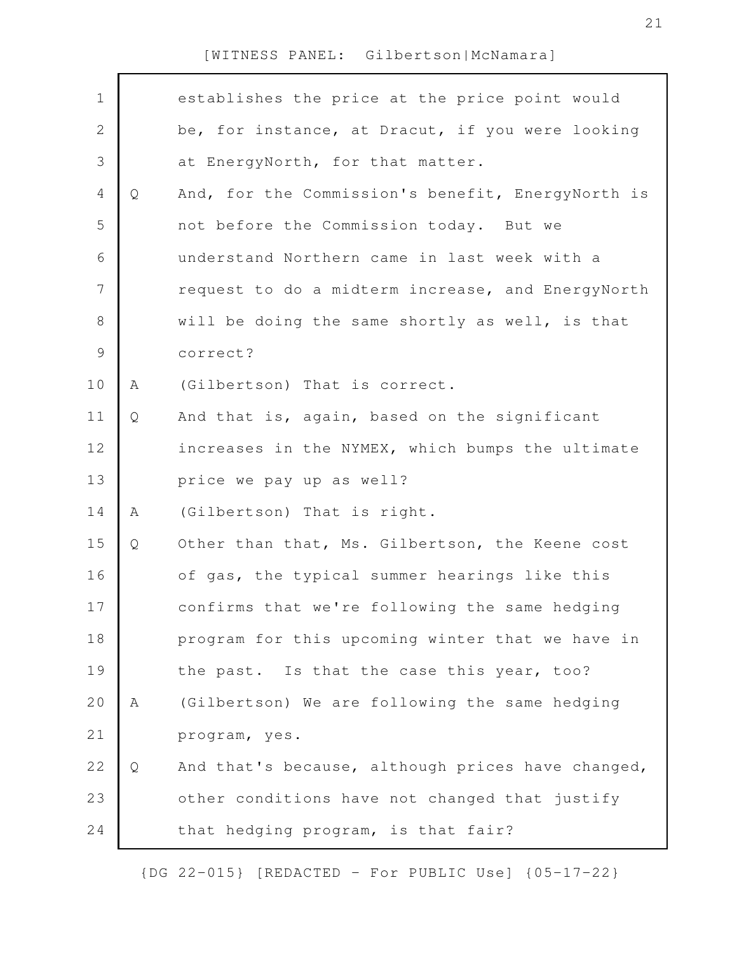| $\mathbf 1$    |   | establishes the price at the price point would    |
|----------------|---|---------------------------------------------------|
| $\sqrt{2}$     |   | be, for instance, at Dracut, if you were looking  |
| $\mathcal{S}$  |   | at EnergyNorth, for that matter.                  |
| $\overline{4}$ |   | And, for the Commission's benefit, EnergyNorth is |
|                | Q |                                                   |
| 5              |   | not before the Commission today. But we           |
| 6              |   | understand Northern came in last week with a      |
| $\overline{7}$ |   | request to do a midterm increase, and EnergyNorth |
| $8\,$          |   | will be doing the same shortly as well, is that   |
| $\mathcal{G}$  |   | correct?                                          |
| 10             | A | (Gilbertson) That is correct.                     |
| 11             | Q | And that is, again, based on the significant      |
| 12             |   | increases in the NYMEX, which bumps the ultimate  |
| 13             |   | price we pay up as well?                          |
| 14             | Α | (Gilbertson) That is right.                       |
| 15             | Q | Other than that, Ms. Gilbertson, the Keene cost   |
| 16             |   | of gas, the typical summer hearings like this     |
| 17             |   | confirms that we're following the same hedging    |
| 18             |   | program for this upcoming winter that we have in  |
| 19             |   | the past. Is that the case this year, too?        |
| 20             | A | (Gilbertson) We are following the same hedging    |
| 21             |   | program, yes.                                     |
| 22             | Q | And that's because, although prices have changed, |
| 23             |   | other conditions have not changed that justify    |
| 24             |   | that hedging program, is that fair?               |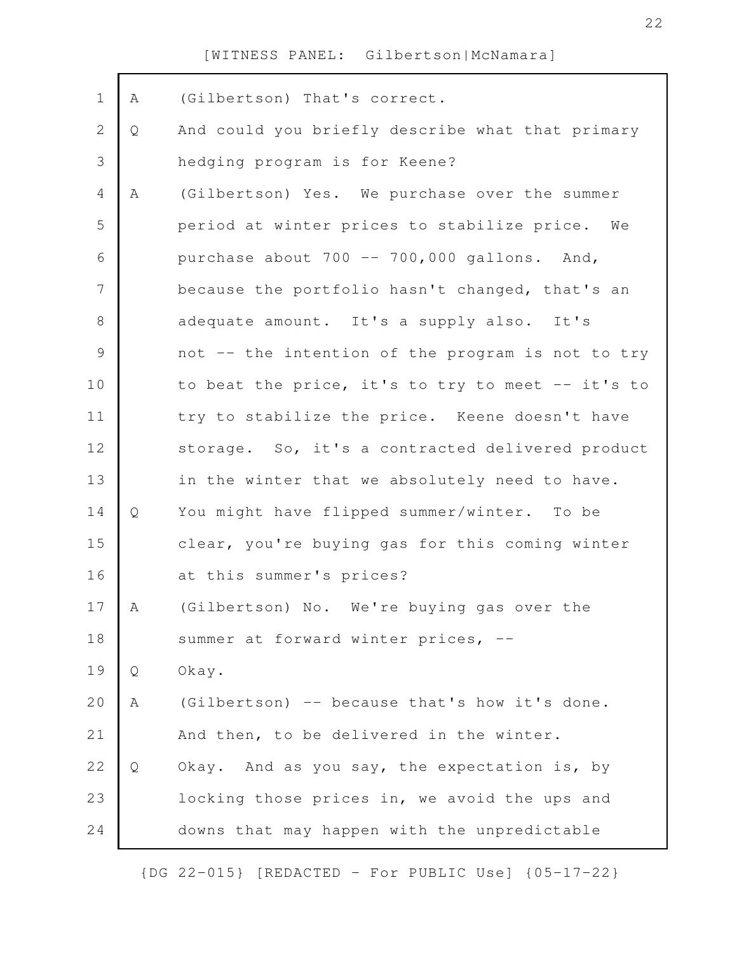| $\mathbf 1$    | Α | (Gilbertson) That's correct.                      |
|----------------|---|---------------------------------------------------|
| $\mathbf{2}$   | Q | And could you briefly describe what that primary  |
| 3              |   | hedging program is for Keene?                     |
| $\overline{4}$ | Α | (Gilbertson) Yes. We purchase over the summer     |
| 5              |   | period at winter prices to stabilize price. We    |
| 6              |   | purchase about 700 -- 700,000 gallons. And,       |
| 7              |   | because the portfolio hasn't changed, that's an   |
| $\,8\,$        |   | adequate amount. It's a supply also. It's         |
| $\mathcal{G}$  |   | not -- the intention of the program is not to try |
| 10             |   | to beat the price, it's to try to meet -- it's to |
| 11             |   | try to stabilize the price. Keene doesn't have    |
| 12             |   | storage. So, it's a contracted delivered product  |
| 13             |   | in the winter that we absolutely need to have.    |
| 14             | Q | You might have flipped summer/winter. To be       |
| 15             |   | clear, you're buying gas for this coming winter   |
| 16             |   | at this summer's prices?                          |
| 17             | A | (Gilbertson) No. We're buying gas over the        |
| 18             |   | summer at forward winter prices, --               |
| 19             | Q | Okay.                                             |
| 20             | Α | (Gilbertson) -- because that's how it's done.     |
| 21             |   | And then, to be delivered in the winter.          |
| 22             | Q | Okay. And as you say, the expectation is, by      |
| 23             |   | locking those prices in, we avoid the ups and     |
| 24             |   | downs that may happen with the unpredictable      |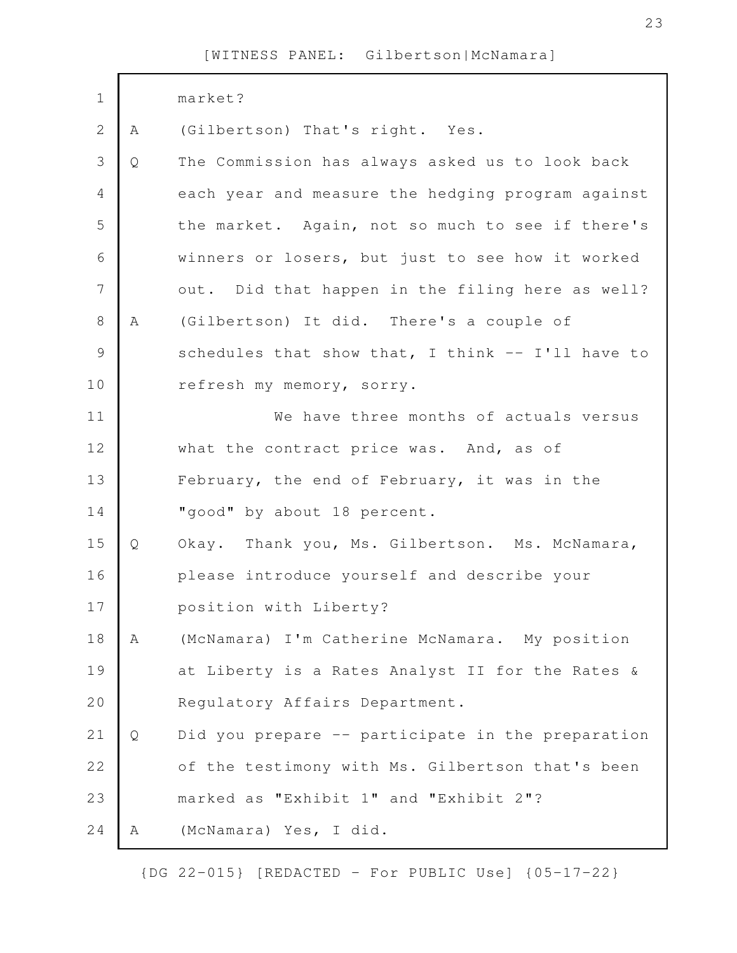| $\mathbf 1$    |   | market?                                           |
|----------------|---|---------------------------------------------------|
| $\overline{2}$ | A | (Gilbertson) That's right. Yes.                   |
| 3              | Q | The Commission has always asked us to look back   |
| 4              |   | each year and measure the hedging program against |
| 5              |   | the market. Again, not so much to see if there's  |
| 6              |   | winners or losers, but just to see how it worked  |
| $\overline{7}$ |   | out. Did that happen in the filing here as well?  |
| $\,8\,$        | Α | (Gilbertson) It did. There's a couple of          |
| $\mathcal{G}$  |   | schedules that show that, I think -- I'll have to |
| 10             |   | refresh my memory, sorry.                         |
| 11             |   | We have three months of actuals versus            |
| 12             |   | what the contract price was. And, as of           |
| 13             |   | February, the end of February, it was in the      |
| 14             |   | "good" by about 18 percent.                       |
| 15             | Q | Okay. Thank you, Ms. Gilbertson. Ms. McNamara,    |
| 16             |   | please introduce yourself and describe your       |
| 17             |   | position with Liberty?                            |
| 18             | Α | (McNamara) I'm Catherine McNamara. My position    |
| 19             |   | at Liberty is a Rates Analyst II for the Rates &  |
| 20             |   | Regulatory Affairs Department.                    |
| 21             | Q | Did you prepare -- participate in the preparation |
| 22             |   | of the testimony with Ms. Gilbertson that's been  |
| 23             |   | marked as "Exhibit 1" and "Exhibit 2"?            |
| 24             | Α | (McNamara) Yes, I did.                            |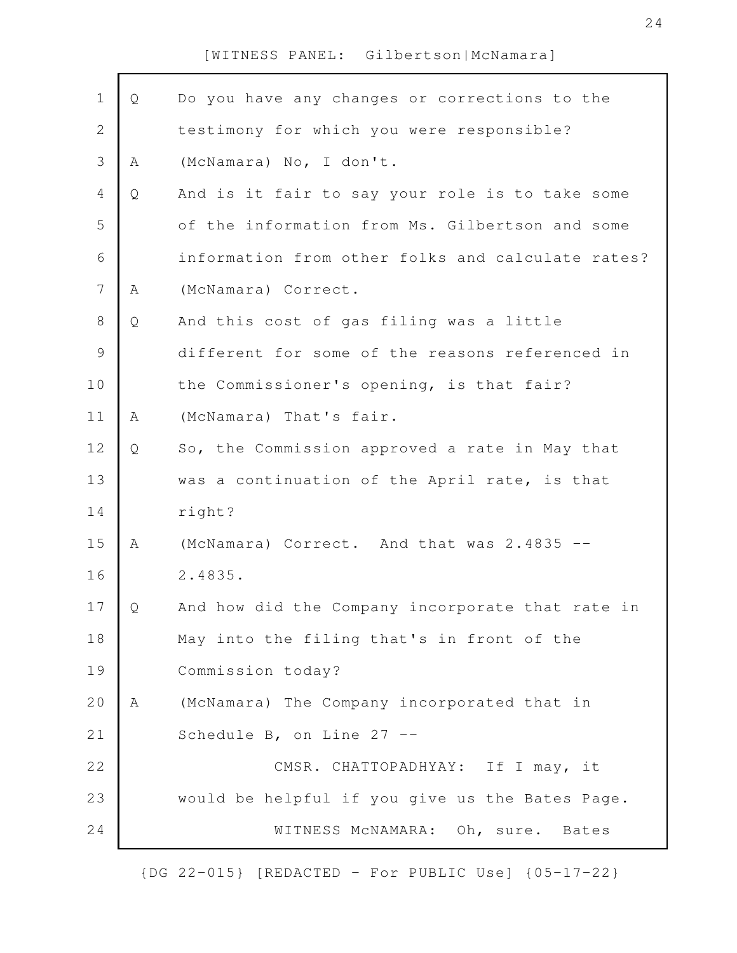| $\mathbf 1$    | Q | Do you have any changes or corrections to the     |
|----------------|---|---------------------------------------------------|
| $\mathbf 2$    |   | testimony for which you were responsible?         |
| $\mathcal{S}$  | Α | (McNamara) No, I don't.                           |
| $\overline{4}$ | Q | And is it fair to say your role is to take some   |
| 5              |   | of the information from Ms. Gilbertson and some   |
| 6              |   | information from other folks and calculate rates? |
| $\overline{7}$ | Α | (McNamara) Correct.                               |
| $\,8\,$        | Q | And this cost of gas filing was a little          |
| $\mathcal{G}$  |   | different for some of the reasons referenced in   |
| 10             |   | the Commissioner's opening, is that fair?         |
| 11             | Α | (McNamara) That's fair.                           |
| 12             | Q | So, the Commission approved a rate in May that    |
| 13             |   | was a continuation of the April rate, is that     |
| 14             |   | right?                                            |
| 15             | A | (McNamara) Correct. And that was 2.4835 --        |
| 16             |   | 2.4835.                                           |
| 17             | O | And how did the Company incorporate that rate in  |
| 18             |   | May into the filing that's in front of the        |
| 19             |   | Commission today?                                 |
| 20             | A | (McNamara) The Company incorporated that in       |
| 21             |   | Schedule B, on Line 27 --                         |
| 22             |   | CMSR. CHATTOPADHYAY: If I may, it                 |
| 23             |   | would be helpful if you give us the Bates Page.   |
| 24             |   | WITNESS MCNAMARA: Oh, sure. Bates                 |
|                |   |                                                   |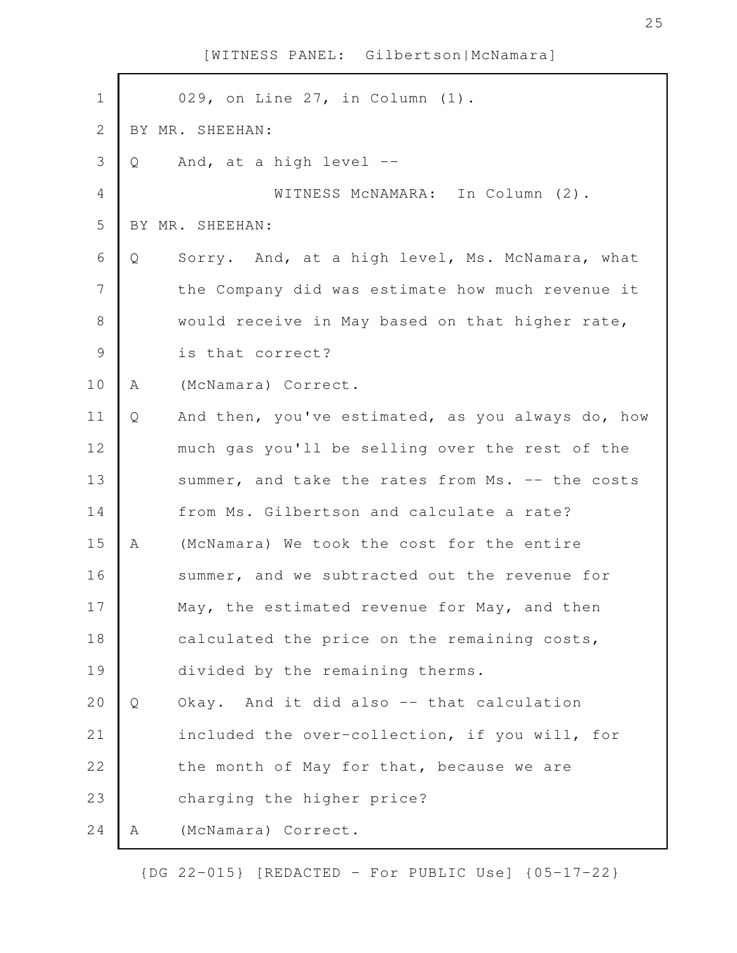| $\mathbf 1$    |   | 029, on Line 27, in Column (1).                   |
|----------------|---|---------------------------------------------------|
| $\mathbf{2}$   |   | BY MR. SHEEHAN:                                   |
| 3              | Q | And, at a high level --                           |
| 4              |   | WITNESS MCNAMARA: In Column (2).                  |
| 5              |   | BY MR. SHEEHAN:                                   |
| 6              | Q | Sorry. And, at a high level, Ms. McNamara, what   |
| $\overline{7}$ |   | the Company did was estimate how much revenue it  |
| $8\,$          |   | would receive in May based on that higher rate,   |
| $\mathcal{G}$  |   | is that correct?                                  |
| 10             | Α | (McNamara) Correct.                               |
| 11             | Q | And then, you've estimated, as you always do, how |
| 12             |   | much gas you'll be selling over the rest of the   |
| 13             |   | summer, and take the rates from Ms. -- the costs  |
| 14             |   | from Ms. Gilbertson and calculate a rate?         |
| 15             | Α | (McNamara) We took the cost for the entire        |
| 16             |   | summer, and we subtracted out the revenue for     |
| 17             |   | May, the estimated revenue for May, and then      |
| 18             |   | calculated the price on the remaining costs,      |
| 19             |   | divided by the remaining therms.                  |
| 20             | Q | Okay. And it did also -- that calculation         |
| 21             |   | included the over-collection, if you will, for    |
| 22             |   | the month of May for that, because we are         |
| 23             |   | charging the higher price?                        |
| 24             | Α | (McNamara) Correct.                               |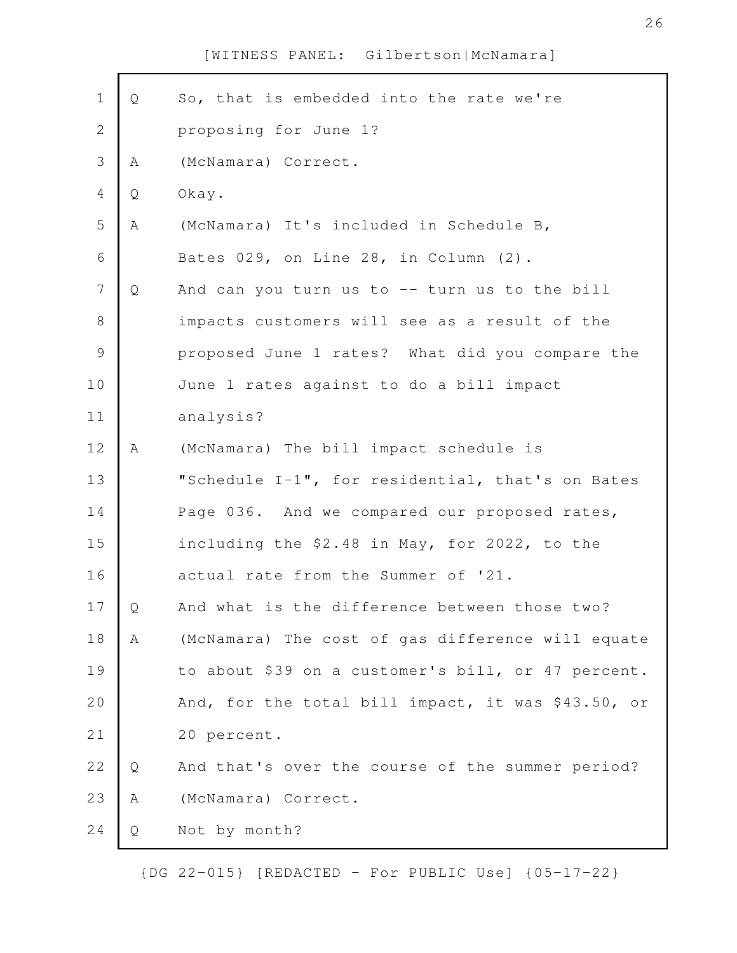| $\mathbf 1$      | Q | So, that is embedded into the rate we're           |
|------------------|---|----------------------------------------------------|
| $\mathbf 2$      |   | proposing for June 1?                              |
| $\mathsf S$      | Α | (McNamara) Correct.                                |
| 4                | Q | Okay.                                              |
| 5                | Α | (McNamara) It's included in Schedule B,            |
| 6                |   | Bates 029, on Line 28, in Column (2).              |
| $\boldsymbol{7}$ | Q | And can you turn us to -- turn us to the bill      |
| $\,8\,$          |   | impacts customers will see as a result of the      |
| $\mathsf 9$      |   | proposed June 1 rates? What did you compare the    |
| 10               |   | June 1 rates against to do a bill impact           |
| 11               |   | analysis?                                          |
| 12               | A | (McNamara) The bill impact schedule is             |
| 13               |   | "Schedule I-1", for residential, that's on Bates   |
| 14               |   | Page 036. And we compared our proposed rates,      |
| 15               |   | including the \$2.48 in May, for 2022, to the      |
| 16               |   | actual rate from the Summer of '21.                |
| 17               | Q | And what is the difference between those two?      |
| 18               | Α | (McNamara) The cost of gas difference will equate  |
| 19               |   | to about \$39 on a customer's bill, or 47 percent. |
| 20               |   | And, for the total bill impact, it was \$43.50, or |
| 21               |   | 20 percent.                                        |
| 22               | Q | And that's over the course of the summer period?   |
| 23               | Α | (McNamara) Correct.                                |
| 24               | Q | Not by month?                                      |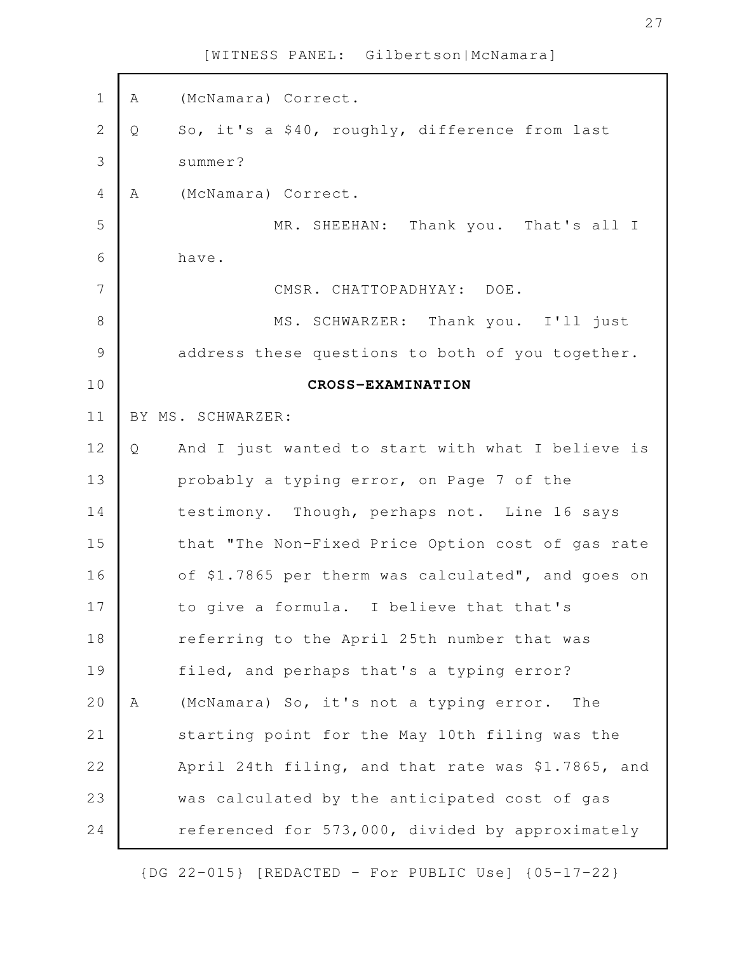A (McNamara) Correct. Q So, it's a \$40, roughly, difference from last summer? A (McNamara) Correct. MR. SHEEHAN: Thank you. That's all I have. CMSR. CHATTOPADHYAY: DOE. MS. SCHWARZER: Thank you. I'll just address these questions to both of you together. **CROSS-EXAMINATION** BY MS. SCHWARZER: Q And I just wanted to start with what I believe is probably a typing error, on Page 7 of the testimony. Though, perhaps not. Line 16 says that "The Non-Fixed Price Option cost of gas rate of \$1.7865 per therm was calculated", and goes on to give a formula. I believe that that's referring to the April 25th number that was filed, and perhaps that's a typing error? A (McNamara) So, it's not a typing error. The starting point for the May 10th filing was the April 24th filing, and that rate was \$1.7865, and was calculated by the anticipated cost of gas referenced for 573,000, divided by approximately 1 2 3 4 5 6 7 8 9 10 11 12 13 14 15 16 17 18 19 20 21 22 23 24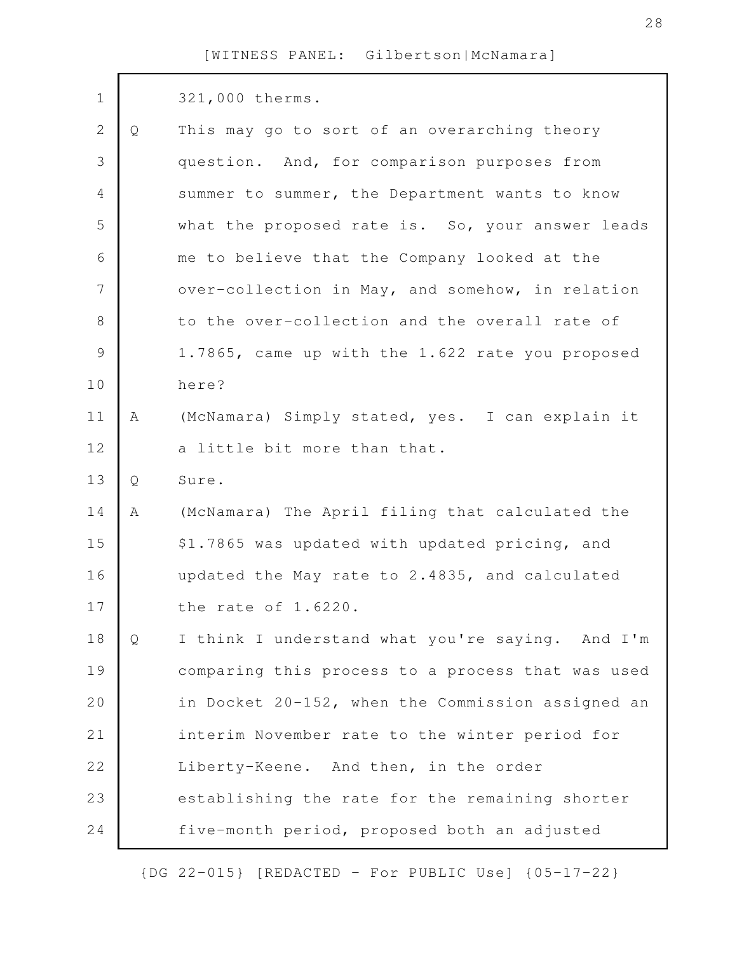| $\mathbf 1$    |   | 321,000 therms.                                   |
|----------------|---|---------------------------------------------------|
| $\mathbf{2}$   | Q | This may go to sort of an overarching theory      |
| 3              |   | question. And, for comparison purposes from       |
| $\overline{4}$ |   | summer to summer, the Department wants to know    |
| 5              |   | what the proposed rate is. So, your answer leads  |
| 6              |   | me to believe that the Company looked at the      |
| 7              |   | over-collection in May, and somehow, in relation  |
| 8              |   | to the over-collection and the overall rate of    |
| $\mathcal{G}$  |   | 1.7865, came up with the 1.622 rate you proposed  |
| 10             |   | here?                                             |
| 11             | Α | (McNamara) Simply stated, yes. I can explain it   |
| 12             |   | a little bit more than that.                      |
| 13             | Q | Sure.                                             |
| 14             | Α | (McNamara) The April filing that calculated the   |
| 15             |   | \$1.7865 was updated with updated pricing, and    |
| 16             |   | updated the May rate to 2.4835, and calculated    |
| 17             |   | the rate of 1.6220.                               |
| 18             | Q | I think I understand what you're saying. And I'm  |
| 19             |   | comparing this process to a process that was used |
| 20             |   | in Docket 20-152, when the Commission assigned an |
| 21             |   | interim November rate to the winter period for    |
| 22             |   | Liberty-Keene. And then, in the order             |
| 23             |   | establishing the rate for the remaining shorter   |
| 24             |   | five-month period, proposed both an adjusted      |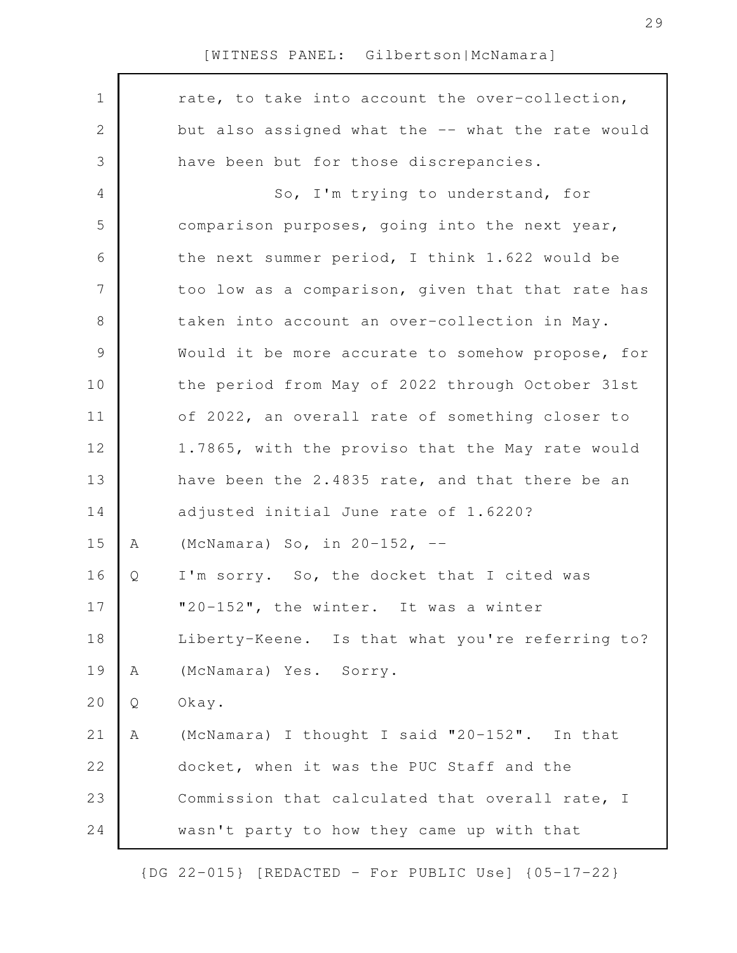| $\mathbf 1$    |   | rate, to take into account the over-collection,   |
|----------------|---|---------------------------------------------------|
| $\mathbf{2}$   |   | but also assigned what the -- what the rate would |
| $\mathfrak{Z}$ |   | have been but for those discrepancies.            |
| $\overline{4}$ |   | So, I'm trying to understand, for                 |
| 5              |   | comparison purposes, going into the next year,    |
| 6              |   | the next summer period, I think 1.622 would be    |
| $\overline{7}$ |   | too low as a comparison, given that that rate has |
| $8\,$          |   | taken into account an over-collection in May.     |
| $\mathsf 9$    |   | Would it be more accurate to somehow propose, for |
| 10             |   | the period from May of 2022 through October 31st  |
| 11             |   | of 2022, an overall rate of something closer to   |
| 12             |   | 1.7865, with the proviso that the May rate would  |
| 13             |   | have been the 2.4835 rate, and that there be an   |
| 14             |   | adjusted initial June rate of 1.6220?             |
| 15             | Α | (McNamara) So, in $20-152$ , $-$                  |
| 16             | Q | I'm sorry. So, the docket that I cited was        |
| 17             |   | "20-152", the winter. It was a winter             |
| 18             |   | Liberty-Keene. Is that what you're referring to?  |
| 19             | Α | (McNamara) Yes. Sorry.                            |
| 20             | Q | Okay.                                             |
| 21             | Α | (McNamara) I thought I said "20-152". In that     |
| 22             |   | docket, when it was the PUC Staff and the         |
| 23             |   | Commission that calculated that overall rate, I   |
| 24             |   | wasn't party to how they came up with that        |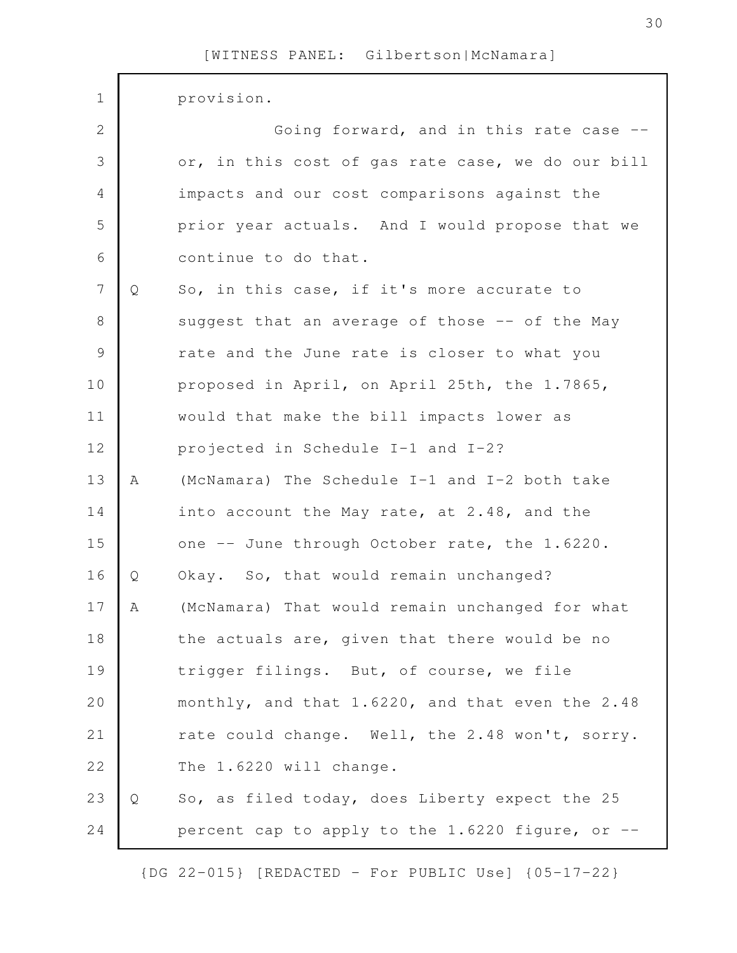| $\mathbf 1$    |   | provision.                                        |
|----------------|---|---------------------------------------------------|
| 2              |   | Going forward, and in this rate case --           |
| 3              |   | or, in this cost of gas rate case, we do our bill |
| $\overline{4}$ |   | impacts and our cost comparisons against the      |
| 5              |   | prior year actuals. And I would propose that we   |
| 6              |   | continue to do that.                              |
| $\overline{7}$ | Q | So, in this case, if it's more accurate to        |
| $8\,$          |   | suggest that an average of those -- of the May    |
| $\mathcal{G}$  |   | rate and the June rate is closer to what you      |
| 10             |   | proposed in April, on April 25th, the 1.7865,     |
| 11             |   | would that make the bill impacts lower as         |
| 12             |   | projected in Schedule I-1 and I-2?                |
| 13             | Α | (McNamara) The Schedule I-1 and I-2 both take     |
| 14             |   | into account the May rate, at 2.48, and the       |
| 15             |   | one -- June through October rate, the 1.6220.     |
| 16             | Q | Okay. So, that would remain unchanged?            |
| 17             | А | (McNamara) That would remain unchanged for what   |
| 18             |   | the actuals are, given that there would be no     |
| 19             |   | trigger filings. But, of course, we file          |
| 20             |   | monthly, and that 1.6220, and that even the 2.48  |
| 21             |   | rate could change. Well, the 2.48 won't, sorry.   |
| 22             |   | The 1.6220 will change.                           |
| 23             | Q | So, as filed today, does Liberty expect the 25    |
| 24             |   | percent cap to apply to the 1.6220 figure, or --  |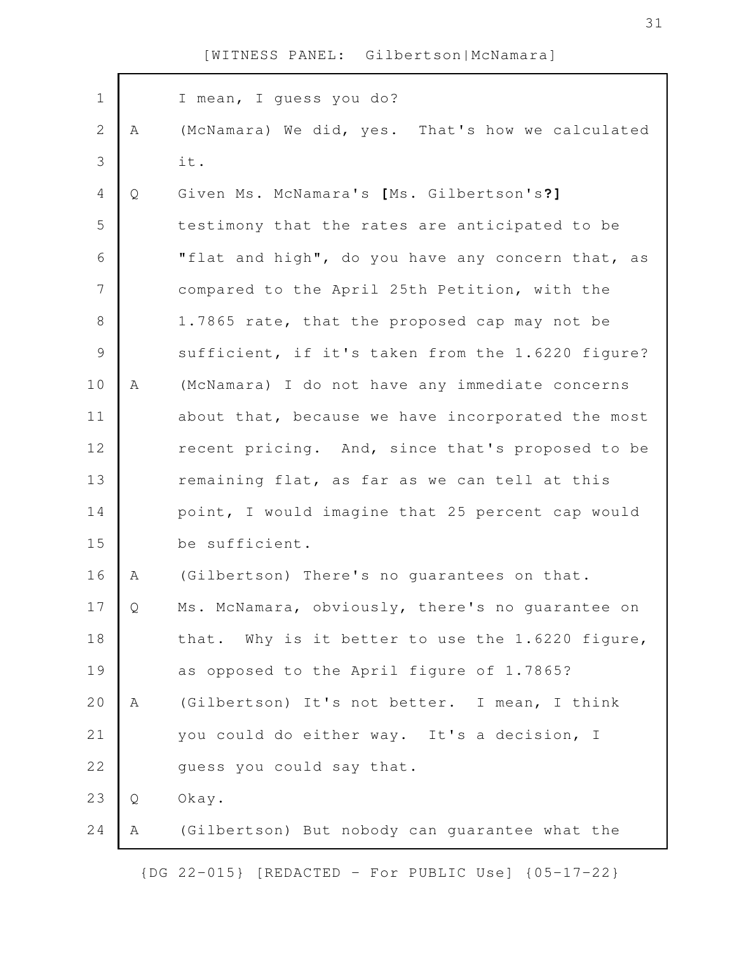| $\mathbf 1$   |   | I mean, I quess you do?                           |
|---------------|---|---------------------------------------------------|
| $\mathbf{2}$  | A | (McNamara) We did, yes. That's how we calculated  |
| 3             |   | it.                                               |
| 4             | Q | Given Ms. McNamara's [Ms. Gilbertson's?]          |
| 5             |   | testimony that the rates are anticipated to be    |
| 6             |   | "flat and high", do you have any concern that, as |
| 7             |   | compared to the April 25th Petition, with the     |
| $8\,$         |   | 1.7865 rate, that the proposed cap may not be     |
| $\mathcal{G}$ |   | sufficient, if it's taken from the 1.6220 figure? |
| 10            | Α | (McNamara) I do not have any immediate concerns   |
| 11            |   | about that, because we have incorporated the most |
| 12            |   | recent pricing. And, since that's proposed to be  |
| 13            |   | remaining flat, as far as we can tell at this     |
| 14            |   | point, I would imagine that 25 percent cap would  |
| 15            |   | be sufficient.                                    |
| 16            | A | (Gilbertson) There's no quarantees on that.       |
| 17            | Q | Ms. McNamara, obviously, there's no guarantee on  |
| 18            |   | that. Why is it better to use the 1.6220 figure,  |
| 19            |   | as opposed to the April figure of 1.7865?         |
| 20            | Α | (Gilbertson) It's not better. I mean, I think     |
| 21            |   | you could do either way. It's a decision, I       |
| 22            |   | quess you could say that.                         |
| 23            | Q | Okay.                                             |
| 24            | Α | (Gilbertson) But nobody can guarantee what the    |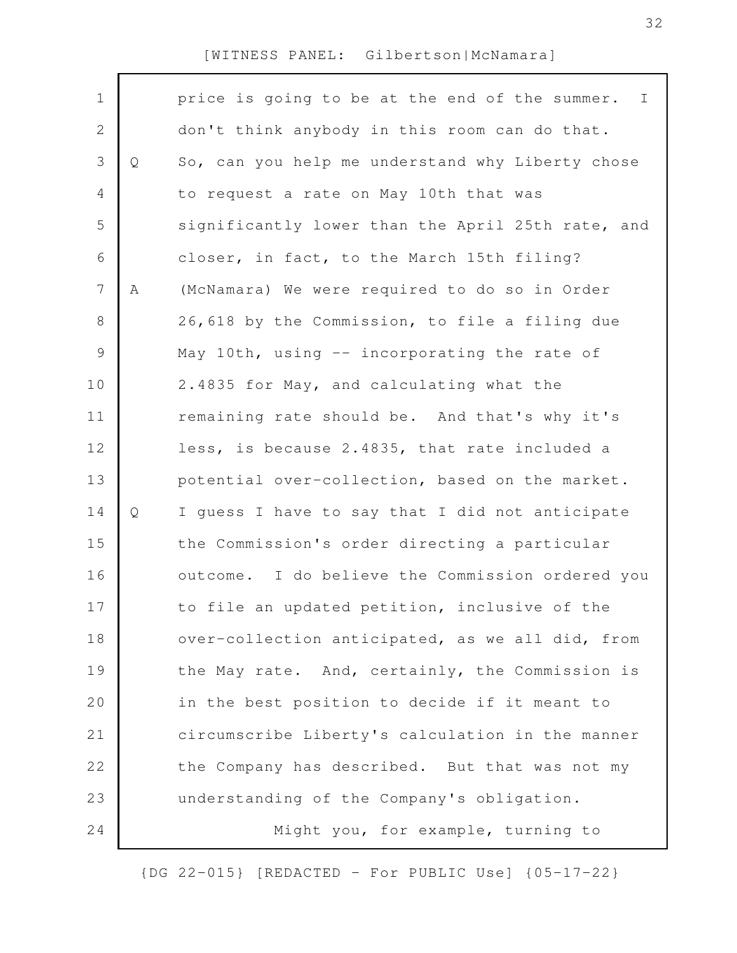$\Gamma$ 

| $\mathbf 1$    |   | price is going to be at the end of the summer. I  |
|----------------|---|---------------------------------------------------|
| $\mathbf{2}$   |   | don't think anybody in this room can do that.     |
| 3              | Q | So, can you help me understand why Liberty chose  |
| 4              |   | to request a rate on May 10th that was            |
| 5              |   | significantly lower than the April 25th rate, and |
| 6              |   | closer, in fact, to the March 15th filing?        |
| $7\phantom{.}$ | A | (McNamara) We were required to do so in Order     |
| 8              |   | 26,618 by the Commission, to file a filing due    |
| $\mathsf 9$    |   | May 10th, using -- incorporating the rate of      |
| 10             |   | 2.4835 for May, and calculating what the          |
| 11             |   | remaining rate should be. And that's why it's     |
| 12             |   | less, is because 2.4835, that rate included a     |
| 13             |   | potential over-collection, based on the market.   |
| 14             | Q | I guess I have to say that I did not anticipate   |
| 15             |   | the Commission's order directing a particular     |
| 16             |   | outcome. I do believe the Commission ordered you  |
| 17             |   | to file an updated petition, inclusive of the     |
| 18             |   | over-collection anticipated, as we all did, from  |
| 19             |   | the May rate. And, certainly, the Commission is   |
| 20             |   | in the best position to decide if it meant to     |
| 21             |   | circumscribe Liberty's calculation in the manner  |
| 22             |   | the Company has described. But that was not my    |
| 23             |   | understanding of the Company's obligation.        |
| 24             |   | Might you, for example, turning to                |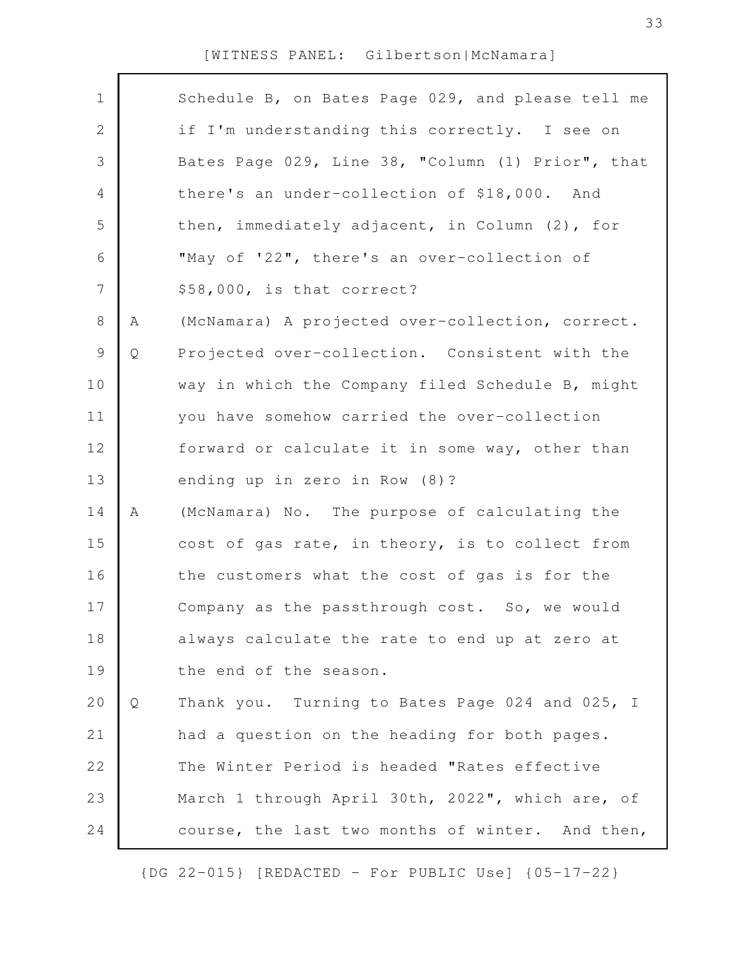| $\mathbf 1$    |   | Schedule B, on Bates Page 029, and please tell me |
|----------------|---|---------------------------------------------------|
| $\mathbf{2}$   |   | if I'm understanding this correctly. I see on     |
| 3              |   | Bates Page 029, Line 38, "Column (1) Prior", that |
| 4              |   | there's an under-collection of \$18,000. And      |
| 5              |   | then, immediately adjacent, in Column (2), for    |
| 6              |   | "May of '22", there's an over-collection of       |
| $\overline{7}$ |   | \$58,000, is that correct?                        |
| 8              | А | (McNamara) A projected over-collection, correct.  |
| 9              | Q | Projected over-collection. Consistent with the    |
| 10             |   | way in which the Company filed Schedule B, might  |
| 11             |   | you have somehow carried the over-collection      |
| 12             |   | forward or calculate it in some way, other than   |
| 13             |   | ending up in zero in Row (8)?                     |
| 14             | Α | (McNamara) No. The purpose of calculating the     |
| 15             |   | cost of gas rate, in theory, is to collect from   |
| 16             |   | the customers what the cost of gas is for the     |
| 17             |   | Company as the passthrough cost. So, we would     |
| 18             |   | always calculate the rate to end up at zero at    |
| 19             |   | the end of the season.                            |
| 20             | Q | Thank you. Turning to Bates Page 024 and 025, I   |
| 21             |   | had a question on the heading for both pages.     |
| 22             |   | The Winter Period is headed "Rates effective      |
| 23             |   | March 1 through April 30th, 2022", which are, of  |
| 24             |   | course, the last two months of winter. And then,  |
|                |   |                                                   |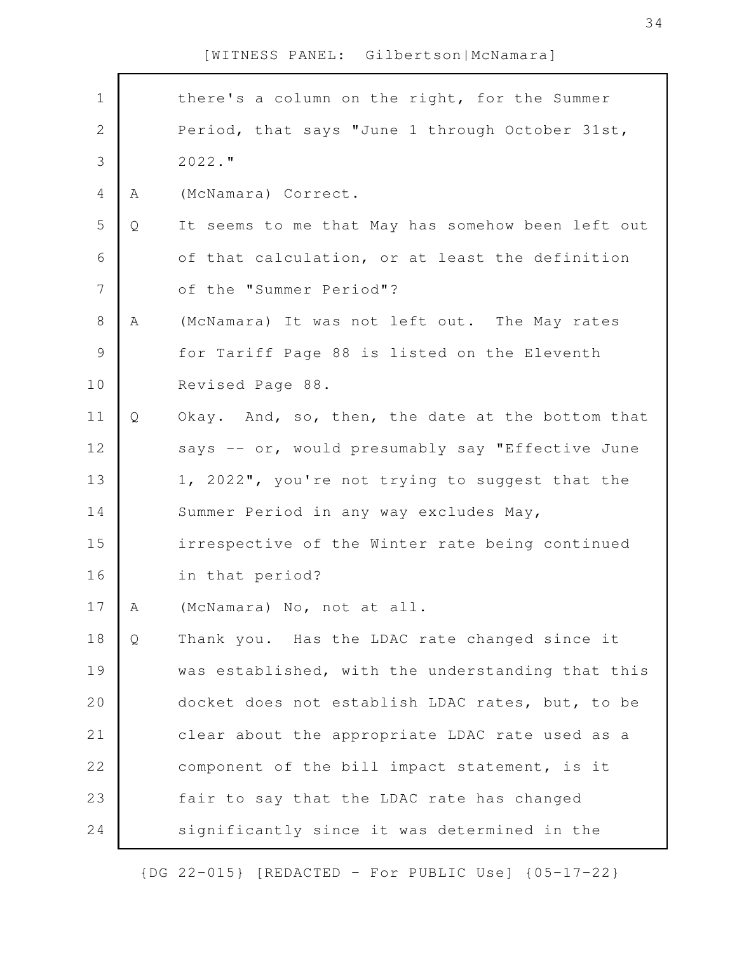| $\mathbf 1$    |   | there's a column on the right, for the Summer     |
|----------------|---|---------------------------------------------------|
| $\mathbf{2}$   |   | Period, that says "June 1 through October 31st,   |
| 3              |   | $2022.$ "                                         |
| $\overline{4}$ | A | (McNamara) Correct.                               |
| 5              | Q | It seems to me that May has somehow been left out |
| 6              |   | of that calculation, or at least the definition   |
| $\overline{7}$ |   | of the "Summer Period"?                           |
| $8\,$          | A | (McNamara) It was not left out. The May rates     |
| $\mathsf 9$    |   | for Tariff Page 88 is listed on the Eleventh      |
| 10             |   | Revised Page 88.                                  |
| 11             | Q | Okay. And, so, then, the date at the bottom that  |
| 12             |   | says -- or, would presumably say "Effective June  |
| 13             |   | 1, 2022", you're not trying to suggest that the   |
| 14             |   | Summer Period in any way excludes May,            |
| 15             |   | irrespective of the Winter rate being continued   |
| 16             |   | in that period?                                   |
| 17             | Α | (McNamara) No, not at all.                        |
| 18             | Q | Thank you. Has the LDAC rate changed since it     |
| 19             |   | was established, with the understanding that this |
| 20             |   | docket does not establish LDAC rates, but, to be  |
| 21             |   | clear about the appropriate LDAC rate used as a   |
| 22             |   | component of the bill impact statement, is it     |
| 23             |   | fair to say that the LDAC rate has changed        |
| 24             |   | significantly since it was determined in the      |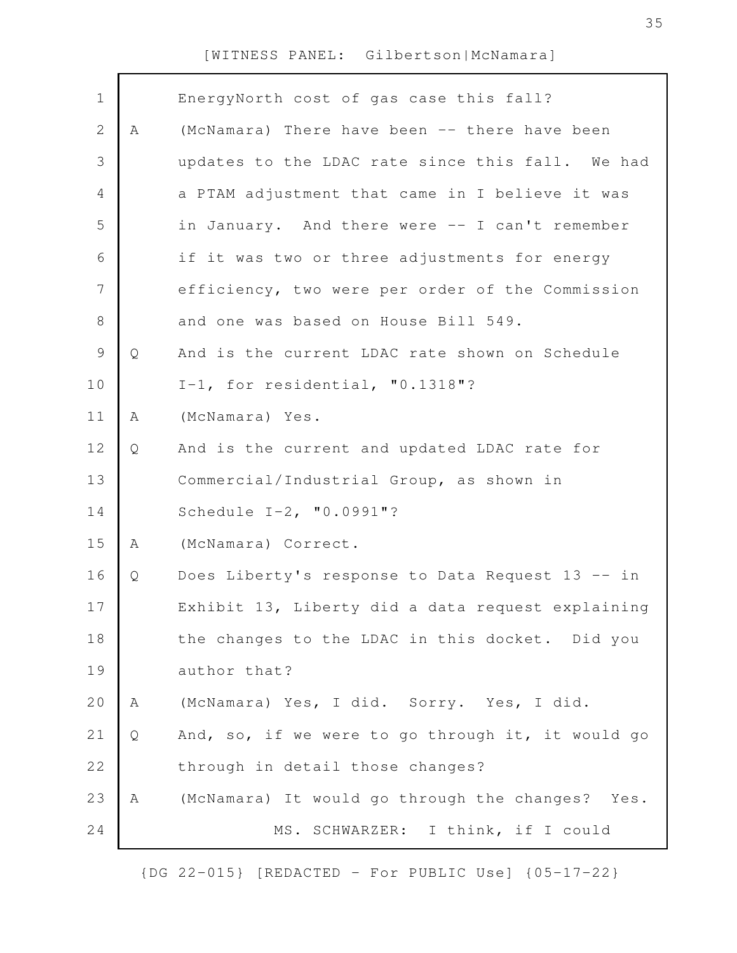| $\mathbf 1$    |   | EnergyNorth cost of gas case this fall?           |
|----------------|---|---------------------------------------------------|
|                |   |                                                   |
| $\mathbf{2}$   | A | (McNamara) There have been -- there have been     |
| 3              |   | updates to the LDAC rate since this fall. We had  |
| 4              |   | a PTAM adjustment that came in I believe it was   |
| 5              |   | in January. And there were -- I can't remember    |
| 6              |   | if it was two or three adjustments for energy     |
| $\overline{7}$ |   | efficiency, two were per order of the Commission  |
| $8\,$          |   | and one was based on House Bill 549.              |
| $\mathcal{G}$  | Q | And is the current LDAC rate shown on Schedule    |
| 10             |   | I-1, for residential, $"0.1318"$ ?                |
| 11             | Α | (McNamara) Yes.                                   |
| 12             | Q | And is the current and updated LDAC rate for      |
| 13             |   | Commercial/Industrial Group, as shown in          |
| 14             |   | Schedule I-2, "0.0991"?                           |
| 15             | Α | (McNamara) Correct.                               |
| 16             | Q | Does Liberty's response to Data Request 13 -- in  |
| 17             |   | Exhibit 13, Liberty did a data request explaining |
| 18             |   | the changes to the LDAC in this docket. Did you   |
| 19             |   | author that?                                      |
| 20             | Α | (McNamara) Yes, I did. Sorry. Yes, I did.         |
| 21             | Q | And, so, if we were to go through it, it would go |
| 22             |   | through in detail those changes?                  |
| 23             | Α | (McNamara) It would go through the changes? Yes.  |
| 24             |   | MS. SCHWARZER: I think, if I could                |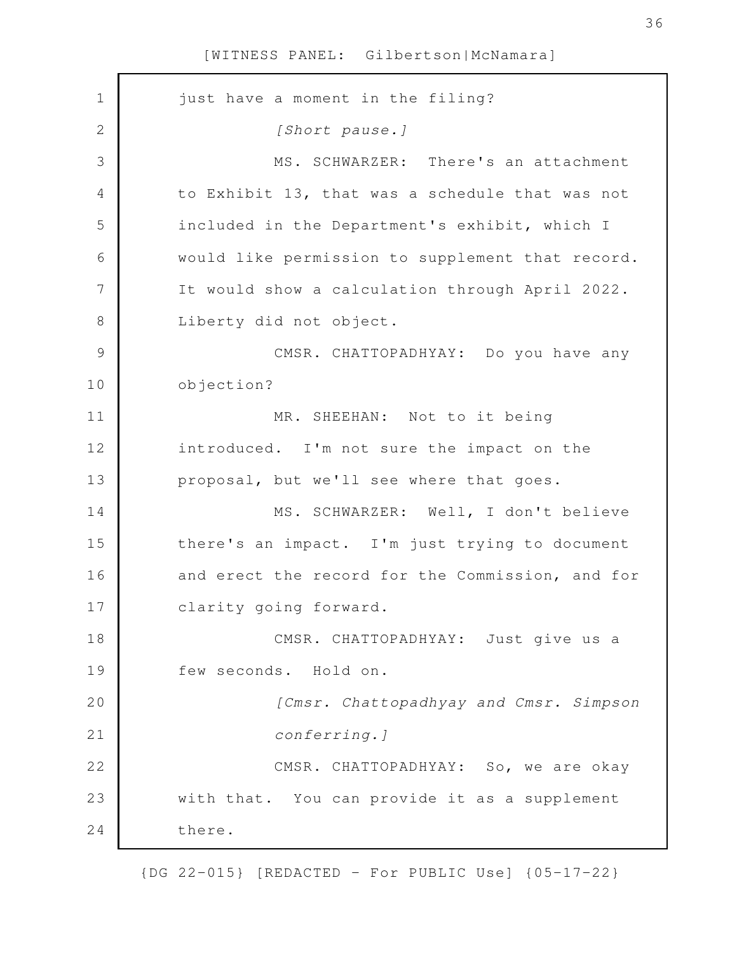| $\mathbf 1$<br>just have a moment in the filing?<br>2<br>[Short pause.]<br>3<br>MS. SCHWARZER: There's an attachment<br>to Exhibit 13, that was a schedule that was not<br>4<br>5<br>included in the Department's exhibit, which I<br>would like permission to supplement that record.<br>6<br>7<br>It would show a calculation through April 2022.<br>$8\,$<br>Liberty did not object.<br>$\mathcal{G}$<br>CMSR. CHATTOPADHYAY: Do you have any<br>10<br>objection?<br>11<br>MR. SHEEHAN: Not to it being<br>12<br>introduced. I'm not sure the impact on the<br>13<br>proposal, but we'll see where that goes.<br>14<br>MS. SCHWARZER: Well, I don't believe<br>15<br>there's an impact. I'm just trying to document<br>and erect the record for the Commission, and for<br>16<br>17<br>clarity going forward.<br>18<br>CMSR. CHATTOPADHYAY: Just give us a<br>19<br>few seconds. Hold on.<br>20<br>[Cmsr. Chattopadhyay and Cmsr. Simpson<br>21<br>conferring.]<br>22<br>CMSR. CHATTOPADHYAY: So, we are okay<br>23<br>with that. You can provide it as a supplement<br>24<br>there. |  |
|-----------------------------------------------------------------------------------------------------------------------------------------------------------------------------------------------------------------------------------------------------------------------------------------------------------------------------------------------------------------------------------------------------------------------------------------------------------------------------------------------------------------------------------------------------------------------------------------------------------------------------------------------------------------------------------------------------------------------------------------------------------------------------------------------------------------------------------------------------------------------------------------------------------------------------------------------------------------------------------------------------------------------------------------------------------------------------------------|--|
|                                                                                                                                                                                                                                                                                                                                                                                                                                                                                                                                                                                                                                                                                                                                                                                                                                                                                                                                                                                                                                                                                         |  |
|                                                                                                                                                                                                                                                                                                                                                                                                                                                                                                                                                                                                                                                                                                                                                                                                                                                                                                                                                                                                                                                                                         |  |
|                                                                                                                                                                                                                                                                                                                                                                                                                                                                                                                                                                                                                                                                                                                                                                                                                                                                                                                                                                                                                                                                                         |  |
|                                                                                                                                                                                                                                                                                                                                                                                                                                                                                                                                                                                                                                                                                                                                                                                                                                                                                                                                                                                                                                                                                         |  |
|                                                                                                                                                                                                                                                                                                                                                                                                                                                                                                                                                                                                                                                                                                                                                                                                                                                                                                                                                                                                                                                                                         |  |
|                                                                                                                                                                                                                                                                                                                                                                                                                                                                                                                                                                                                                                                                                                                                                                                                                                                                                                                                                                                                                                                                                         |  |
|                                                                                                                                                                                                                                                                                                                                                                                                                                                                                                                                                                                                                                                                                                                                                                                                                                                                                                                                                                                                                                                                                         |  |
|                                                                                                                                                                                                                                                                                                                                                                                                                                                                                                                                                                                                                                                                                                                                                                                                                                                                                                                                                                                                                                                                                         |  |
|                                                                                                                                                                                                                                                                                                                                                                                                                                                                                                                                                                                                                                                                                                                                                                                                                                                                                                                                                                                                                                                                                         |  |
|                                                                                                                                                                                                                                                                                                                                                                                                                                                                                                                                                                                                                                                                                                                                                                                                                                                                                                                                                                                                                                                                                         |  |
|                                                                                                                                                                                                                                                                                                                                                                                                                                                                                                                                                                                                                                                                                                                                                                                                                                                                                                                                                                                                                                                                                         |  |
|                                                                                                                                                                                                                                                                                                                                                                                                                                                                                                                                                                                                                                                                                                                                                                                                                                                                                                                                                                                                                                                                                         |  |
|                                                                                                                                                                                                                                                                                                                                                                                                                                                                                                                                                                                                                                                                                                                                                                                                                                                                                                                                                                                                                                                                                         |  |
|                                                                                                                                                                                                                                                                                                                                                                                                                                                                                                                                                                                                                                                                                                                                                                                                                                                                                                                                                                                                                                                                                         |  |
|                                                                                                                                                                                                                                                                                                                                                                                                                                                                                                                                                                                                                                                                                                                                                                                                                                                                                                                                                                                                                                                                                         |  |
|                                                                                                                                                                                                                                                                                                                                                                                                                                                                                                                                                                                                                                                                                                                                                                                                                                                                                                                                                                                                                                                                                         |  |
|                                                                                                                                                                                                                                                                                                                                                                                                                                                                                                                                                                                                                                                                                                                                                                                                                                                                                                                                                                                                                                                                                         |  |
|                                                                                                                                                                                                                                                                                                                                                                                                                                                                                                                                                                                                                                                                                                                                                                                                                                                                                                                                                                                                                                                                                         |  |
|                                                                                                                                                                                                                                                                                                                                                                                                                                                                                                                                                                                                                                                                                                                                                                                                                                                                                                                                                                                                                                                                                         |  |
|                                                                                                                                                                                                                                                                                                                                                                                                                                                                                                                                                                                                                                                                                                                                                                                                                                                                                                                                                                                                                                                                                         |  |
|                                                                                                                                                                                                                                                                                                                                                                                                                                                                                                                                                                                                                                                                                                                                                                                                                                                                                                                                                                                                                                                                                         |  |
|                                                                                                                                                                                                                                                                                                                                                                                                                                                                                                                                                                                                                                                                                                                                                                                                                                                                                                                                                                                                                                                                                         |  |
|                                                                                                                                                                                                                                                                                                                                                                                                                                                                                                                                                                                                                                                                                                                                                                                                                                                                                                                                                                                                                                                                                         |  |
|                                                                                                                                                                                                                                                                                                                                                                                                                                                                                                                                                                                                                                                                                                                                                                                                                                                                                                                                                                                                                                                                                         |  |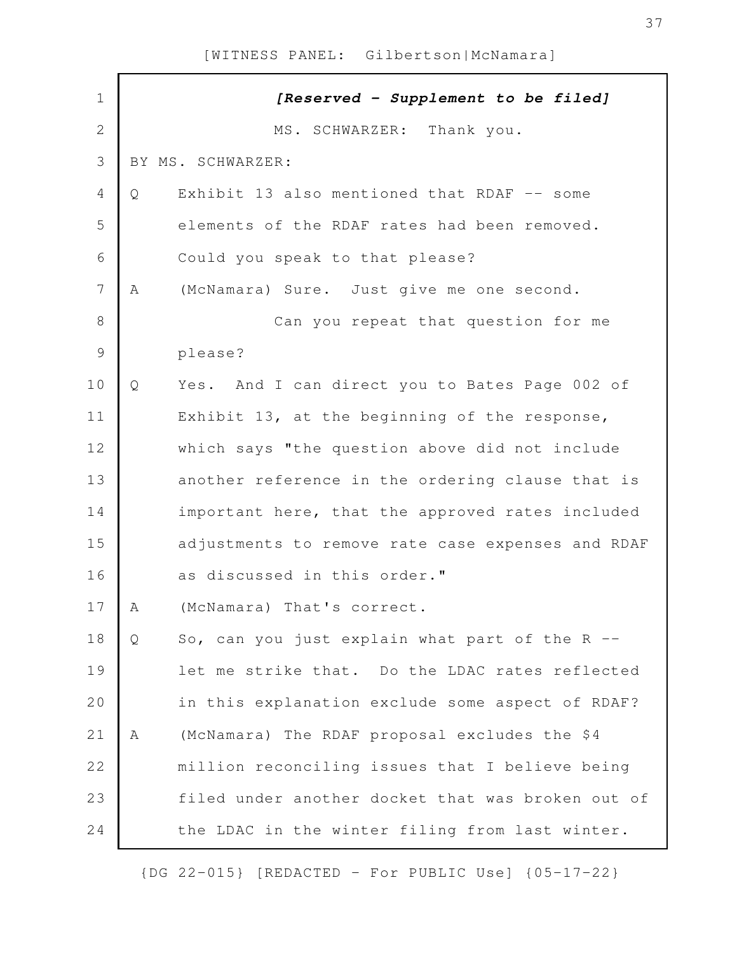| $\mathbf 1$    |   | [Reserved - Supplement to be filed]               |
|----------------|---|---------------------------------------------------|
| $\overline{2}$ |   | MS. SCHWARZER: Thank you.                         |
| 3              |   | BY MS. SCHWARZER:                                 |
| 4              | Q | Exhibit 13 also mentioned that RDAF -- some       |
| 5              |   | elements of the RDAF rates had been removed.      |
| 6              |   | Could you speak to that please?                   |
| 7              | A | (McNamara) Sure. Just give me one second.         |
| $\,8\,$        |   | Can you repeat that question for me               |
| $\mathcal{G}$  |   | please?                                           |
| 10             | Q | Yes. And I can direct you to Bates Page 002 of    |
| 11             |   | Exhibit 13, at the beginning of the response,     |
| 12             |   | which says "the question above did not include    |
| 13             |   | another reference in the ordering clause that is  |
| 14             |   | important here, that the approved rates included  |
| 15             |   | adjustments to remove rate case expenses and RDAF |
| 16             |   | as discussed in this order."                      |
| 17             | Α | (McNamara) That's correct.                        |
| 18             | Q | So, can you just explain what part of the $R$ --  |
| 19             |   | let me strike that. Do the LDAC rates reflected   |
| 20             |   | in this explanation exclude some aspect of RDAF?  |
| 21             | Α | (McNamara) The RDAF proposal excludes the \$4     |
| 22             |   | million reconciling issues that I believe being   |
| 23             |   | filed under another docket that was broken out of |
| 24             |   | the LDAC in the winter filing from last winter.   |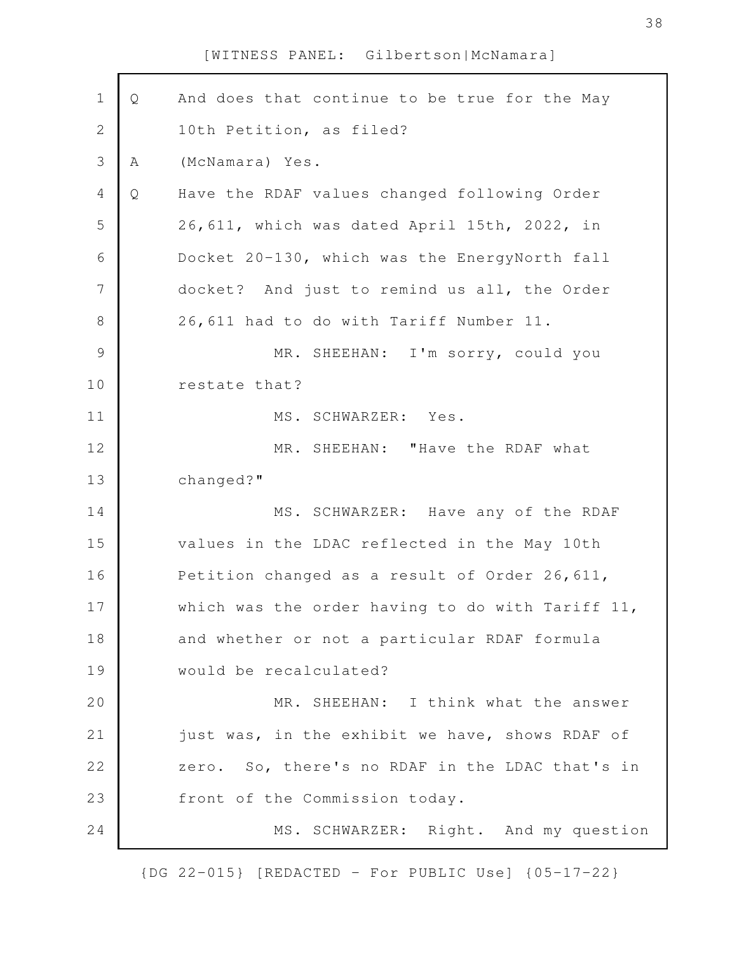| $\mathbf 1$    |              |                                                     |
|----------------|--------------|-----------------------------------------------------|
|                | Q            | And does that continue to be true for the May       |
| $\mathbf{2}$   |              | 10th Petition, as filed?                            |
| $\mathfrak{Z}$ | Α            | (McNamara) Yes.                                     |
| $\overline{4}$ | $\mathsf{Q}$ | Have the RDAF values changed following Order        |
| 5              |              | 26,611, which was dated April 15th, 2022, in        |
| 6              |              | Docket 20-130, which was the EnergyNorth fall       |
| $\overline{7}$ |              | docket? And just to remind us all, the Order        |
| $\,8\,$        |              | 26,611 had to do with Tariff Number 11.             |
| $\mathcal{G}$  |              | MR. SHEEHAN: I'm sorry, could you                   |
| 10             |              | restate that?                                       |
| 11             |              | MS. SCHWARZER: Yes.                                 |
| 12             |              | MR. SHEEHAN: "Have the RDAF what                    |
| 13             |              | changed?"                                           |
| 14             |              | MS. SCHWARZER: Have any of the RDAF                 |
| 15             |              | values in the LDAC reflected in the May 10th        |
| 16             |              | Petition changed as a result of Order 26, 611,      |
| 17             |              | which was the order having to do with Tariff $11$ , |
| 18             |              | and whether or not a particular RDAF formula        |
| 19             |              | would be recalculated?                              |
| 20             |              | MR. SHEEHAN: I think what the answer                |
| 21             |              | just was, in the exhibit we have, shows RDAF of     |
| 22             |              | zero. So, there's no RDAF in the LDAC that's in     |
| 23             |              | front of the Commission today.                      |
| 24             |              | MS. SCHWARZER: Right. And my question               |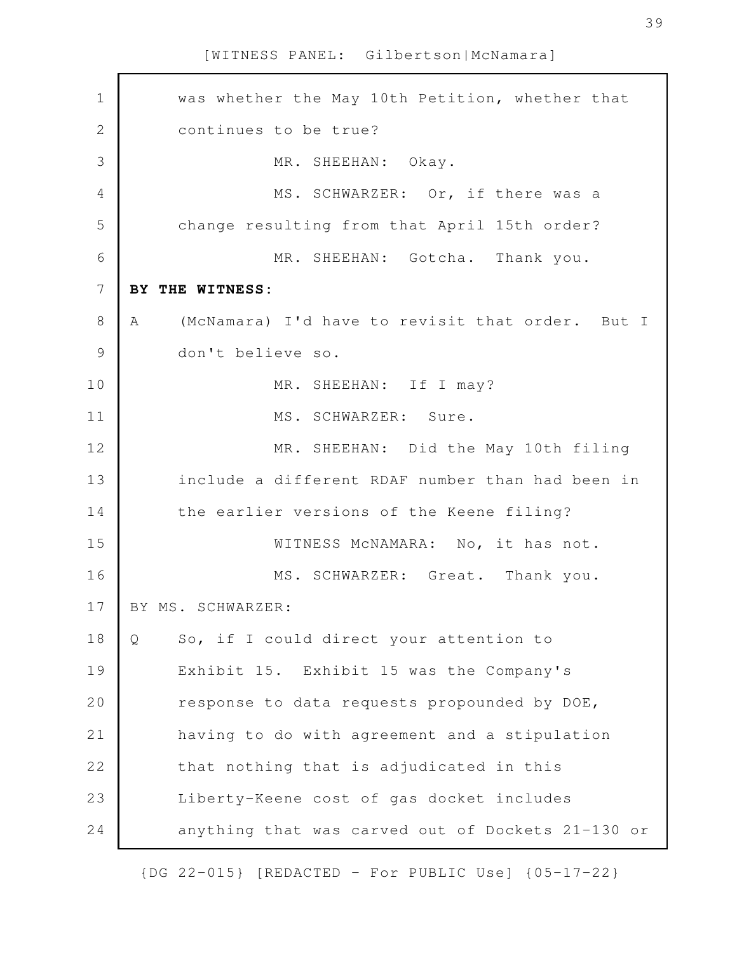| $\mathbf 1$  |   | was whether the May 10th Petition, whether that   |
|--------------|---|---------------------------------------------------|
| $\mathbf{2}$ |   | continues to be true?                             |
| 3            |   | MR. SHEEHAN: Okay.                                |
| 4            |   | MS. SCHWARZER: Or, if there was a                 |
| 5            |   | change resulting from that April 15th order?      |
| 6            |   | MR. SHEEHAN: Gotcha. Thank you.                   |
| 7            |   | BY THE WITNESS:                                   |
| 8            | A | (McNamara) I'd have to revisit that order. But I  |
| 9            |   | don't believe so.                                 |
| 10           |   | MR. SHEEHAN: If I may?                            |
| 11           |   | MS. SCHWARZER: Sure.                              |
| 12           |   | MR. SHEEHAN: Did the May 10th filing              |
| 13           |   | include a different RDAF number than had been in  |
| 14           |   | the earlier versions of the Keene filing?         |
| 15           |   | WITNESS MCNAMARA: No, it has not.                 |
| 16           |   | MS. SCHWARZER: Great. Thank you.                  |
| 17           |   | BY MS. SCHWARZER:                                 |
| 18           | Q | So, if I could direct your attention to           |
| 19           |   | Exhibit 15. Exhibit 15 was the Company's          |
| 20           |   | response to data requests propounded by DOE,      |
| 21           |   | having to do with agreement and a stipulation     |
| 22           |   | that nothing that is adjudicated in this          |
| 23           |   | Liberty-Keene cost of gas docket includes         |
| 24           |   | anything that was carved out of Dockets 21-130 or |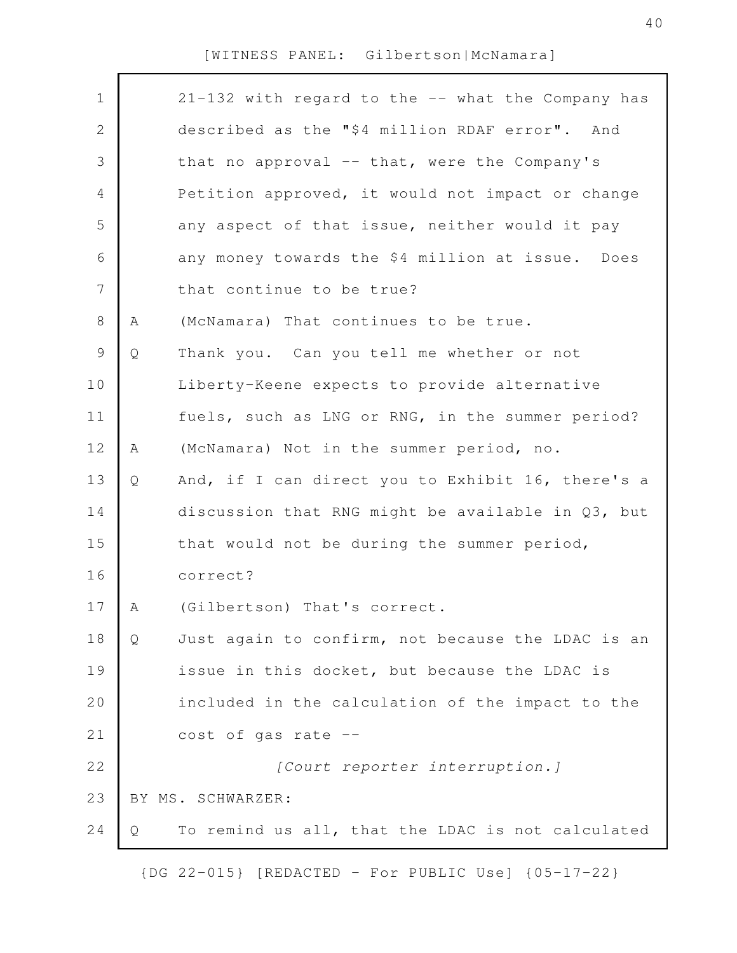| $\mathbf 1$    |   | 21-132 with regard to the -- what the Company has |
|----------------|---|---------------------------------------------------|
| $\mathbf{2}$   |   | described as the "\$4 million RDAF error". And    |
| $\mathfrak{Z}$ |   | that no approval -- that, were the Company's      |
| $\overline{4}$ |   | Petition approved, it would not impact or change  |
| 5              |   | any aspect of that issue, neither would it pay    |
| 6              |   | any money towards the \$4 million at issue. Does  |
| $\overline{7}$ |   | that continue to be true?                         |
| 8              | Α | (McNamara) That continues to be true.             |
| $\mathsf 9$    | Q | Thank you. Can you tell me whether or not         |
| 10             |   | Liberty-Keene expects to provide alternative      |
| 11             |   | fuels, such as LNG or RNG, in the summer period?  |
| 12             | Α | (McNamara) Not in the summer period, no.          |
| 13             | Q | And, if I can direct you to Exhibit 16, there's a |
| 14             |   | discussion that RNG might be available in Q3, but |
| 15             |   | that would not be during the summer period,       |
| 16             |   | correct?                                          |
| 17             | A | (Gilbertson) That's correct.                      |
| 18             | Q | Just again to confirm, not because the LDAC is an |
| 19             |   | issue in this docket, but because the LDAC is     |
| 20             |   | included in the calculation of the impact to the  |
| 21             |   | cost of gas rate --                               |
| 22             |   | [Court reporter interruption.]                    |
| 23             |   | BY MS. SCHWARZER:                                 |
| 24             | Q | To remind us all, that the LDAC is not calculated |
|                |   |                                                   |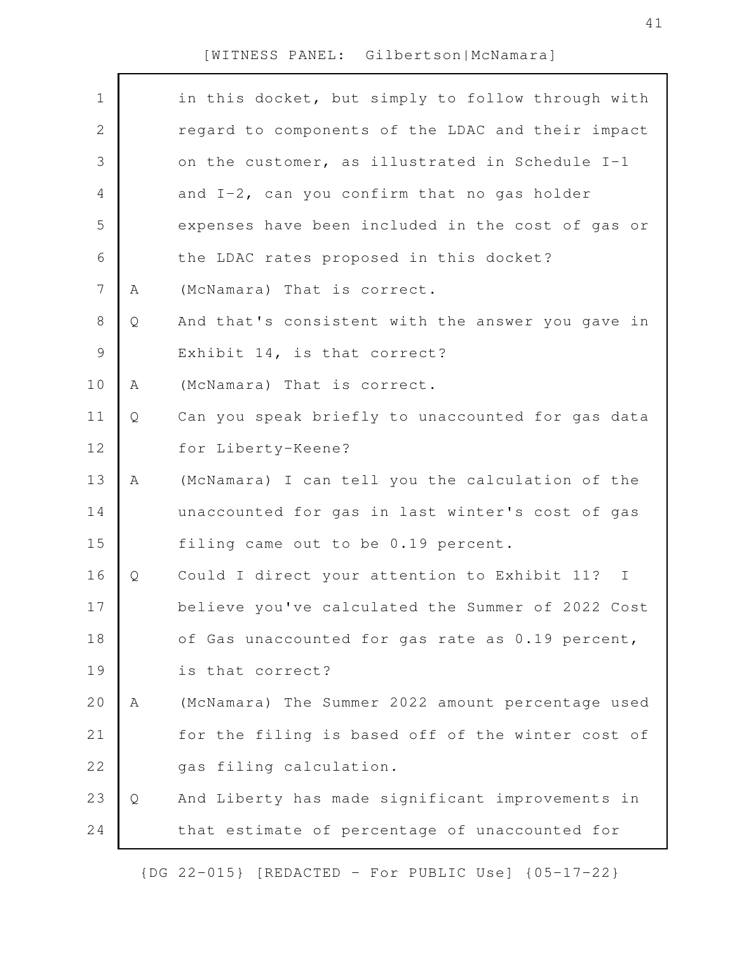| $\mathbf 1$    |   | in this docket, but simply to follow through with |
|----------------|---|---------------------------------------------------|
| 2              |   | regard to components of the LDAC and their impact |
| 3              |   | on the customer, as illustrated in Schedule I-1   |
| $\overline{4}$ |   | and I-2, can you confirm that no gas holder       |
| 5              |   | expenses have been included in the cost of gas or |
| 6              |   | the LDAC rates proposed in this docket?           |
| $\overline{7}$ | Α | (McNamara) That is correct.                       |
| $8\,$          | Q | And that's consistent with the answer you gave in |
| $\mathcal{G}$  |   | Exhibit 14, is that correct?                      |
| 10             | Α | (McNamara) That is correct.                       |
| 11             | Q | Can you speak briefly to unaccounted for gas data |
| 12             |   | for Liberty-Keene?                                |
| 13             | Α | (McNamara) I can tell you the calculation of the  |
| 14             |   | unaccounted for gas in last winter's cost of gas  |
| 15             |   | filing came out to be 0.19 percent.               |
| 16             | Q | Could I direct your attention to Exhibit 11? I    |
| 17             |   | believe you've calculated the Summer of 2022 Cost |
| 18             |   | of Gas unaccounted for gas rate as 0.19 percent,  |
| 19             |   | is that correct?                                  |
| 20             | Α | (McNamara) The Summer 2022 amount percentage used |
| 21             |   | for the filing is based off of the winter cost of |
| 22             |   | gas filing calculation.                           |
| 23             | Q | And Liberty has made significant improvements in  |
| 24             |   | that estimate of percentage of unaccounted for    |
|                |   |                                                   |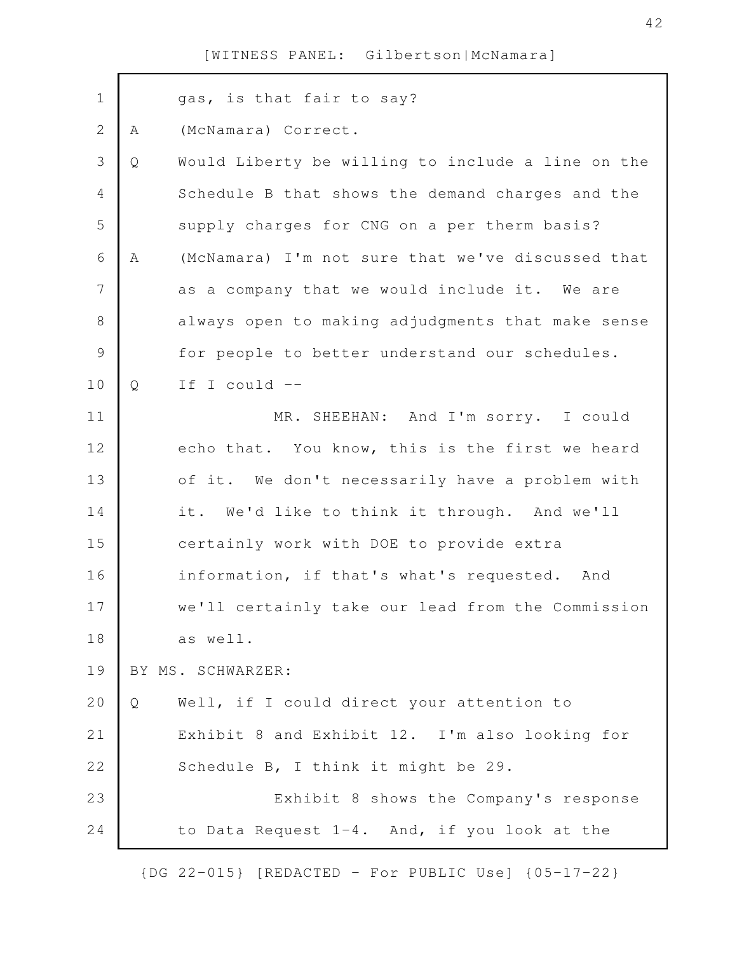| $\mathbf 1$    |   | gas, is that fair to say?                         |
|----------------|---|---------------------------------------------------|
| $\overline{2}$ | Α | (McNamara) Correct.                               |
| 3              | Q | Would Liberty be willing to include a line on the |
| 4              |   | Schedule B that shows the demand charges and the  |
| 5              |   | supply charges for CNG on a per therm basis?      |
| 6              | Α | (McNamara) I'm not sure that we've discussed that |
| $\overline{7}$ |   | as a company that we would include it. We are     |
| 8              |   | always open to making adjudgments that make sense |
| $\mathcal{G}$  |   | for people to better understand our schedules.    |
| 10             | Q | If I could --                                     |
| 11             |   | MR. SHEEHAN: And I'm sorry. I could               |
| 12             |   | echo that. You know, this is the first we heard   |
| 13             |   | of it. We don't necessarily have a problem with   |
| 14             |   | it. We'd like to think it through. And we'll      |
| 15             |   | certainly work with DOE to provide extra          |
| 16             |   | information, if that's what's requested. And      |
| 17             |   | we'll certainly take our lead from the Commission |
| 18             |   | as well.                                          |
| 19             |   | BY MS. SCHWARZER:                                 |
| 20             | Q | Well, if I could direct your attention to         |
| 21             |   | Exhibit 8 and Exhibit 12. I'm also looking for    |
| 22             |   | Schedule B, I think it might be 29.               |
| 23             |   | Exhibit 8 shows the Company's response            |
| 24             |   | to Data Request 1-4. And, if you look at the      |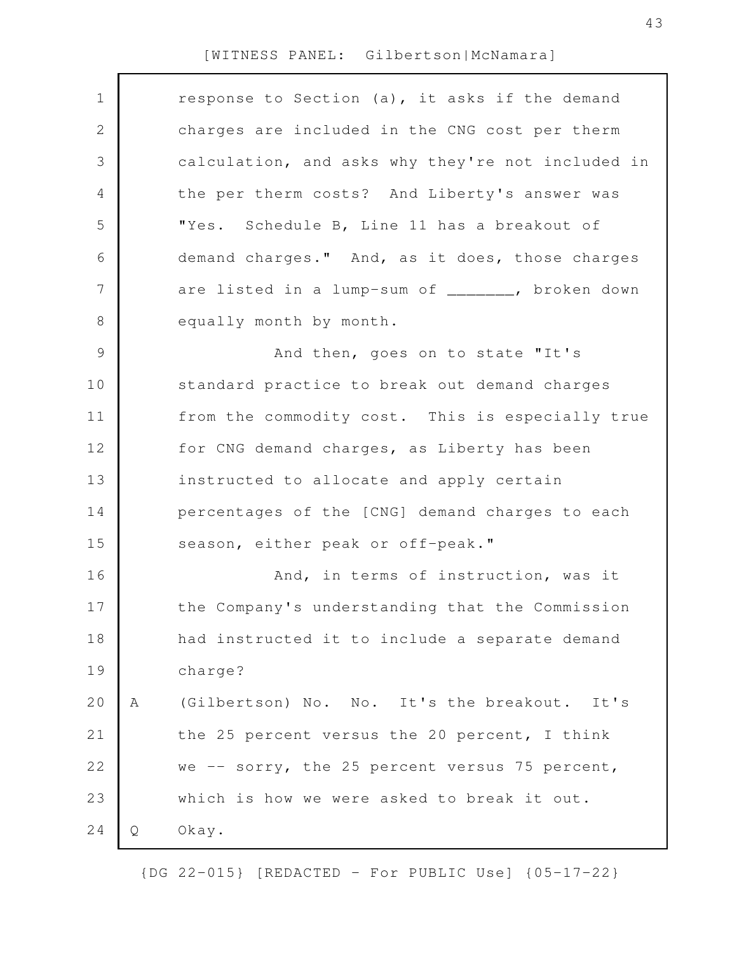| $\mathbf 1$ |   | response to Section (a), it asks if the demand    |
|-------------|---|---------------------------------------------------|
| 2           |   | charges are included in the CNG cost per therm    |
| 3           |   | calculation, and asks why they're not included in |
| 4           |   | the per therm costs? And Liberty's answer was     |
| 5           |   | "Yes. Schedule B, Line 11 has a breakout of       |
| 6           |   | demand charges." And, as it does, those charges   |
| 7           |   | are listed in a lump-sum of _______, broken down  |
| 8           |   | equally month by month.                           |
| 9           |   | And then, goes on to state "It's                  |
| 10          |   | standard practice to break out demand charges     |
| 11          |   | from the commodity cost. This is especially true  |
| 12          |   | for CNG demand charges, as Liberty has been       |
| 13          |   | instructed to allocate and apply certain          |
| 14          |   | percentages of the [CNG] demand charges to each   |
| 15          |   | season, either peak or off-peak."                 |
| 16          |   | And, in terms of instruction, was it              |
| 17          |   | the Company's understanding that the Commission   |
| 18          |   | had instructed it to include a separate demand    |
| 19          |   | charge?                                           |
| 20          | Α | (Gilbertson) No. No. It's the breakout.<br>It's   |
| 21          |   | the 25 percent versus the 20 percent, I think     |
| 22          |   | we -- sorry, the 25 percent versus 75 percent,    |
| 23          |   | which is how we were asked to break it out.       |
| 24          | Q | Okay.                                             |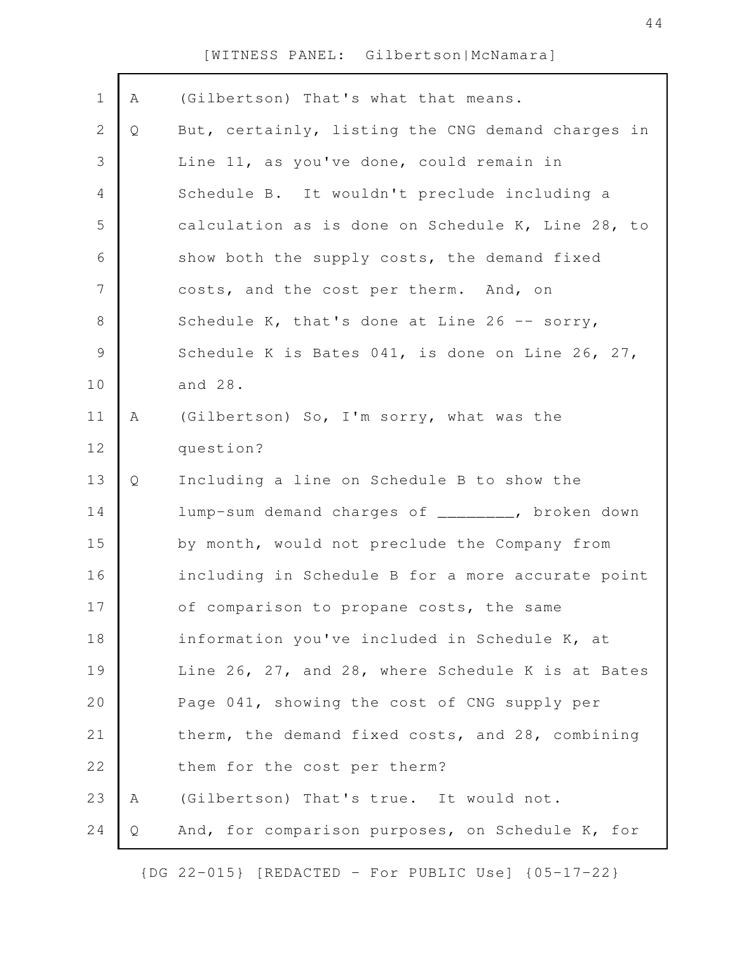| $\mathbf 1$    | A | (Gilbertson) That's what that means.              |
|----------------|---|---------------------------------------------------|
| $\mathbf{2}$   | Q | But, certainly, listing the CNG demand charges in |
| $\mathfrak{Z}$ |   | Line 11, as you've done, could remain in          |
| $\overline{4}$ |   | Schedule B. It wouldn't preclude including a      |
| 5              |   | calculation as is done on Schedule K, Line 28, to |
|                |   |                                                   |
| 6              |   | show both the supply costs, the demand fixed      |
| $\overline{7}$ |   | costs, and the cost per therm. And, on            |
| $\,8\,$        |   | Schedule K, that's done at Line 26 -- sorry,      |
| $\mathcal{G}$  |   | Schedule K is Bates 041, is done on Line 26, 27,  |
| 10             |   | and 28.                                           |
| 11             | А | (Gilbertson) So, I'm sorry, what was the          |
| 12             |   | question?                                         |
| 13             | Q | Including a line on Schedule B to show the        |
| 14             |   | lump-sum demand charges of ________, broken down  |
| 15             |   | by month, would not preclude the Company from     |
| 16             |   | including in Schedule B for a more accurate point |
| 17             |   | of comparison to propane costs, the same          |
| 18             |   | information you've included in Schedule K, at     |
| 19             |   | Line 26, 27, and 28, where Schedule K is at Bates |
| 20             |   | Page 041, showing the cost of CNG supply per      |
| 21             |   | therm, the demand fixed costs, and 28, combining  |
| 22             |   | them for the cost per therm?                      |
| 23             | A | (Gilbertson) That's true. It would not.           |
| 24             | Q | And, for comparison purposes, on Schedule K, for  |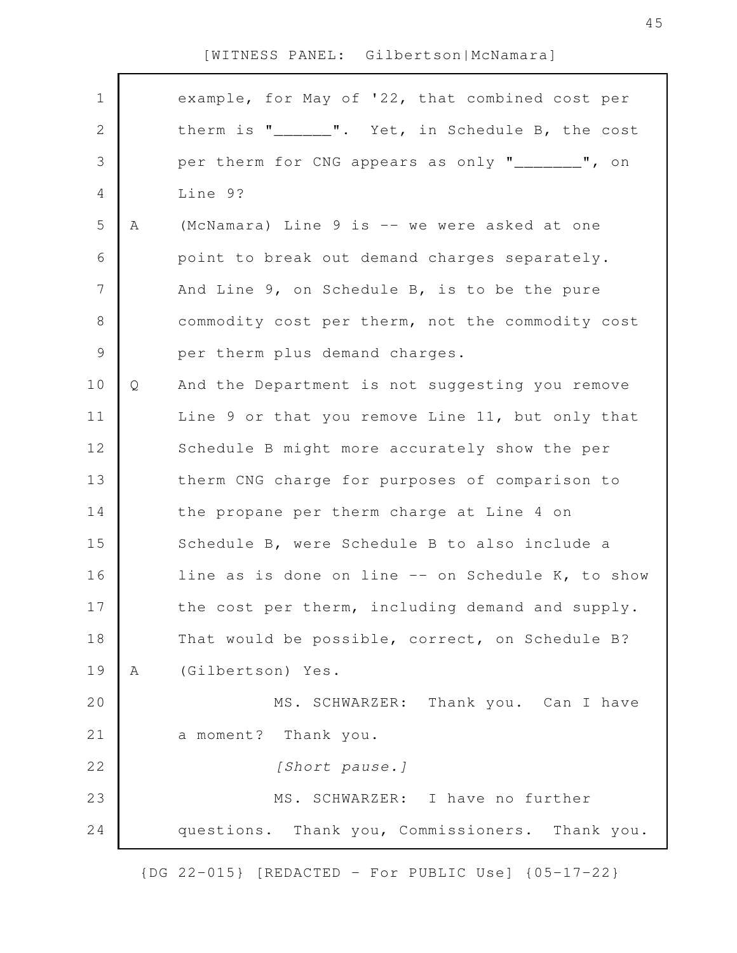| $\mathbf 1$<br>2<br>3 |   | example, for May of '22, that combined cost per   |
|-----------------------|---|---------------------------------------------------|
|                       |   |                                                   |
|                       |   | therm is "______". Yet, in Schedule B, the cost   |
|                       |   | per therm for CNG appears as only "_______", on   |
| 4                     |   | Line 9?                                           |
| 5                     | Α | (McNamara) Line 9 is -- we were asked at one      |
| 6                     |   | point to break out demand charges separately.     |
| 7                     |   | And Line 9, on Schedule B, is to be the pure      |
| 8                     |   | commodity cost per therm, not the commodity cost  |
| $\mathcal{G}$         |   | per therm plus demand charges.                    |
| 10                    | Q | And the Department is not suggesting you remove   |
| 11                    |   | Line 9 or that you remove Line 11, but only that  |
| 12                    |   | Schedule B might more accurately show the per     |
| 13                    |   | therm CNG charge for purposes of comparison to    |
| 14                    |   | the propane per therm charge at Line 4 on         |
| 15                    |   | Schedule B, were Schedule B to also include a     |
| 16                    |   | line as is done on line -- on Schedule K, to show |
| 17                    |   | the cost per therm, including demand and supply.  |
| 18                    |   | That would be possible, correct, on Schedule B?   |
| 19                    | A | (Gilbertson) Yes.                                 |
| 20                    |   | MS. SCHWARZER: Thank you. Can I have              |
| 21                    |   | a moment? Thank you.                              |
| 22                    |   | [Short pause.]                                    |
| 23                    |   | MS. SCHWARZER: I have no further                  |
| 24                    |   | questions. Thank you, Commissioners. Thank you.   |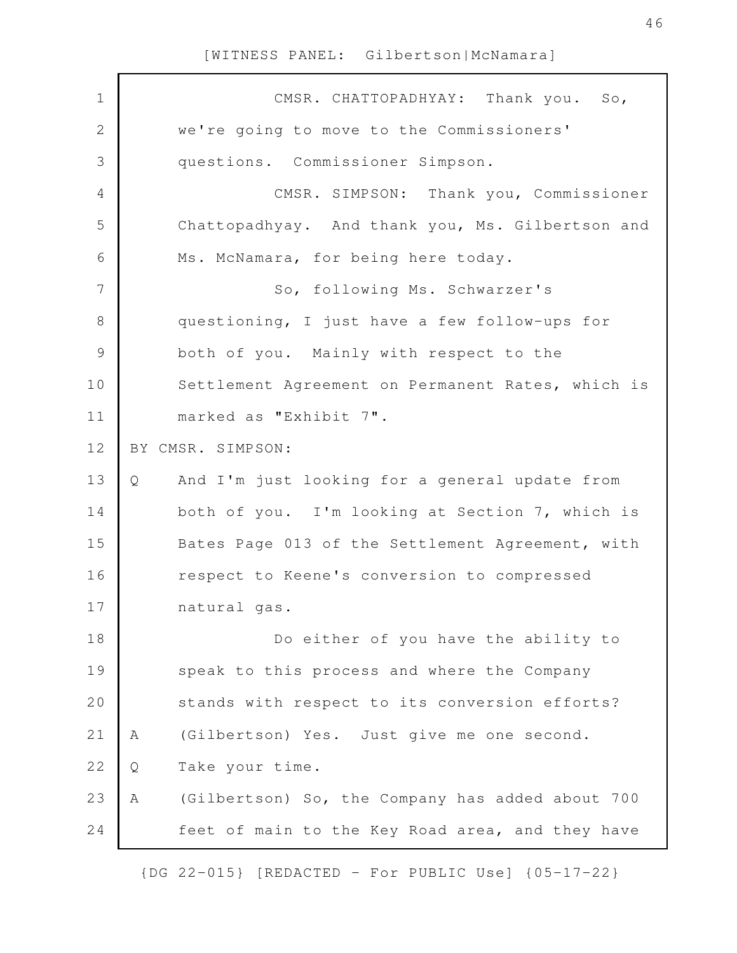| $\mathbf 1$    | CMSR. CHATTOPADHYAY: Thank you. So,                   |
|----------------|-------------------------------------------------------|
| $\sqrt{2}$     | we're going to move to the Commissioners'             |
| $\mathfrak{Z}$ | questions. Commissioner Simpson.                      |
| 4              | CMSR. SIMPSON: Thank you, Commissioner                |
| 5              | Chattopadhyay. And thank you, Ms. Gilbertson and      |
| 6              | Ms. McNamara, for being here today.                   |
| 7              | So, following Ms. Schwarzer's                         |
| 8              | questioning, I just have a few follow-ups for         |
| $\mathsf 9$    | both of you. Mainly with respect to the               |
| 10             | Settlement Agreement on Permanent Rates, which is     |
| 11             | marked as "Exhibit 7".                                |
| 12             | BY CMSR. SIMPSON:                                     |
| 13             | And I'm just looking for a general update from<br>Q   |
| 14             | both of you. I'm looking at Section 7, which is       |
| 15             | Bates Page 013 of the Settlement Agreement, with      |
| 16             | respect to Keene's conversion to compressed           |
| 17             | natural gas.                                          |
| 18             | Do either of you have the ability to                  |
| 19             | speak to this process and where the Company           |
| 20             | stands with respect to its conversion efforts?        |
| 21             | (Gilbertson) Yes. Just give me one second.<br>Α       |
| 22             | Take your time.<br>Q                                  |
| 23             | (Gilbertson) So, the Company has added about 700<br>Α |
| 24             | feet of main to the Key Road area, and they have      |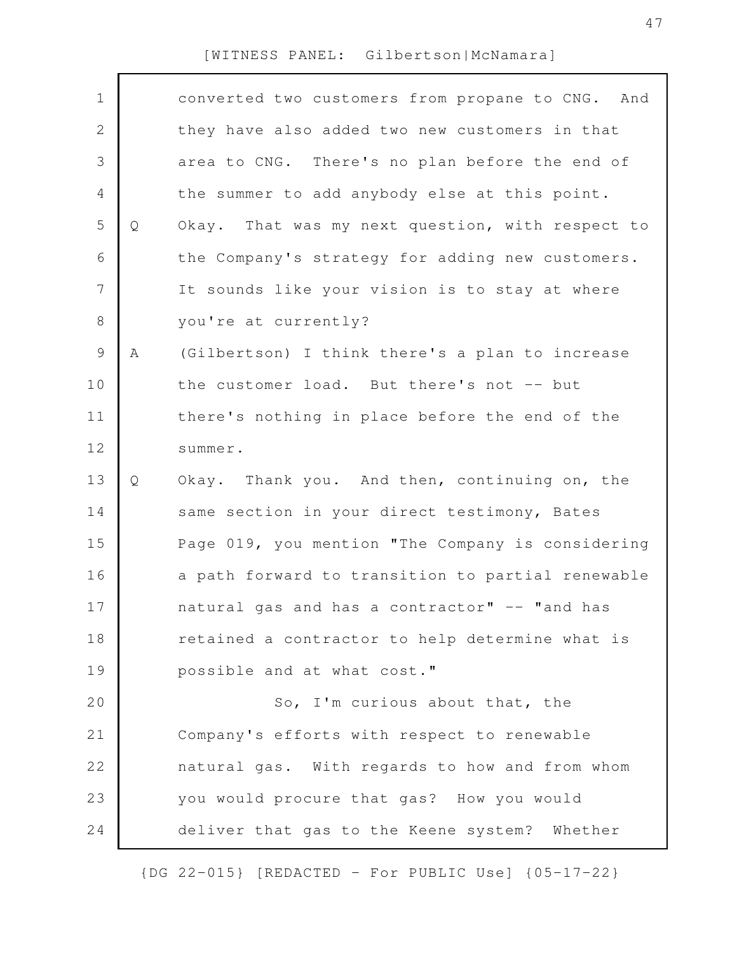| $\mathbf 1$  |   | converted two customers from propane to CNG. And  |
|--------------|---|---------------------------------------------------|
| $\mathbf{2}$ |   | they have also added two new customers in that    |
| 3            |   | area to CNG. There's no plan before the end of    |
| 4            |   | the summer to add anybody else at this point.     |
| 5            | Q | Okay. That was my next question, with respect to  |
| 6            |   | the Company's strategy for adding new customers.  |
| 7            |   | It sounds like your vision is to stay at where    |
| 8            |   | you're at currently?                              |
| $\mathsf 9$  | Α | (Gilbertson) I think there's a plan to increase   |
| 10           |   | the customer load. But there's not -- but         |
| 11           |   | there's nothing in place before the end of the    |
| 12           |   | summer.                                           |
| 13           | Q | Okay. Thank you. And then, continuing on, the     |
| 14           |   | same section in your direct testimony, Bates      |
| 15           |   | Page 019, you mention "The Company is considering |
| 16           |   | a path forward to transition to partial renewable |
| 17           |   | natural gas and has a contractor" -- "and has     |
| 18           |   | retained a contractor to help determine what is   |
| 19           |   | possible and at what cost."                       |
| 20           |   | So, I'm curious about that, the                   |
| 21           |   | Company's efforts with respect to renewable       |
| 22           |   | natural gas. With regards to how and from whom    |
| 23           |   | you would procure that gas? How you would         |
| 24           |   | deliver that gas to the Keene system? Whether     |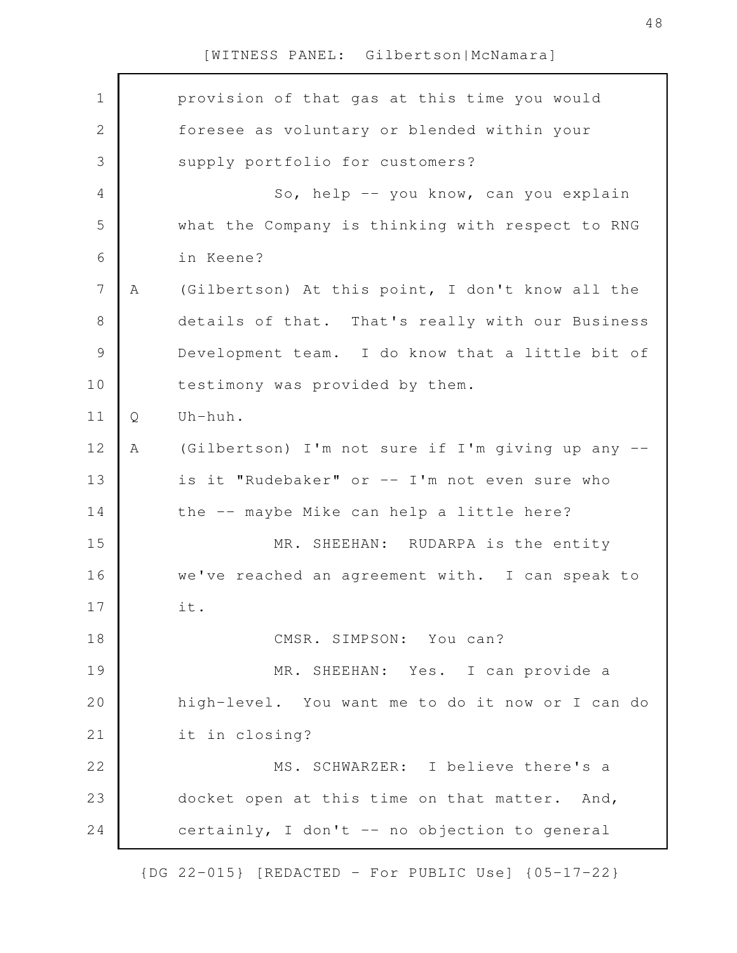| $\mathbf 1$    |   | provision of that gas at this time you would      |
|----------------|---|---------------------------------------------------|
| $\mathbf{2}$   |   | foresee as voluntary or blended within your       |
| 3              |   | supply portfolio for customers?                   |
| $\overline{4}$ |   | So, help -- you know, can you explain             |
| 5              |   | what the Company is thinking with respect to RNG  |
| 6              |   | in Keene?                                         |
| $\overline{7}$ | Α | (Gilbertson) At this point, I don't know all the  |
| $8\,$          |   | details of that. That's really with our Business  |
| $\mathcal{G}$  |   | Development team. I do know that a little bit of  |
| 10             |   | testimony was provided by them.                   |
| 11             | Q | Uh-huh.                                           |
| 12             | Α | (Gilbertson) I'm not sure if I'm giving up any -- |
| 13             |   | is it "Rudebaker" or -- I'm not even sure who     |
| 14             |   | the -- maybe Mike can help a little here?         |
| 15             |   | MR. SHEEHAN: RUDARPA is the entity                |
| 16             |   | we've reached an agreement with. I can speak to   |
| 17             |   | it.                                               |
| 18             |   | CMSR. SIMPSON: You can?                           |
| 19             |   | MR. SHEEHAN: Yes. I can provide a                 |
| 20             |   | high-level. You want me to do it now or I can do  |
| 21             |   | it in closing?                                    |
| 22             |   | MS. SCHWARZER: I believe there's a                |
| 23             |   | docket open at this time on that matter. And,     |
| 24             |   | certainly, I don't -- no objection to general     |
|                |   |                                                   |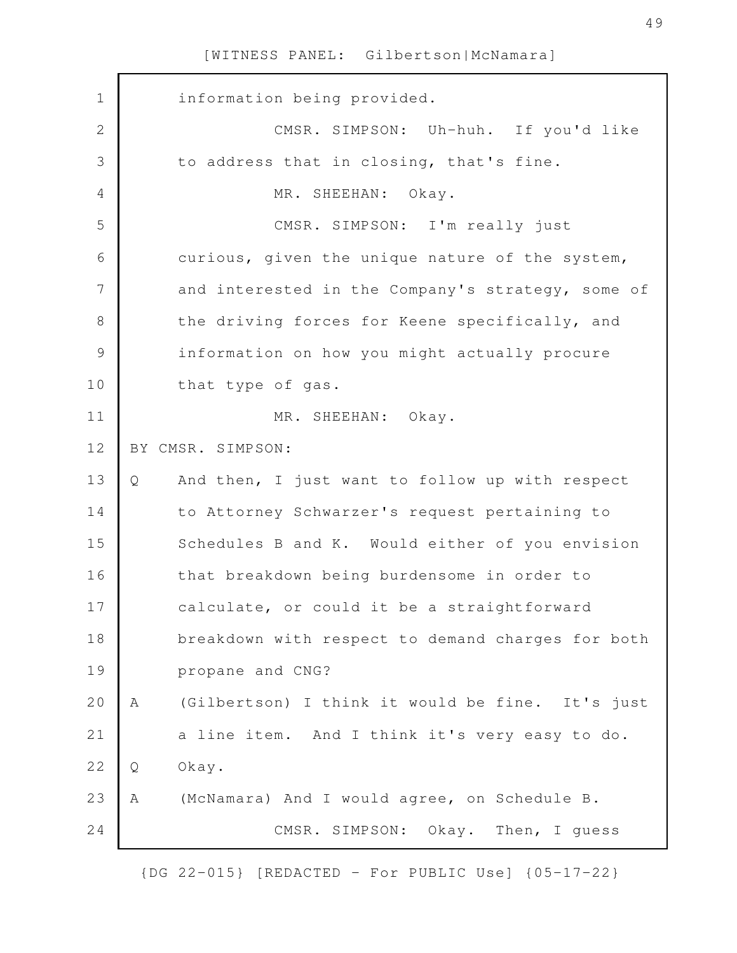| $\mathbf 1$    |   | information being provided.                       |
|----------------|---|---------------------------------------------------|
| $\mathbf{2}$   |   | CMSR. SIMPSON: Uh-huh. If you'd like              |
| 3              |   | to address that in closing, that's fine.          |
| 4              |   | MR. SHEEHAN: Okay.                                |
| 5              |   | CMSR. SIMPSON: I'm really just                    |
| 6              |   | curious, given the unique nature of the system,   |
| $\overline{7}$ |   | and interested in the Company's strategy, some of |
| 8              |   | the driving forces for Keene specifically, and    |
| $\mathcal{G}$  |   | information on how you might actually procure     |
| 10             |   | that type of gas.                                 |
| 11             |   | MR. SHEEHAN: Okay.                                |
| 12             |   | BY CMSR. SIMPSON:                                 |
| 13             | Q | And then, I just want to follow up with respect   |
| 14             |   | to Attorney Schwarzer's request pertaining to     |
| 15             |   | Schedules B and K. Would either of you envision   |
| 16             |   | that breakdown being burdensome in order to       |
| 17             |   | calculate, or could it be a straightforward       |
| 18             |   | breakdown with respect to demand charges for both |
| 19             |   | propane and CNG?                                  |
| 20             | Α | (Gilbertson) I think it would be fine. It's just  |
| 21             |   | a line item. And I think it's very easy to do.    |
| 22             | Q | Okay.                                             |
| 23             | Α | (McNamara) And I would agree, on Schedule B.      |
| 24             |   | CMSR. SIMPSON:<br>Okay. Then, I guess             |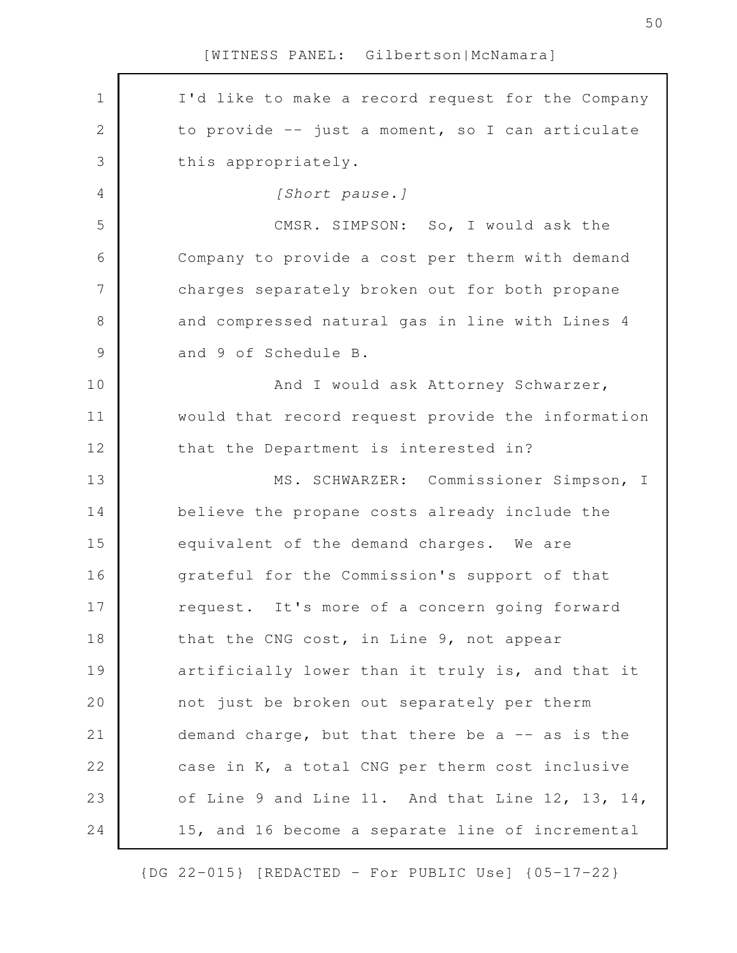I'd like to make a record request for the Company to provide -- just a moment, so I can articulate this appropriately. *[Short pause.]* CMSR. SIMPSON: So, I would ask the Company to provide a cost per therm with demand charges separately broken out for both propane and compressed natural gas in line with Lines 4 and 9 of Schedule B. And I would ask Attorney Schwarzer, would that record request provide the information that the Department is interested in? MS. SCHWARZER: Commissioner Simpson, I believe the propane costs already include the equivalent of the demand charges. We are grateful for the Commission's support of that request. It's more of a concern going forward that the CNG cost, in Line 9, not appear artificially lower than it truly is, and that it not just be broken out separately per therm demand charge, but that there be a  $-$  as is the case in K, a total CNG per therm cost inclusive of Line 9 and Line 11. And that Line 12, 13, 14, 15, and 16 become a separate line of incremental 1 2 3 4 5 6 7 8 9 10 11 12 13 14 15 16 17 18 19 20 21 22 23 24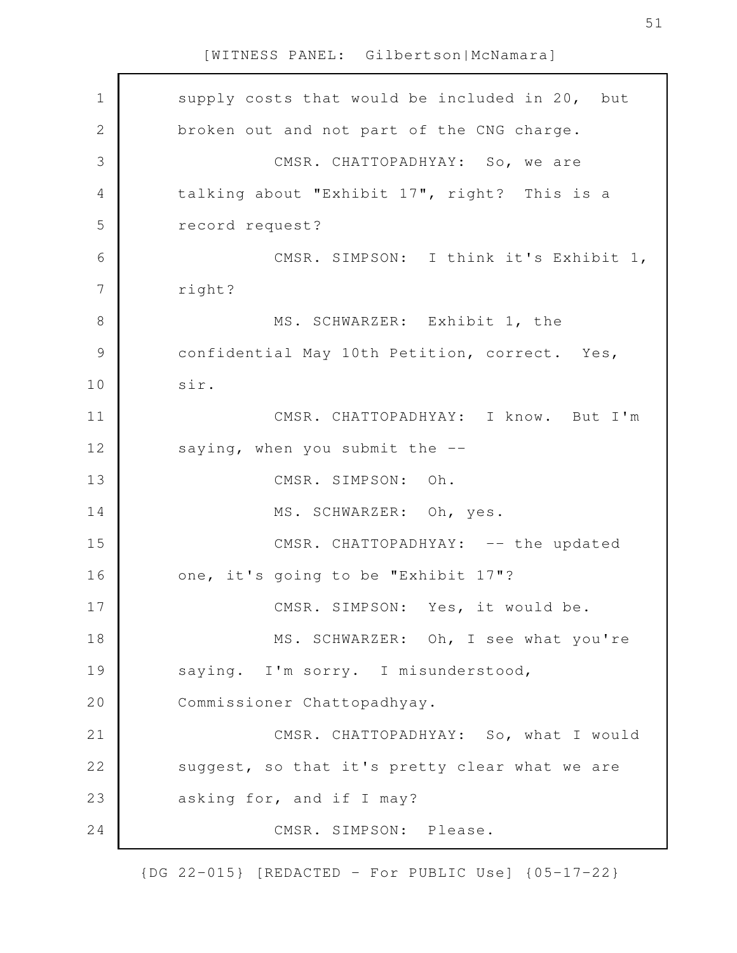| $\mathbf 1$    | supply costs that would be included in 20, but |
|----------------|------------------------------------------------|
| $\mathbf 2$    | broken out and not part of the CNG charge.     |
| 3              | CMSR. CHATTOPADHYAY: So, we are                |
| $\overline{4}$ | talking about "Exhibit 17", right? This is a   |
| 5              | record request?                                |
| 6              | CMSR. SIMPSON: I think it's Exhibit 1,         |
| 7              | right?                                         |
| 8              | MS. SCHWARZER: Exhibit 1, the                  |
| 9              | confidential May 10th Petition, correct. Yes,  |
| 10             | sir.                                           |
| 11             | CMSR. CHATTOPADHYAY: I know. But I'm           |
| 12             | saying, when you submit the --                 |
| 13             | CMSR. SIMPSON: Oh.                             |
| 14             | MS. SCHWARZER: Oh, yes.                        |
| 15             | CMSR. CHATTOPADHYAY: -- the updated            |
| 16             | one, it's going to be "Exhibit 17"?            |
| 17             | CMSR. SIMPSON: Yes, it would be.               |
| 18             | MS. SCHWARZER: Oh, I see what you're           |
| 19             | saying. I'm sorry. I misunderstood,            |
| 20             | Commissioner Chattopadhyay.                    |
| 21             | CMSR. CHATTOPADHYAY: So, what I would          |
| 22             | suggest, so that it's pretty clear what we are |
| 23             | asking for, and if I may?                      |
| 24             | CMSR. SIMPSON: Please.                         |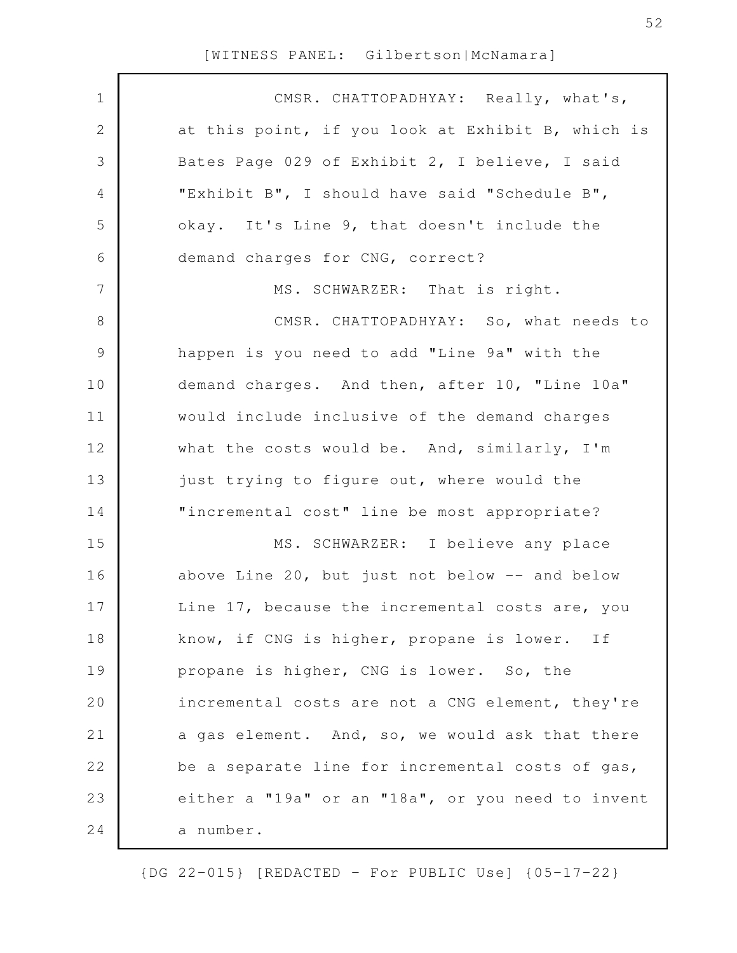$\Gamma$ 

| $\mathbf 1$    | CMSR. CHATTOPADHYAY: Really, what's,              |
|----------------|---------------------------------------------------|
| $\mathbf{2}$   | at this point, if you look at Exhibit B, which is |
| 3              | Bates Page 029 of Exhibit 2, I believe, I said    |
| 4              | "Exhibit B", I should have said "Schedule B",     |
| 5              | okay. It's Line 9, that doesn't include the       |
| 6              | demand charges for CNG, correct?                  |
| $\overline{7}$ | MS. SCHWARZER: That is right.                     |
| 8              | CMSR. CHATTOPADHYAY: So, what needs to            |
| $\mathsf 9$    | happen is you need to add "Line 9a" with the      |
| 10             | demand charges. And then, after 10, "Line 10a"    |
| 11             | would include inclusive of the demand charges     |
| 12             | what the costs would be. And, similarly, I'm      |
| 13             | just trying to figure out, where would the        |
| 14             | "incremental cost" line be most appropriate?      |
| 15             | MS. SCHWARZER: I believe any place                |
| 16             | above Line 20, but just not below -- and below    |
| 17             | Line 17, because the incremental costs are, you   |
| 18             | know, if CNG is higher, propane is lower. If      |
| 19             | propane is higher, CNG is lower. So, the          |
| 20             | incremental costs are not a CNG element, they're  |
| 21             | a gas element. And, so, we would ask that there   |
| 22             | be a separate line for incremental costs of gas,  |
| 23             | either a "19a" or an "18a", or you need to invent |
| 24             | a number.                                         |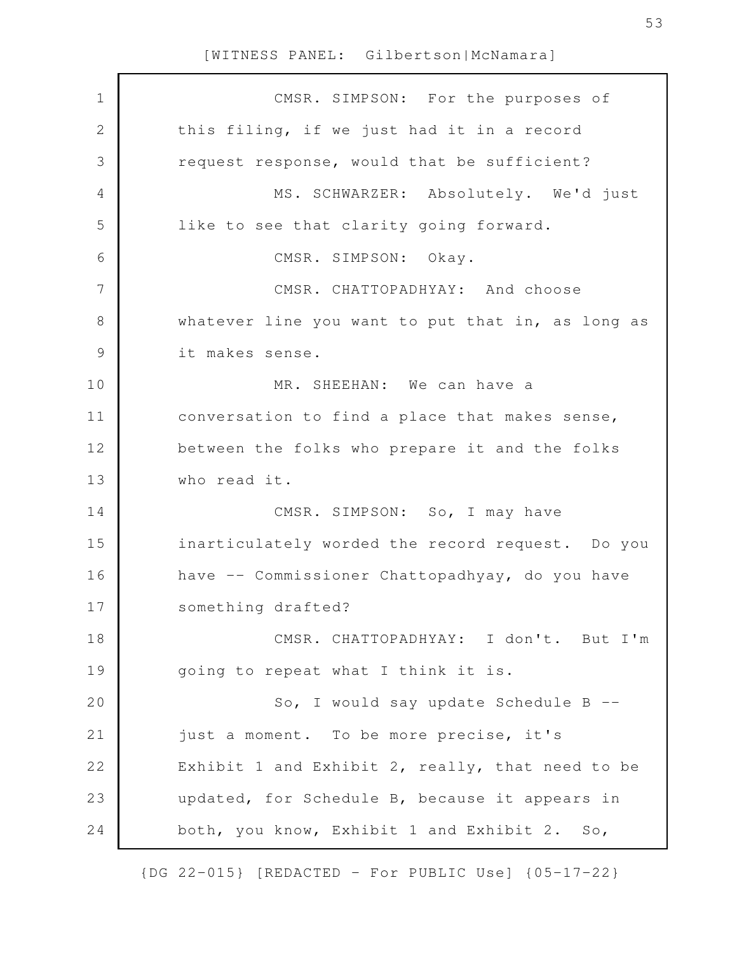| $\mathbf 1$   | CMSR. SIMPSON: For the purposes of                |
|---------------|---------------------------------------------------|
| $\mathbf{2}$  | this filing, if we just had it in a record        |
| 3             | request response, would that be sufficient?       |
| 4             | MS. SCHWARZER: Absolutely. We'd just              |
| 5             | like to see that clarity going forward.           |
| 6             | CMSR. SIMPSON: Okay.                              |
| 7             | CMSR. CHATTOPADHYAY: And choose                   |
| 8             | whatever line you want to put that in, as long as |
| $\mathcal{G}$ | it makes sense.                                   |
| 10            | MR. SHEEHAN: We can have a                        |
| 11            | conversation to find a place that makes sense,    |
| 12            | between the folks who prepare it and the folks    |
| 13            | who read it.                                      |
| 14            | CMSR. SIMPSON: So, I may have                     |
| 15            | inarticulately worded the record request. Do you  |
| 16            | have -- Commissioner Chattopadhyay, do you have   |
| 17            | something drafted?                                |
| 18            | CMSR. CHATTOPADHYAY: I don't. But I'm             |
| 19            | going to repeat what I think it is.               |
| 20            | So, I would say update Schedule B --              |
| 21            | just a moment. To be more precise, it's           |
| 22            | Exhibit 1 and Exhibit 2, really, that need to be  |
| 23            | updated, for Schedule B, because it appears in    |
| 24            | both, you know, Exhibit 1 and Exhibit 2. So,      |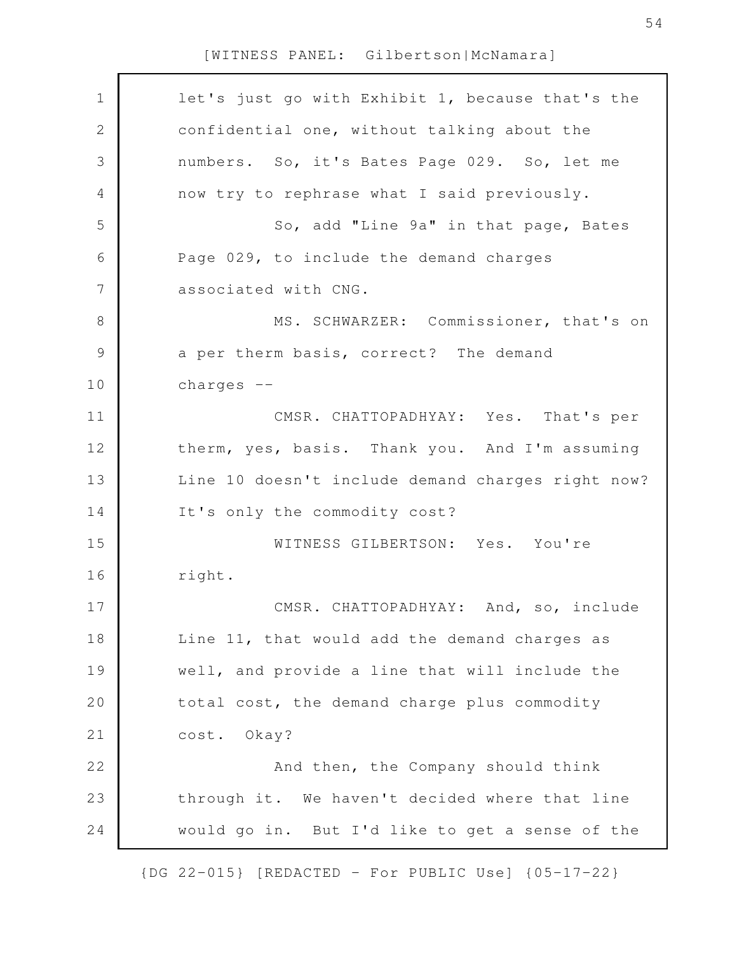| $\mathbf 1$    | let's just go with Exhibit 1, because that's the  |
|----------------|---------------------------------------------------|
| $\mathbf{2}$   | confidential one, without talking about the       |
| 3              | numbers. So, it's Bates Page 029. So, let me      |
| $\overline{4}$ | now try to rephrase what I said previously.       |
| 5              | So, add "Line 9a" in that page, Bates             |
| 6              | Page 029, to include the demand charges           |
| 7              | associated with CNG.                              |
| $8\,$          | MS. SCHWARZER: Commissioner, that's on            |
| 9              | a per therm basis, correct? The demand            |
| 10             | charges $--$                                      |
| 11             | CMSR. CHATTOPADHYAY: Yes. That's per              |
| 12             | therm, yes, basis. Thank you. And I'm assuming    |
| 13             | Line 10 doesn't include demand charges right now? |
| 14             | It's only the commodity cost?                     |
| 15             | WITNESS GILBERTSON: Yes. You're                   |
| 16             | right.                                            |
| 17             | CMSR. CHATTOPADHYAY: And, so, include             |
| 18             | Line 11, that would add the demand charges as     |
| 19             | well, and provide a line that will include the    |
| 20             | total cost, the demand charge plus commodity      |
| 21             | cost. Okay?                                       |
| 22             | And then, the Company should think                |
| 23             | through it. We haven't decided where that line    |
| 24             | would go in. But I'd like to get a sense of the   |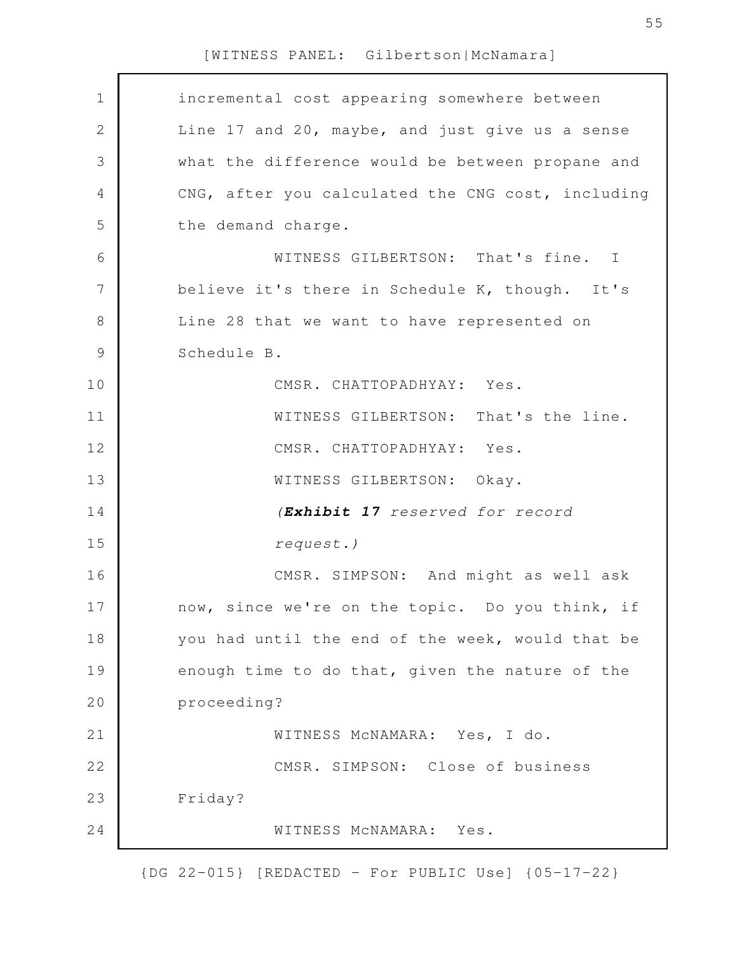| $\mathbf 1$    | incremental cost appearing somewhere between      |
|----------------|---------------------------------------------------|
| $\sqrt{2}$     | Line 17 and 20, maybe, and just give us a sense   |
| $\mathfrak{Z}$ | what the difference would be between propane and  |
| $\overline{4}$ | CNG, after you calculated the CNG cost, including |
| 5              | the demand charge.                                |
| 6              | WITNESS GILBERTSON: That's fine. I                |
| 7              | believe it's there in Schedule K, though. It's    |
| $8\,$          | Line 28 that we want to have represented on       |
| $\mathcal{G}$  | Schedule B.                                       |
| 10             | CMSR. CHATTOPADHYAY: Yes.                         |
| 11             | WITNESS GILBERTSON: That's the line.              |
| 12             | CMSR. CHATTOPADHYAY: Yes.                         |
| 13             | WITNESS GILBERTSON: Okay.                         |
| 14             | (Exhibit 17 reserved for record                   |
| 15             | request.)                                         |
| 16             | CMSR. SIMPSON: And might as well ask              |
| 17             | now, since we're on the topic. Do you think, if   |
| 18             | you had until the end of the week, would that be  |
| 19             | enough time to do that, given the nature of the   |
| 20             | proceeding?                                       |
| 21             | WITNESS MCNAMARA: Yes, I do.                      |
| 22             | CMSR. SIMPSON: Close of business                  |
| 23             | Friday?                                           |
| 24             | WITNESS MCNAMARA: Yes.                            |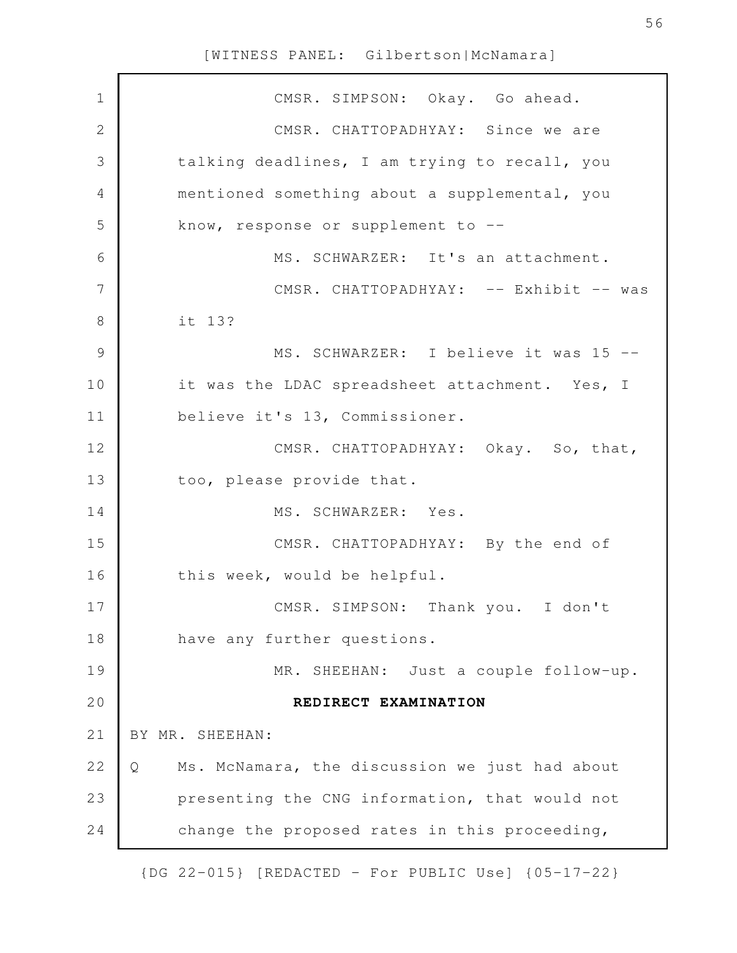| $\mathbf 1$   | CMSR. SIMPSON: Okay. Go ahead.                      |
|---------------|-----------------------------------------------------|
| 2             | CMSR. CHATTOPADHYAY: Since we are                   |
| 3             | talking deadlines, I am trying to recall, you       |
| 4             | mentioned something about a supplemental, you       |
| 5             | know, response or supplement to --                  |
| 6             | MS. SCHWARZER: It's an attachment.                  |
| 7             | CMSR. CHATTOPADHYAY: -- Exhibit -- was              |
| 8             | it 13?                                              |
| $\mathcal{G}$ | MS. SCHWARZER: I believe it was 15 --               |
| 10            | it was the LDAC spreadsheet attachment. Yes, I      |
| 11            | believe it's 13, Commissioner.                      |
| 12            | CMSR. CHATTOPADHYAY: Okay. So, that,                |
| 13            | too, please provide that.                           |
| 14            | MS. SCHWARZER: Yes.                                 |
| 15            | CMSR. CHATTOPADHYAY: By the end of                  |
| 16            | this week, would be helpful.                        |
| 17            | CMSR. SIMPSON: Thank you. I don't                   |
| 18            | have any further questions.                         |
| 19            | MR. SHEEHAN: Just a couple follow-up.               |
| 20            | REDIRECT EXAMINATION                                |
| 21            | BY MR. SHEEHAN:                                     |
| 22            | Ms. McNamara, the discussion we just had about<br>Q |
| 23            | presenting the CNG information, that would not      |
| 24            | change the proposed rates in this proceeding,       |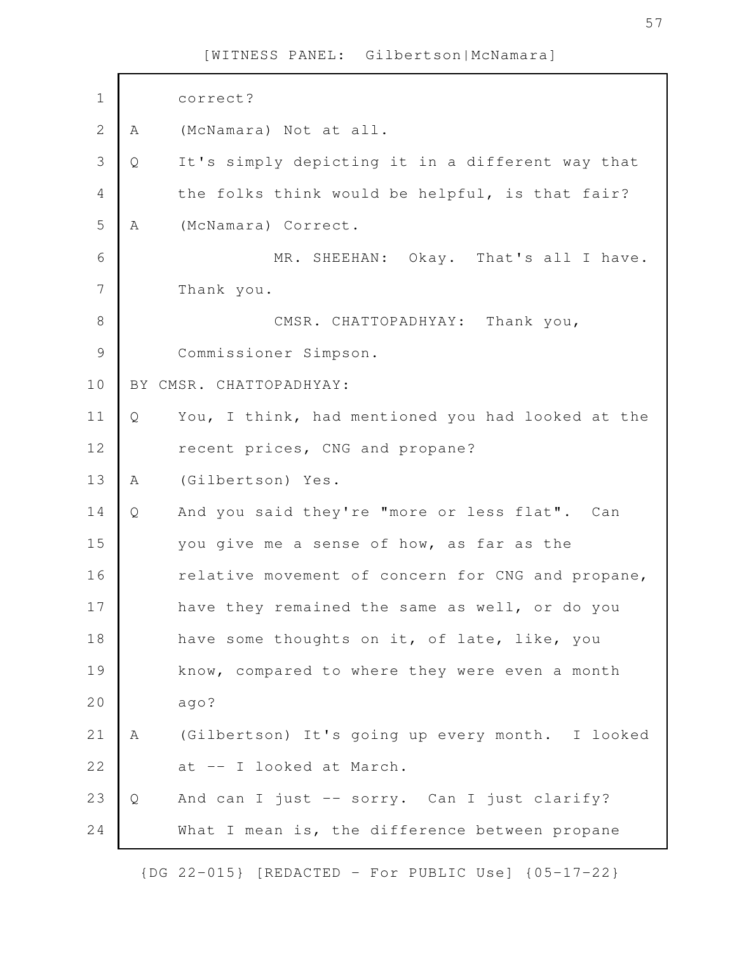| $\mathbf 1$   |   | correct?                                          |
|---------------|---|---------------------------------------------------|
| $\mathbf{2}$  | Α | (McNamara) Not at all.                            |
| 3             | Q | It's simply depicting it in a different way that  |
| 4             |   | the folks think would be helpful, is that fair?   |
| 5             | Α | (McNamara) Correct.                               |
| 6             |   | MR. SHEEHAN: Okay. That's all I have.             |
| 7             |   | Thank you.                                        |
| $8\,$         |   | CMSR. CHATTOPADHYAY: Thank you,                   |
| $\mathcal{G}$ |   | Commissioner Simpson.                             |
| 10            |   | BY CMSR. CHATTOPADHYAY:                           |
| 11            | Q | You, I think, had mentioned you had looked at the |
| 12            |   | recent prices, CNG and propane?                   |
| 13            | A | (Gilbertson) Yes.                                 |
| 14            | Q | And you said they're "more or less flat". Can     |
| 15            |   | you give me a sense of how, as far as the         |
| 16            |   | relative movement of concern for CNG and propane, |
| 17            |   | have they remained the same as well, or do you    |
| 18            |   | have some thoughts on it, of late, like, you      |
| 19            |   | know, compared to where they were even a month    |
| 20            |   | ago?                                              |
| 21            | Α | (Gilbertson) It's going up every month. I looked  |
| 22            |   | at -- I looked at March.                          |
| 23            | Q | And can I just -- sorry. Can I just clarify?      |
| 24            |   | What I mean is, the difference between propane    |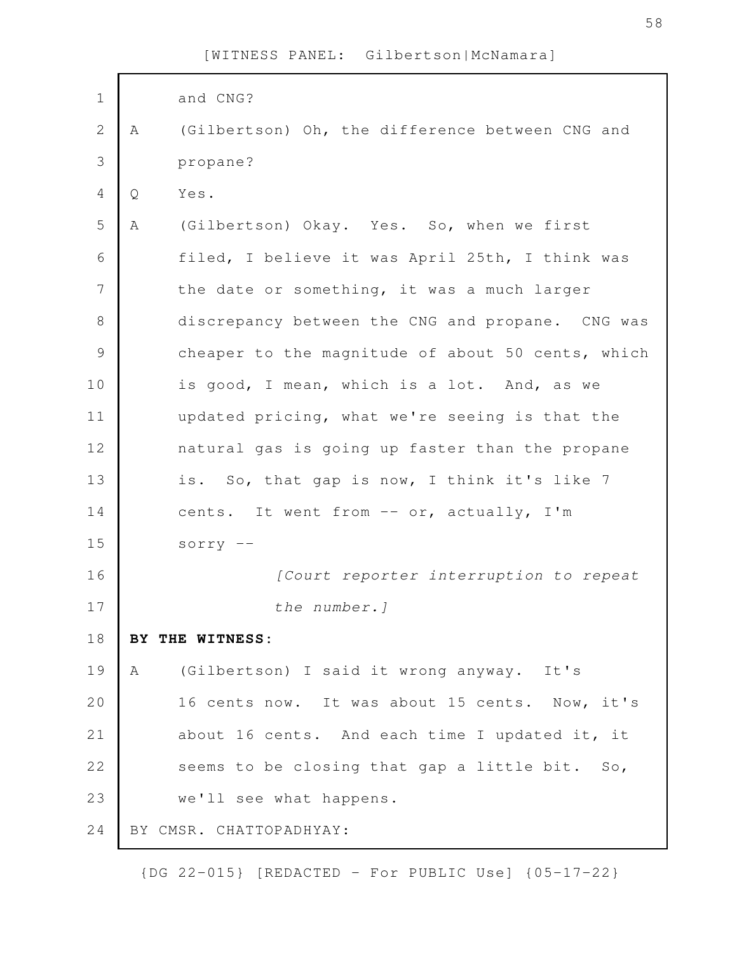| $\mathbf 1$   |     | and CNG?                                          |
|---------------|-----|---------------------------------------------------|
| $\mathbf 2$   | A   | (Gilbertson) Oh, the difference between CNG and   |
| 3             |     | propane?                                          |
| 4             | Q   | Yes.                                              |
| 5             | Α   | (Gilbertson) Okay. Yes. So, when we first         |
| 6             |     | filed, I believe it was April 25th, I think was   |
| 7             |     | the date or something, it was a much larger       |
| $\,8\,$       |     | discrepancy between the CNG and propane. CNG was  |
| $\mathcal{G}$ |     | cheaper to the magnitude of about 50 cents, which |
| 10            |     | is good, I mean, which is a lot. And, as we       |
| 11            |     | updated pricing, what we're seeing is that the    |
| 12            |     | natural gas is going up faster than the propane   |
| 13            |     | is. So, that gap is now, I think it's like 7      |
| 14            |     | cents. It went from -- or, actually, I'm          |
| 15            |     | $sorry$ --                                        |
| 16            |     | [Court reporter interruption to repeat            |
| 17            |     | the number.]                                      |
| 18            | BY. | THE WITNESS:                                      |
| 19            | A   | (Gilbertson) I said it wrong anyway. It's         |
| 20            |     | 16 cents now. It was about 15 cents. Now, it's    |
| 21            |     | about 16 cents. And each time I updated it, it    |
| 22            |     | seems to be closing that gap a little bit. So,    |
| 23            |     | we'll see what happens.                           |
| 24            |     | BY CMSR. CHATTOPADHYAY:                           |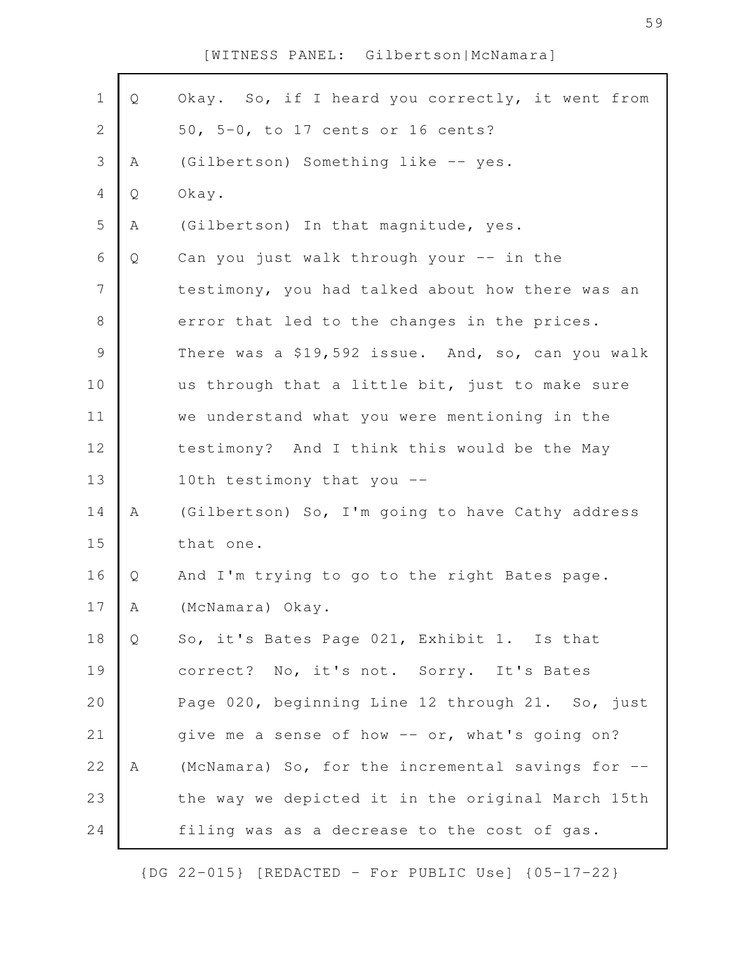| $\mathbf 1$    | Q | Okay. So, if I heard you correctly, it went from  |
|----------------|---|---------------------------------------------------|
| $\mathbf{2}$   |   | 50, 5-0, to 17 cents or 16 cents?                 |
| 3              | Α | (Gilbertson) Something like -- yes.               |
| 4              | Q | Okay.                                             |
| 5              | Α | (Gilbertson) In that magnitude, yes.              |
| 6              | Q | Can you just walk through your -- in the          |
| $\overline{7}$ |   | testimony, you had talked about how there was an  |
| $\,8\,$        |   | error that led to the changes in the prices.      |
| 9              |   | There was a \$19,592 issue. And, so, can you walk |
| 10             |   | us through that a little bit, just to make sure   |
| 11             |   | we understand what you were mentioning in the     |
| 12             |   | testimony? And I think this would be the May      |
| 13             |   | 10th testimony that you --                        |
| 14             | Α | (Gilbertson) So, I'm going to have Cathy address  |
| 15             |   | that one.                                         |
| 16             | Q | And I'm trying to go to the right Bates page.     |
| 17             | А | (McNamara) Okay.                                  |
| 18             | Q | So, it's Bates Page 021, Exhibit 1. Is that       |
| 19             |   | correct? No, it's not. Sorry. It's Bates          |
| 20             |   | Page 020, beginning Line 12 through 21. So, just  |
| 21             |   | give me a sense of how -- or, what's going on?    |
| 22             | Α | (McNamara) So, for the incremental savings for -- |
| 23             |   | the way we depicted it in the original March 15th |
| 24             |   | filing was as a decrease to the cost of gas.      |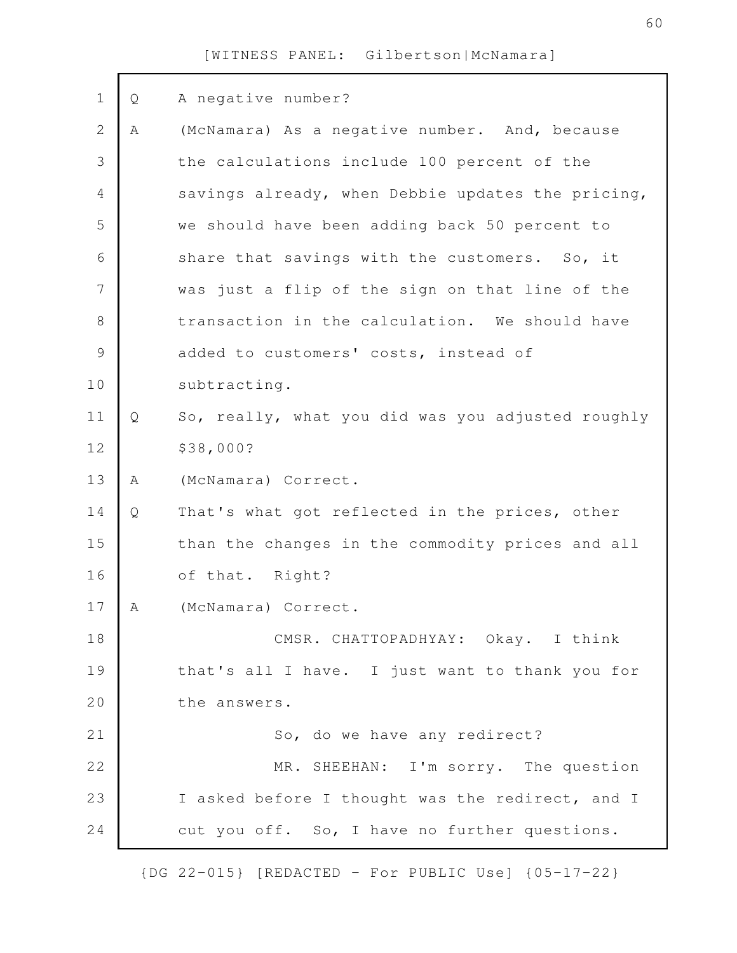| $\mathbf 1$   | Q | A negative number?                                |
|---------------|---|---------------------------------------------------|
| $\mathbf{2}$  | Α | (McNamara) As a negative number. And, because     |
| 3             |   | the calculations include 100 percent of the       |
| 4             |   | savings already, when Debbie updates the pricing, |
| 5             |   | we should have been adding back 50 percent to     |
| 6             |   | share that savings with the customers. So, it     |
| 7             |   | was just a flip of the sign on that line of the   |
| $\,8\,$       |   | transaction in the calculation. We should have    |
| $\mathcal{G}$ |   | added to customers' costs, instead of             |
| 10            |   | subtracting.                                      |
| 11            | Q | So, really, what you did was you adjusted roughly |
| 12            |   | \$38,000?                                         |
| 13            | Α | (McNamara) Correct.                               |
| 14            | Q | That's what got reflected in the prices, other    |
| 15            |   | than the changes in the commodity prices and all  |
| 16            |   | of that. Right?                                   |
| 17            | A | (McNamara) Correct.                               |
| 18            |   | CMSR. CHATTOPADHYAY: Okay. I think                |
| 19            |   | that's all I have. I just want to thank you for   |
| 20            |   | the answers.                                      |
| 21            |   | So, do we have any redirect?                      |
| 22            |   | MR. SHEEHAN: I'm sorry. The question              |
| 23            |   | I asked before I thought was the redirect, and I  |
| 24            |   | cut you off. So, I have no further questions.     |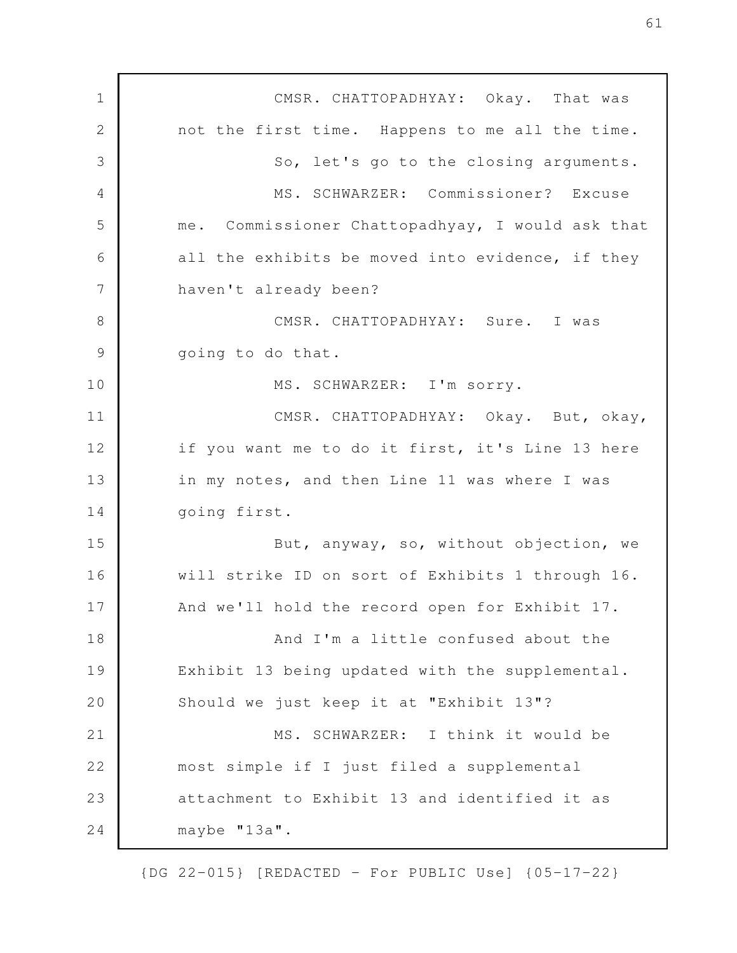CMSR. CHATTOPADHYAY: Okay. That was not the first time. Happens to me all the time. So, let's go to the closing arguments. MS. SCHWARZER: Commissioner? Excuse me. Commissioner Chattopadhyay, I would ask that all the exhibits be moved into evidence, if they haven't already been? CMSR. CHATTOPADHYAY: Sure. I was going to do that. MS. SCHWARZER: I'm sorry. CMSR. CHATTOPADHYAY: Okay. But, okay, if you want me to do it first, it's Line 13 here in my notes, and then Line 11 was where I was going first. But, anyway, so, without objection, we will strike ID on sort of Exhibits 1 through 16. And we'll hold the record open for Exhibit 17. And I'm a little confused about the Exhibit 13 being updated with the supplemental. Should we just keep it at "Exhibit 13"? MS. SCHWARZER: I think it would be most simple if I just filed a supplemental attachment to Exhibit 13 and identified it as maybe "13a". 1 2 3 4 5 6 7 8 9 10 11 12 13 14 15 16 17 18 19 20 21 22 23 24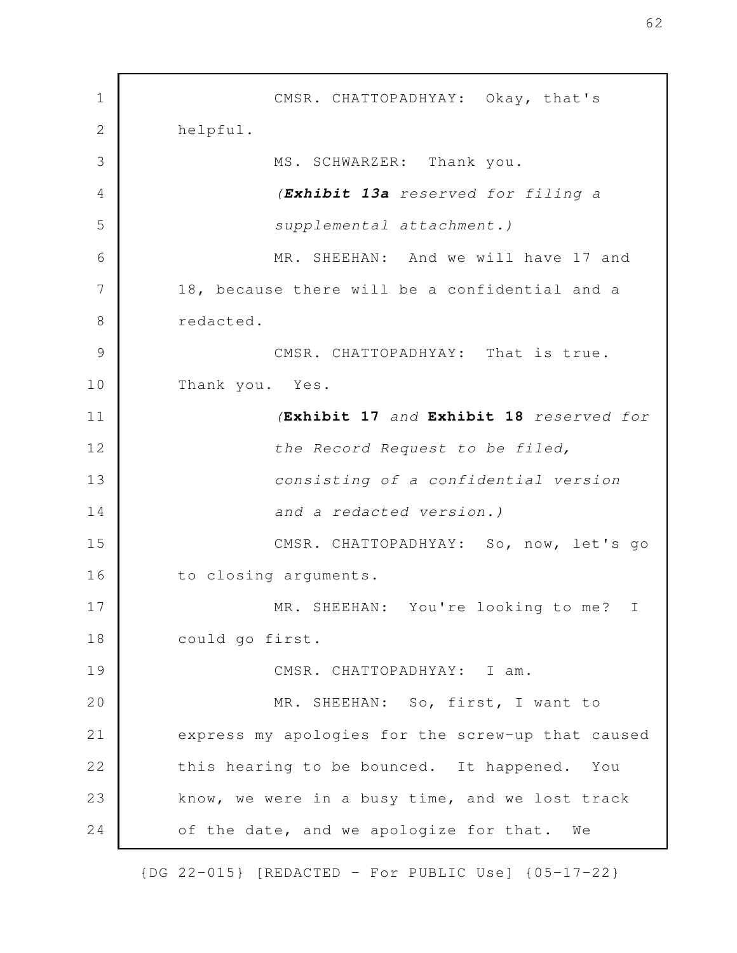CMSR. CHATTOPADHYAY: Okay, that's helpful. MS. SCHWARZER: Thank you. *(Exhibit 13a reserved for filing a supplemental attachment.)* MR. SHEEHAN: And we will have 17 and 18, because there will be a confidential and a redacted. CMSR. CHATTOPADHYAY: That is true. Thank you. Yes. *(***Exhibit 17** *and* **Exhibit 18** *reserved for the Record Request to be filed, consisting of a confidential version and a redacted version.)* CMSR. CHATTOPADHYAY: So, now, let's go to closing arguments. MR. SHEEHAN: You're looking to me? I could go first. CMSR. CHATTOPADHYAY: I am. MR. SHEEHAN: So, first, I want to express my apologies for the screw-up that caused this hearing to be bounced. It happened. You know, we were in a busy time, and we lost track of the date, and we apologize for that. We 1 2 3 4 5 6 7 8 9 10 11 12 13 14 15 16 17 18 19 20 21 22 23 24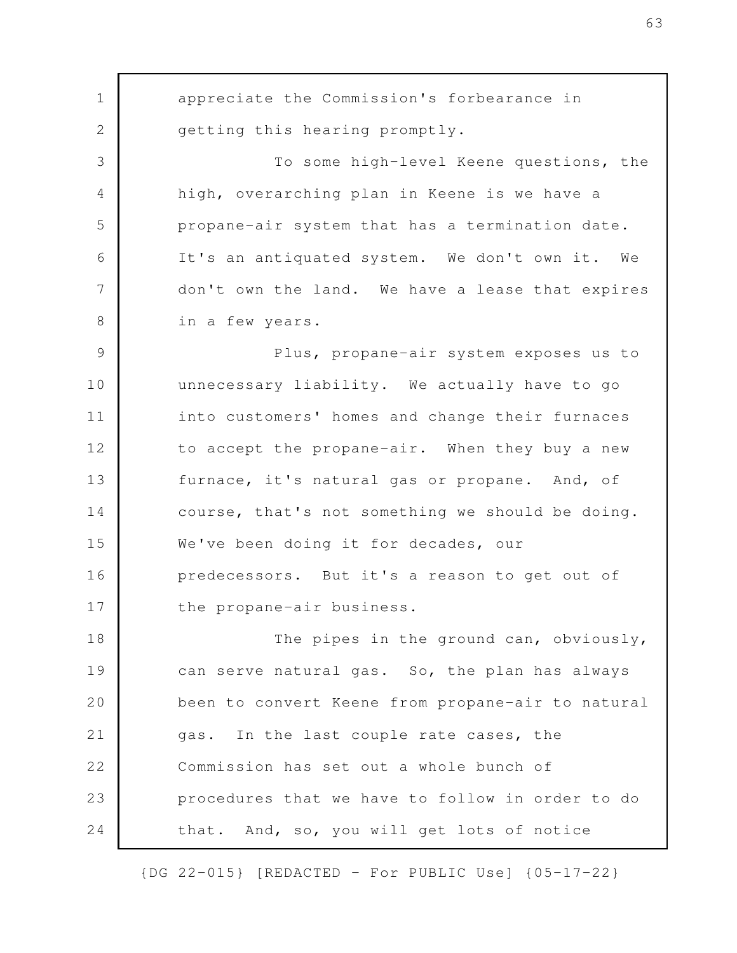appreciate the Commission's forbearance in getting this hearing promptly. To some high-level Keene questions, the high, overarching plan in Keene is we have a propane-air system that has a termination date. It's an antiquated system. We don't own it. We don't own the land. We have a lease that expires in a few years. Plus, propane-air system exposes us to unnecessary liability. We actually have to go into customers' homes and change their furnaces to accept the propane-air. When they buy a new furnace, it's natural gas or propane. And, of course, that's not something we should be doing. We've been doing it for decades, our predecessors. But it's a reason to get out of the propane-air business. The pipes in the ground can, obviously, can serve natural gas. So, the plan has always been to convert Keene from propane-air to natural gas. In the last couple rate cases, the Commission has set out a whole bunch of procedures that we have to follow in order to do that. And, so, you will get lots of notice 1 2 3 4 5 6 7 8 9 10 11 12 13 14 15 16 17 18 19 20 21 22 23 24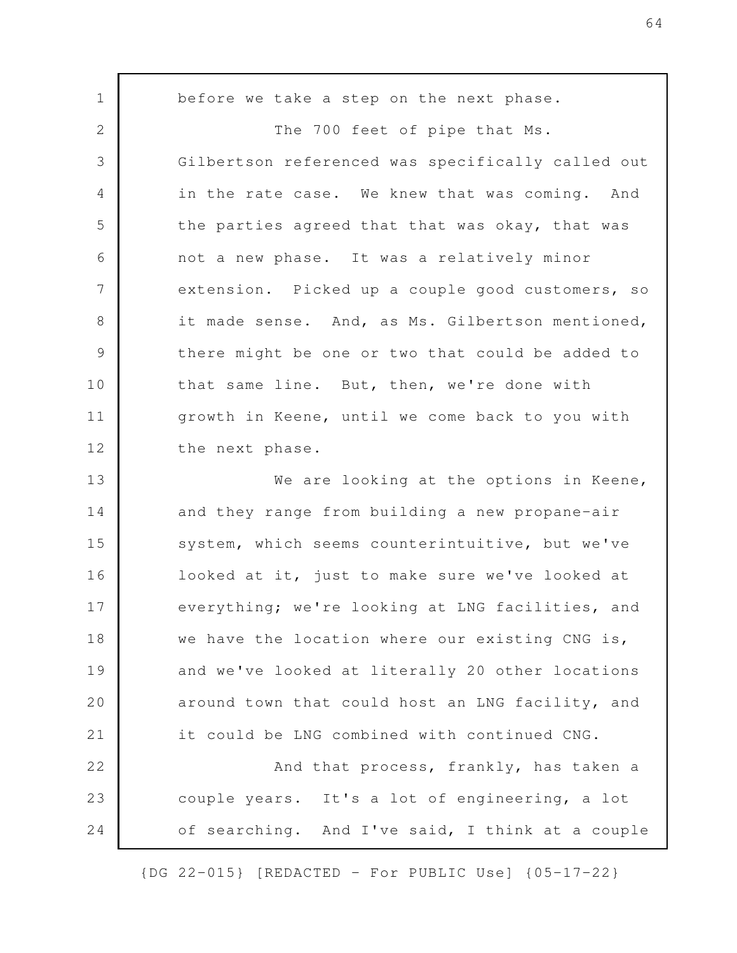before we take a step on the next phase. The 700 feet of pipe that Ms. Gilbertson referenced was specifically called out in the rate case. We knew that was coming. And the parties agreed that that was okay, that was not a new phase. It was a relatively minor extension. Picked up a couple good customers, so it made sense. And, as Ms. Gilbertson mentioned, there might be one or two that could be added to that same line. But, then, we're done with growth in Keene, until we come back to you with the next phase. We are looking at the options in Keene, and they range from building a new propane-air system, which seems counterintuitive, but we've looked at it, just to make sure we've looked at everything; we're looking at LNG facilities, and we have the location where our existing CNG is, and we've looked at literally 20 other locations around town that could host an LNG facility, and it could be LNG combined with continued CNG. And that process, frankly, has taken a couple years. It's a lot of engineering, a lot of searching. And I've said, I think at a couple 1 2 3 4 5 6 7 8 9 10 11 12 13 14 15 16 17 18 19 20 21 22 23 24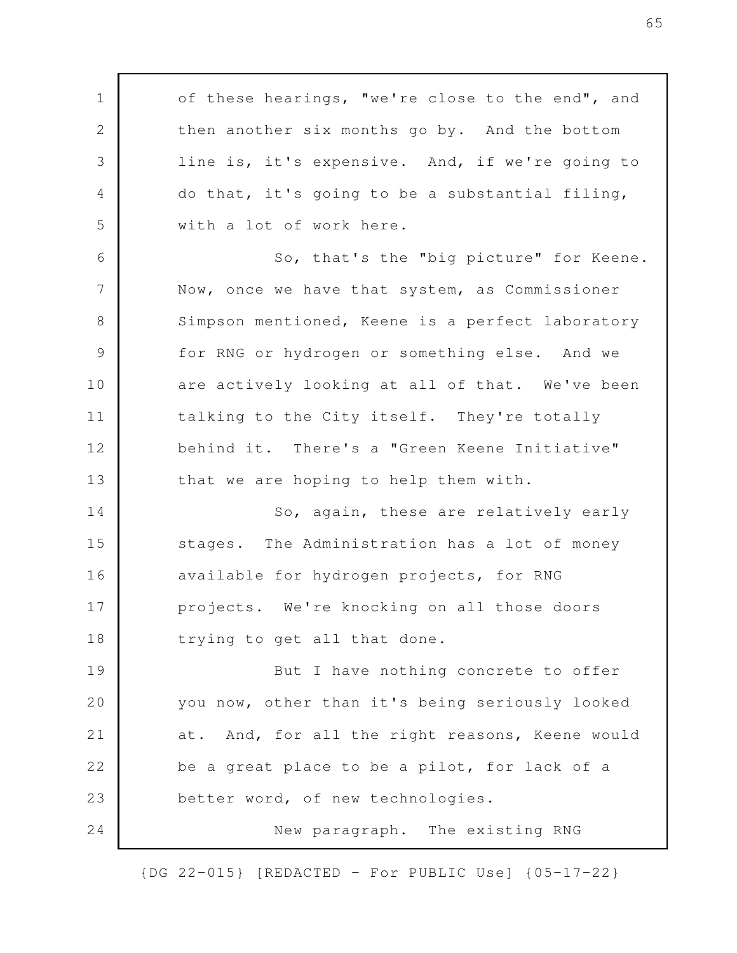of these hearings, "we're close to the end", and then another six months go by. And the bottom line is, it's expensive. And, if we're going to do that, it's going to be a substantial filing, with a lot of work here. So, that's the "big picture" for Keene. Now, once we have that system, as Commissioner Simpson mentioned, Keene is a perfect laboratory for RNG or hydrogen or something else. And we are actively looking at all of that. We've been talking to the City itself. They're totally behind it. There's a "Green Keene Initiative" that we are hoping to help them with. So, again, these are relatively early stages. The Administration has a lot of money available for hydrogen projects, for RNG projects. We're knocking on all those doors trying to get all that done. But I have nothing concrete to offer you now, other than it's being seriously looked at. And, for all the right reasons, Keene would be a great place to be a pilot, for lack of a better word, of new technologies. New paragraph. The existing RNG 1 2 3 4 5 6 7 8 9 10 11 12 13 14 15 16 17 18 19 20 21 22 23 24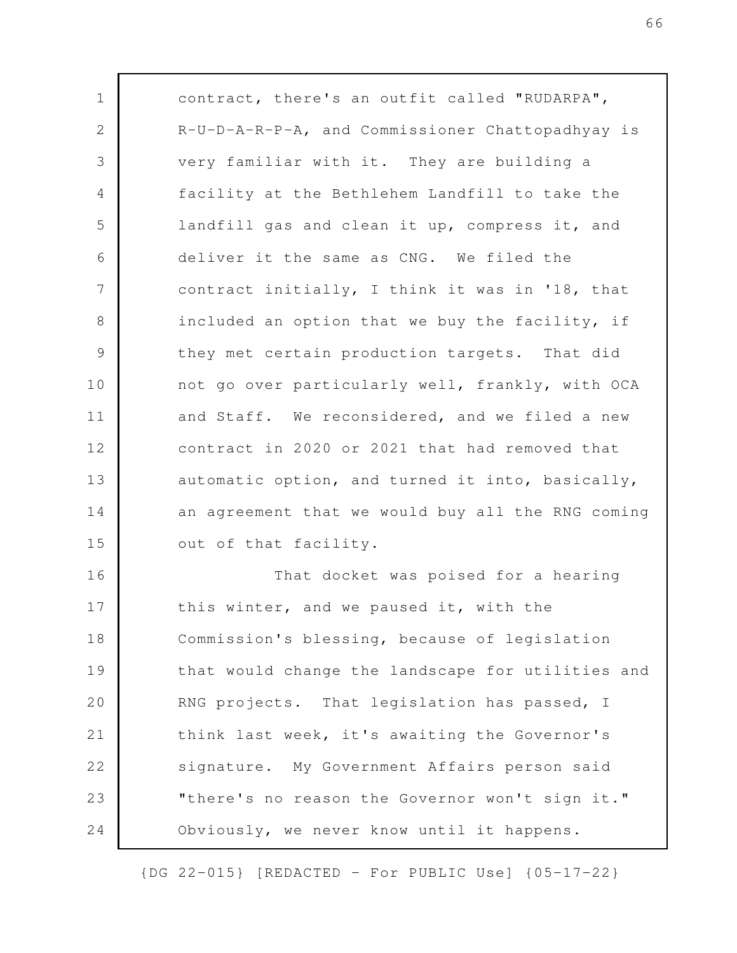contract, there's an outfit called "RUDARPA", R-U-D-A-R-P-A, and Commissioner Chattopadhyay is very familiar with it. They are building a facility at the Bethlehem Landfill to take the landfill gas and clean it up, compress it, and deliver it the same as CNG. We filed the contract initially, I think it was in '18, that included an option that we buy the facility, if they met certain production targets. That did not go over particularly well, frankly, with OCA and Staff. We reconsidered, and we filed a new contract in 2020 or 2021 that had removed that automatic option, and turned it into, basically, an agreement that we would buy all the RNG coming out of that facility. That docket was poised for a hearing this winter, and we paused it, with the Commission's blessing, because of legislation that would change the landscape for utilities and RNG projects. That legislation has passed, I think last week, it's awaiting the Governor's signature. My Government Affairs person said "there's no reason the Governor won't sign it." Obviously, we never know until it happens. 1 2 3 4 5 6 7 8 9 10 11 12 13 14 15 16 17 18 19 20 21 22 23 24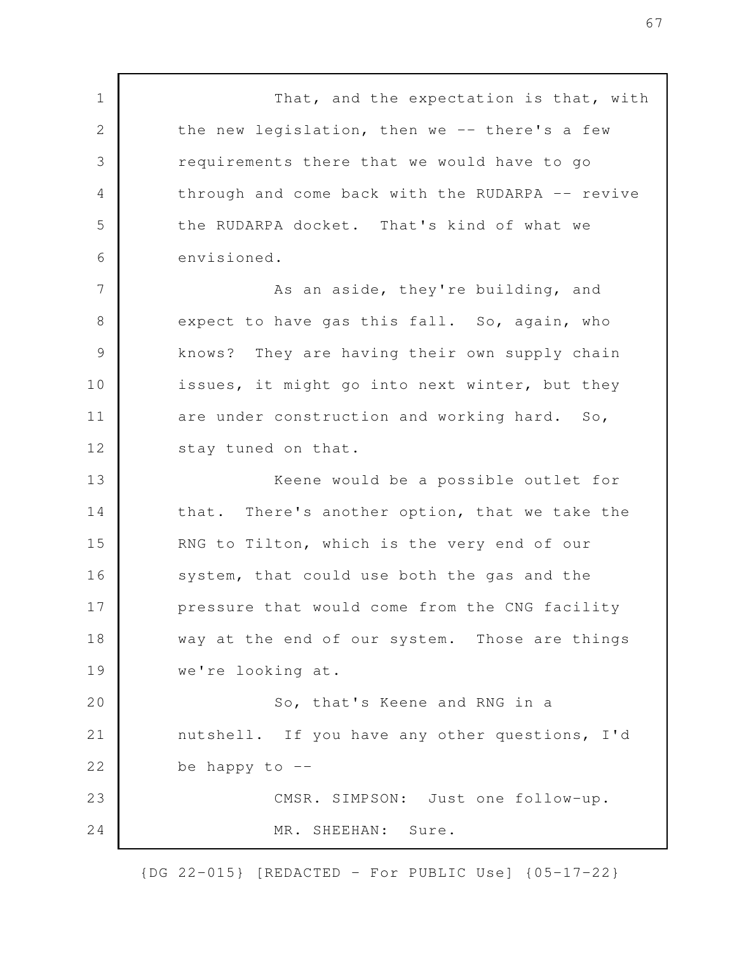That, and the expectation is that, with the new legislation, then we -- there's a few requirements there that we would have to go through and come back with the RUDARPA -- revive the RUDARPA docket. That's kind of what we envisioned. As an aside, they're building, and expect to have gas this fall. So, again, who knows? They are having their own supply chain issues, it might go into next winter, but they are under construction and working hard. So, stay tuned on that. Keene would be a possible outlet for that. There's another option, that we take the RNG to Tilton, which is the very end of our system, that could use both the gas and the pressure that would come from the CNG facility way at the end of our system. Those are things we're looking at. So, that's Keene and RNG in a nutshell. If you have any other questions, I'd be happy to  $-$ CMSR. SIMPSON: Just one follow-up. MR. SHEEHAN: Sure. 1 2 3 4 5 6 7 8 9 10 11 12 13 14 15 16 17 18 19 20 21 22 23 24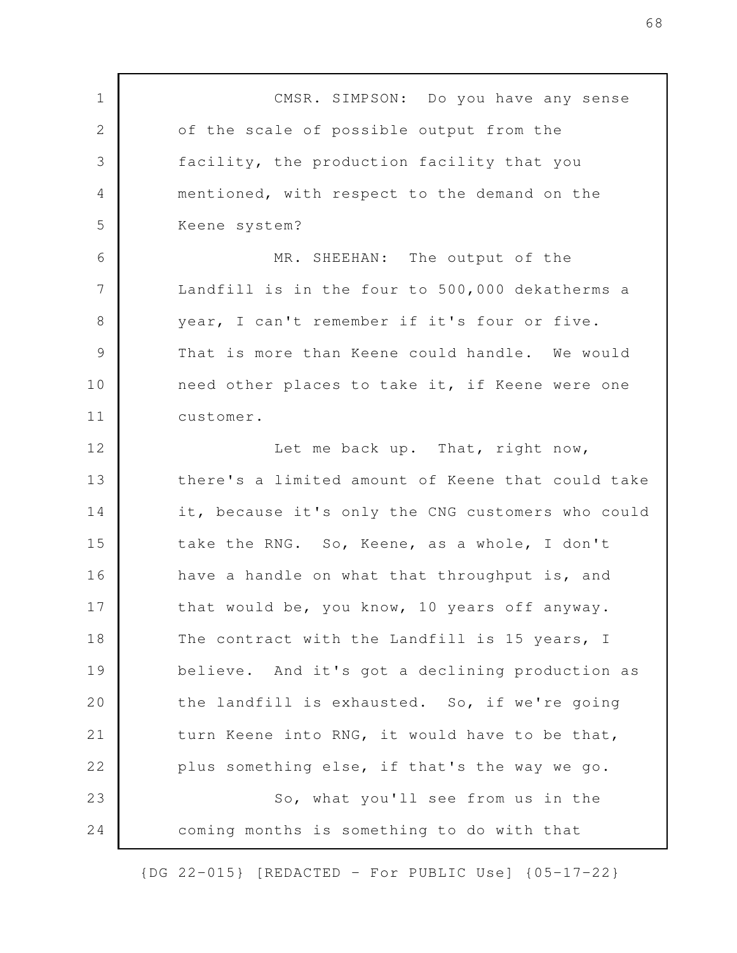CMSR. SIMPSON: Do you have any sense of the scale of possible output from the facility, the production facility that you mentioned, with respect to the demand on the Keene system? MR. SHEEHAN: The output of the Landfill is in the four to 500,000 dekatherms a year, I can't remember if it's four or five. That is more than Keene could handle. We would need other places to take it, if Keene were one customer. Let me back up. That, right now, there's a limited amount of Keene that could take it, because it's only the CNG customers who could take the RNG. So, Keene, as a whole, I don't have a handle on what that throughput is, and that would be, you know, 10 years off anyway. The contract with the Landfill is 15 years, I believe. And it's got a declining production as the landfill is exhausted. So, if we're going turn Keene into RNG, it would have to be that, plus something else, if that's the way we go. So, what you'll see from us in the coming months is something to do with that 1 2 3 4 5 6 7 8 9 10 11 12 13 14 15 16 17 18 19 20 21 22 23 24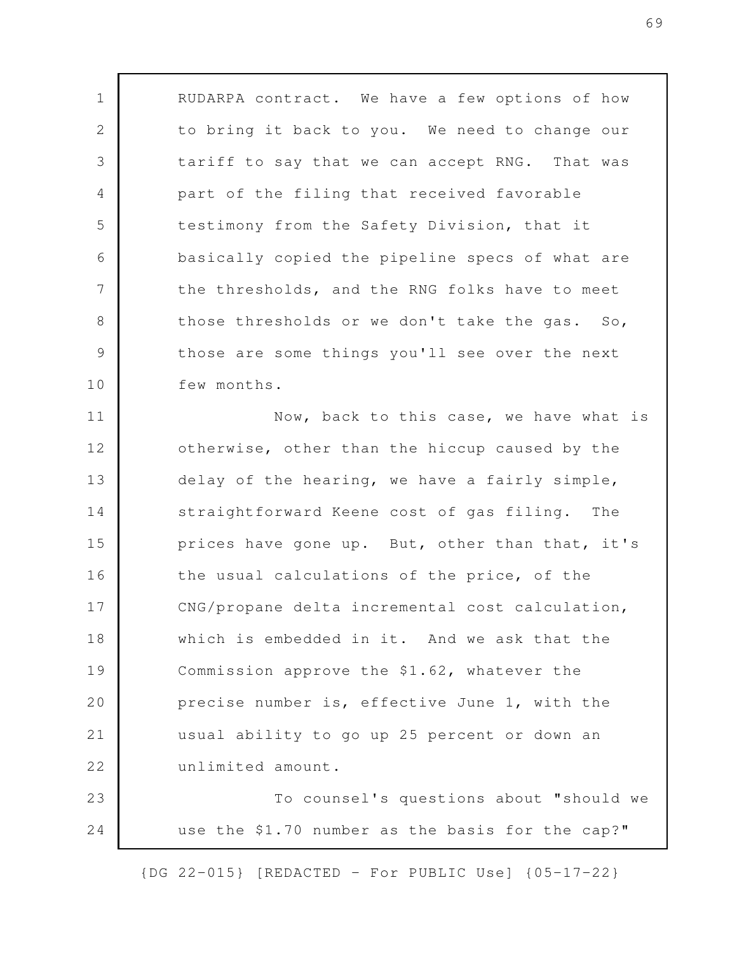RUDARPA contract. We have a few options of how to bring it back to you. We need to change our tariff to say that we can accept RNG. That was part of the filing that received favorable testimony from the Safety Division, that it basically copied the pipeline specs of what are the thresholds, and the RNG folks have to meet those thresholds or we don't take the gas. So, those are some things you'll see over the next few months.

1

2

3

4

5

6

7

8

9

10

Now, back to this case, we have what is otherwise, other than the hiccup caused by the delay of the hearing, we have a fairly simple, straightforward Keene cost of gas filing. The prices have gone up. But, other than that, it's the usual calculations of the price, of the CNG/propane delta incremental cost calculation, which is embedded in it. And we ask that the Commission approve the \$1.62, whatever the precise number is, effective June 1, with the usual ability to go up 25 percent or down an unlimited amount. To counsel's questions about "should we 11 12 13 14 15 16 17 18 19 20 21 22 23

use the \$1.70 number as the basis for the cap?" 24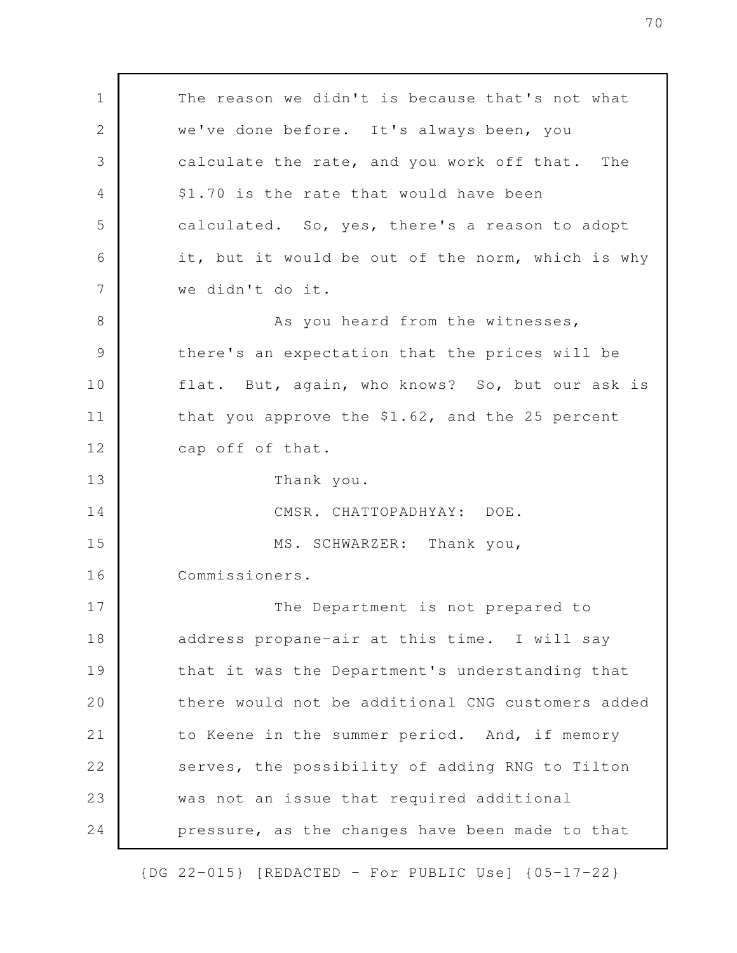The reason we didn't is because that's not what we've done before. It's always been, you calculate the rate, and you work off that. The \$1.70 is the rate that would have been calculated. So, yes, there's a reason to adopt it, but it would be out of the norm, which is why we didn't do it. As you heard from the witnesses, there's an expectation that the prices will be flat. But, again, who knows? So, but our ask is that you approve the \$1.62, and the 25 percent cap off of that. Thank you. CMSR. CHATTOPADHYAY: DOE. MS. SCHWARZER: Thank you, Commissioners. The Department is not prepared to address propane-air at this time. I will say that it was the Department's understanding that there would not be additional CNG customers added to Keene in the summer period. And, if memory serves, the possibility of adding RNG to Tilton was not an issue that required additional pressure, as the changes have been made to that 1 2 3 4 5 6 7 8 9 10 11 12 13 14 15 16 17 18 19 20 21 22 23 24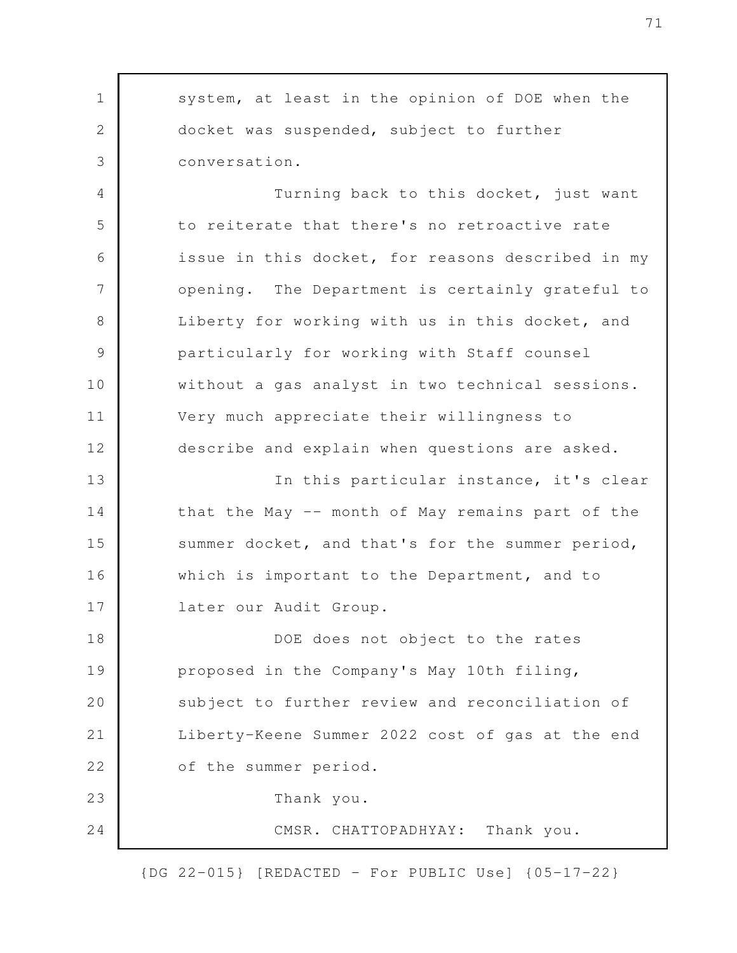system, at least in the opinion of DOE when the docket was suspended, subject to further conversation. Turning back to this docket, just want to reiterate that there's no retroactive rate issue in this docket, for reasons described in my opening. The Department is certainly grateful to Liberty for working with us in this docket, and particularly for working with Staff counsel without a gas analyst in two technical sessions. Very much appreciate their willingness to describe and explain when questions are asked. In this particular instance, it's clear that the May -- month of May remains part of the summer docket, and that's for the summer period, which is important to the Department, and to later our Audit Group. DOE does not object to the rates proposed in the Company's May 10th filing, subject to further review and reconciliation of Liberty-Keene Summer 2022 cost of gas at the end of the summer period. Thank you. CMSR. CHATTOPADHYAY: Thank you. 1 2 3 4 5 6 7 8 9 10 11 12 13 14 15 16 17 18 19 20 21 22 23 24